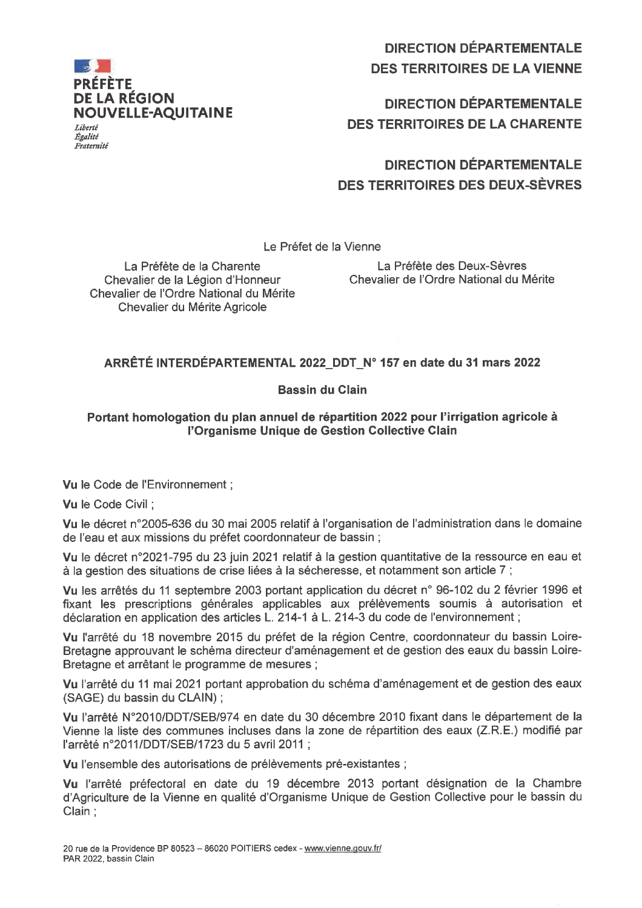

Égalité Fraternité

**DIRECTION DÉPARTEMENTALE DES TERRITOIRES DE LA VIENNE** 

# **DIRECTION DÉPARTEMENTALE DES TERRITOIRES DE LA CHARENTE**

**DIRECTION DÉPARTEMENTALE DES TERRITOIRES DES DEUX-SÈVRES** 

Le Préfet de la Vienne

La Préfète de la Charente Chevalier de la Légion d'Honneur Chevalier de l'Ordre National du Mérite Chevalier du Mérite Agricole

La Préfète des Deux-Sèvres Chevalier de l'Ordre National du Mérite

## ARRÊTÉ INTERDÉPARTEMENTAL 2022 DDT N° 157 en date du 31 mars 2022

#### **Bassin du Clain**

#### Portant homologation du plan annuel de répartition 2022 pour l'irrigation agricole à l'Organisme Unique de Gestion Collective Clain

Vu le Code de l'Environnement ;

Vu le Code Civil :

Vu le décret n°2005-636 du 30 mai 2005 relatif à l'organisation de l'administration dans le domaine de l'eau et aux missions du préfet coordonnateur de bassin ;

Vu le décret n°2021-795 du 23 juin 2021 relatif à la gestion quantitative de la ressource en eau et à la gestion des situations de crise liées à la sécheresse, et notamment son article 7 ;

Vu les arrêtés du 11 septembre 2003 portant application du décret n° 96-102 du 2 février 1996 et fixant les prescriptions générales applicables aux prélèvements soumis à autorisation et déclaration en application des articles L. 214-1 à L. 214-3 du code de l'environnement ;

Vu l'arrêté du 18 novembre 2015 du préfet de la région Centre, coordonnateur du bassin Loire-Bretagne approuvant le schéma directeur d'aménagement et de gestion des eaux du bassin Loire-Bretagne et arrêtant le programme de mesures ;

Vu l'arrêté du 11 mai 2021 portant approbation du schéma d'aménagement et de gestion des eaux (SAGE) du bassin du CLAIN) ;

Vu l'arrêté N°2010/DDT/SEB/974 en date du 30 décembre 2010 fixant dans le département de la Vienne la liste des communes incluses dans la zone de répartition des eaux (Z.R.E.) modifié par l'arrêté n°2011/DDT/SEB/1723 du 5 avril 2011 ;

Vu l'ensemble des autorisations de prélèvements pré-existantes ;

Vu l'arrêté préfectoral en date du 19 décembre 2013 portant désignation de la Chambre d'Agriculture de la Vienne en qualité d'Organisme Unique de Gestion Collective pour le bassin du Clain: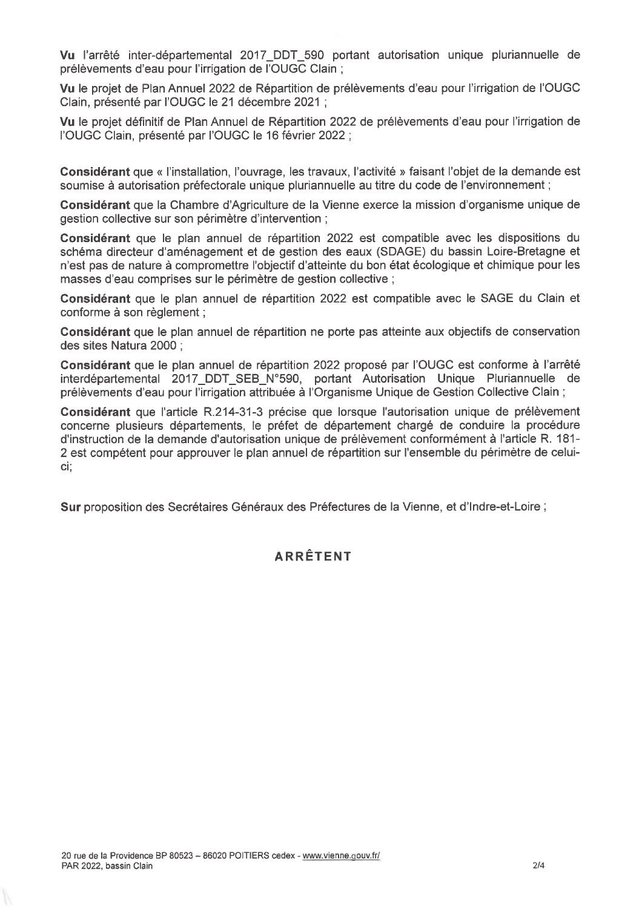Vu l'arrêté inter-départemental 2017 DDT 590 portant autorisation unique pluriannuelle de prélèvements d'eau pour l'irrigation de l'OUGC Clain :

Vu le projet de Plan Annuel 2022 de Répartition de prélèvements d'eau pour l'irrigation de l'OUGC Clain, présenté par l'OUGC le 21 décembre 2021 ;

Vu le projet définitif de Plan Annuel de Répartition 2022 de prélèvements d'eau pour l'irrigation de l'OUGC Clain, présenté par l'OUGC le 16 février 2022 ;

Considérant que « l'installation, l'ouvrage, les travaux, l'activité » faisant l'objet de la demande est soumise à autorisation préfectorale unique pluriannuelle au titre du code de l'environnement :

Considérant que la Chambre d'Agriculture de la Vienne exerce la mission d'organisme unique de gestion collective sur son périmètre d'intervention;

Considérant que le plan annuel de répartition 2022 est compatible avec les dispositions du schéma directeur d'aménagement et de gestion des eaux (SDAGE) du bassin Loire-Bretagne et n'est pas de nature à compromettre l'objectif d'atteinte du bon état écologique et chimique pour les masses d'eau comprises sur le périmètre de gestion collective :

Considérant que le plan annuel de répartition 2022 est compatible avec le SAGE du Clain et conforme à son règlement ;

Considérant que le plan annuel de répartition ne porte pas atteinte aux objectifs de conservation des sites Natura 2000 :

Considérant que le plan annuel de répartition 2022 proposé par l'OUGC est conforme à l'arrêté interdépartemental 2017 DDT SEB N°590, portant Autorisation Unique Pluriannuelle de prélèvements d'eau pour l'irrigation attribuée à l'Organisme Unique de Gestion Collective Clain ;

Considérant que l'article R.214-31-3 précise que lorsque l'autorisation unique de prélèvement concerne plusieurs départements, le préfet de département chargé de conduire la procédure d'instruction de la demande d'autorisation unique de prélèvement conformément à l'article R. 181-2 est compétent pour approuver le plan annuel de répartition sur l'ensemble du périmètre de celuici:

Sur proposition des Secrétaires Généraux des Préfectures de la Vienne, et d'Indre-et-Loire ;

# **ARRÊTENT**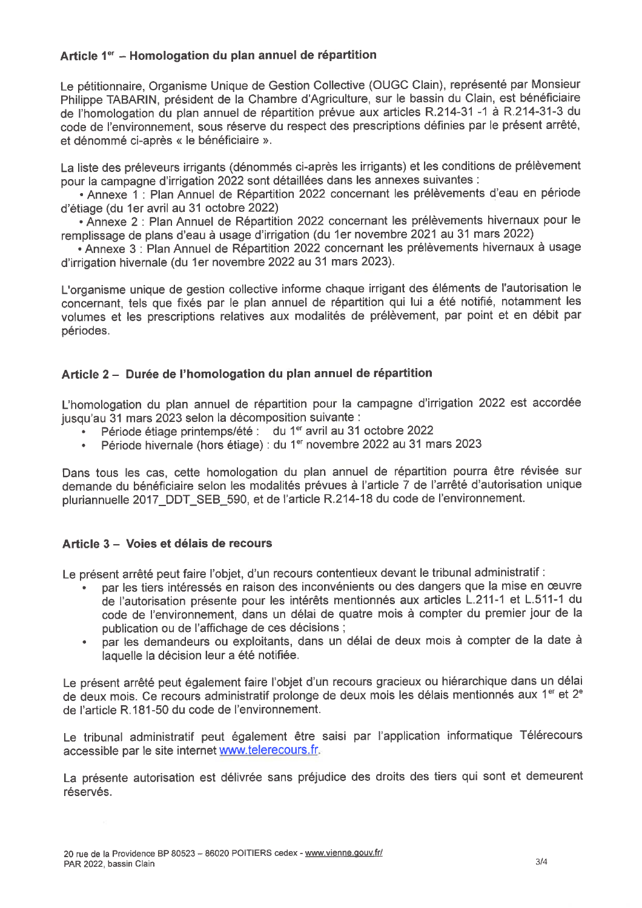#### Article 1<sup>er</sup> - Homologation du plan annuel de répartition

Le pétitionnaire. Organisme Unique de Gestion Collective (OUGC Clain), représenté par Monsieur Philippe TABARIN, président de la Chambre d'Agriculture, sur le bassin du Clain, est bénéficiaire de l'homologation du plan annuel de répartition prévue aux articles R.214-31-1 à R.214-31-3 du code de l'environnement, sous réserve du respect des prescriptions définies par le présent arrêté, et dénommé ci-après « le bénéficiaire ».

La liste des préleveurs irrigants (dénommés ci-après les irrigants) et les conditions de prélèvement pour la campagne d'irrigation 2022 sont détaillées dans les annexes suivantes :

• Annexe 1 : Plan Annuel de Répartition 2022 concernant les prélèvements d'eau en période d'étiage (du 1er avril au 31 octobre 2022)

• Annexe 2 : Plan Annuel de Répartition 2022 concernant les prélèvements hivernaux pour le remplissage de plans d'eau à usage d'irrigation (du 1er novembre 2021 au 31 mars 2022)

• Annexe 3 : Plan Annuel de Répartition 2022 concernant les prélèvements hivernaux à usage d'irrigation hivernale (du 1er novembre 2022 au 31 mars 2023).

L'organisme unique de gestion collective informe chaque irrigant des éléments de l'autorisation le concernant, tels que fixés par le plan annuel de répartition qui lui a été notifié, notamment les volumes et les prescriptions relatives aux modalités de prélèvement, par point et en débit par périodes.

#### Article 2 – Durée de l'homologation du plan annuel de répartition

L'homologation du plan annuel de répartition pour la campagne d'irrigation 2022 est accordée jusqu'au 31 mars 2023 selon la décomposition suivante :

- Période étiage printemps/été : du 1<sup>er</sup> avril au 31 octobre 2022
- Période hivernale (hors étiage) : du 1<sup>er</sup> novembre 2022 au 31 mars 2023  $\bullet$

Dans tous les cas, cette homologation du plan annuel de répartition pourra être révisée sur demande du bénéficiaire selon les modalités prévues à l'article 7 de l'arrêté d'autorisation unique pluriannuelle 2017\_DDT\_SEB 590, et de l'article R.214-18 du code de l'environnement.

#### Article 3 - Voies et délais de recours

Le présent arrêté peut faire l'objet, d'un recours contentieux devant le tribunal administratif :

- par les tiers intéressés en raison des inconvénients ou des dangers que la mise en œuvre de l'autorisation présente pour les intérêts mentionnés aux articles L.211-1 et L.511-1 du code de l'environnement, dans un délai de quatre mois à compter du premier jour de la publication ou de l'affichage de ces décisions ;
- par les demandeurs ou exploitants, dans un délai de deux mois à compter de la date à laquelle la décision leur a été notifiée.

Le présent arrêté peut également faire l'objet d'un recours gracieux ou hiérarchique dans un délai de deux mois. Ce recours administratif prolonge de deux mois les délais mentionnés aux 1<sup>er</sup> et 2<sup>e</sup> de l'article R.181-50 du code de l'environnement.

Le tribunal administratif peut également être saisi par l'application informatique Télérecours accessible par le site internet www.telerecours.fr.

La présente autorisation est délivrée sans préjudice des droits des tiers qui sont et demeurent réservés.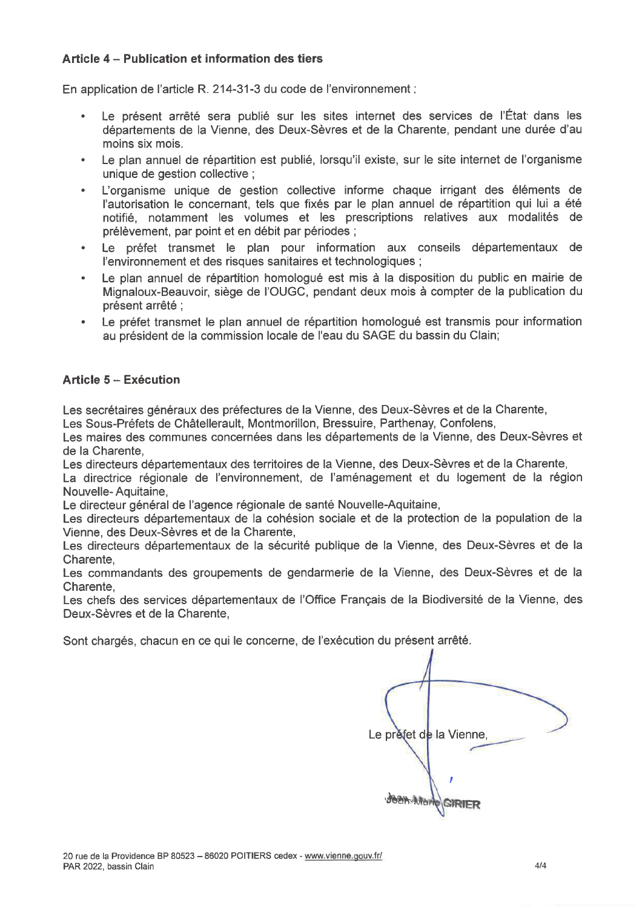#### Article 4 - Publication et information des fiers

En application de l'article R. 214-31-3 du code de l'environnement :

- Le présent arrêté sera publié sur les sites internet des services de l'État dans les  $\bullet$ départements de la Vienne, des Deux-Sèvres et de la Charente, pendant une durée d'au moins six mois
- Le plan annuel de répartition est publié, lorsqu'il existe, sur le site internet de l'organisme unique de gestion collective :
- L'organisme unique de gestion collective informe chaque irrigant des éléments de  $\sim$ l'autorisation le concernant, tels que fixés par le plan annuel de répartition qui lui a été notifié, notamment les volumes et les prescriptions relatives aux modalités de prélèvement, par point et en débit par périodes ;
- Le préfet transmet le plan pour information aux conseils départementaux de  $\ddot{\phantom{a}}$ l'environnement et des risques sanitaires et technologiques :
- Le plan annuel de répartition homologué est mis à la disposition du public en mairie de Mignaloux-Beauvoir, siège de l'OUGC, pendant deux mois à compter de la publication du présent arrêté :
- Le préfet transmet le plan annuel de répartition homologué est transmis pour information  $\mathbf{a}$  . au président de la commission locale de l'eau du SAGE du bassin du Clain;

### **Article 5 - Exécution**

Les secrétaires généraux des préfectures de la Vienne, des Deux-Sèvres et de la Charente,

Les Sous-Préfets de Châtellerault, Montmorillon, Bressuire, Parthenay, Confolens,

Les maires des communes concernées dans les départements de la Vienne, des Deux-Sèvres et de la Charente.

Les directeurs départementaux des territoires de la Vienne, des Deux-Sèvres et de la Charente,

La directrice régionale de l'environnement, de l'aménagement et du logement de la région Nouvelle-Aquitaine.

Le directeur général de l'agence régionale de santé Nouvelle-Aquitaine,

Les directeurs départementaux de la cohésion sociale et de la protection de la population de la Vienne, des Deux-Sèvres et de la Charente,

Les directeurs départementaux de la sécurité publique de la Vienne, des Deux-Sèvres et de la Charente.

Les commandants des groupements de gendarmerie de la Vienne, des Deux-Sèvres et de la Charente.

Les chefs des services départementaux de l'Office Français de la Biodiversité de la Vienne, des Deux-Sèvres et de la Charente.

Sont chargés, chacun en ce qui le concerne, de l'exécution du présent arrêté.

Le préfet de la Vienne. Ï **Jean-Mar b** CIRIER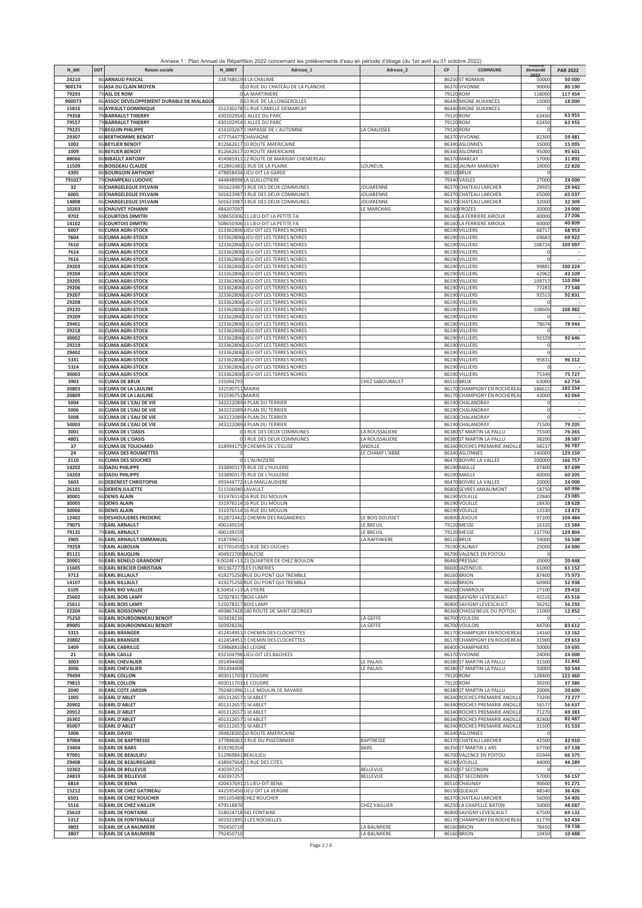|              |            |                                         |                      | Annexe 1 : Plan Annuel de Repartition 2022 concernant les prelevements d'eau en periode d'etiage (du 1er avril au 31 octobre 2022) |                 |            |                               |         |                             |
|--------------|------------|-----------------------------------------|----------------------|------------------------------------------------------------------------------------------------------------------------------------|-----------------|------------|-------------------------------|---------|-----------------------------|
| N_ddt        | <b>DDT</b> | <b>Raison sociale</b>                   | N_SIRET              | Adresse_1                                                                                                                          | Adresse_2       | <b>CP</b>  | <b>COMMUNE</b>                | demandé | <b>PAR 2022</b>             |
| 24210        |            | 86 ARNAUD PASCAL                        |                      | 3387486194 LA CHAUME                                                                                                               |                 |            | 86250 ST ROMAIN               | 50000   | 50 000                      |
| 900174       |            | 86ASA DU CLAIN MOYEN                    |                      | 010 RUE DU CHATEAU DE LA PLANCHE                                                                                                   |                 |            | 86370 VIVONNE                 | 90000   | 80 190                      |
| 79293        |            | 79 ASL DE ROM                           |                      | <b>OLA MARTINIERE</b>                                                                                                              |                 | 79120 ROM  |                               | 118000  | 117454                      |
| 900073       |            | 86ASSOC DEVELOPPEMENT DURABLE DE MALAGU |                      | 063 RUE DE LA LONGEROLLES                                                                                                          |                 |            | 86440 MIGNE AUXANCES          | 15000   | 18 000                      |
| 15816        |            | 86 AYRAULT DOMINIQUE                    |                      | 35233027851 RUE CAMILLE DEMARCAY                                                                                                   |                 | 86440      | MIGNE AUXANCES                |         |                             |
| 79358        |            | 79 BARRAULT THIERRY                     |                      | 4301029541 ALLEE DU PARC                                                                                                           |                 | 79120      | ROM                           | 63450   | 63 955                      |
| 79557        |            | 79 BARRAULT THIERRY                     | 430102954            | 1 ALLEE DU PARC                                                                                                                    |                 | 79120      | <b>ROM</b>                    | 63450   | 63 955                      |
| 79225        |            | <b>79 BEGUIN PHILIPPE</b>               | 414103267            | 1 IMPASSE DE L'AUTOMNE                                                                                                             | A CHAUSSEE      | 79120      | ROM                           |         |                             |
| 29307        |            | <b>86 BERTHOMME BENOIT</b>              | 477754477            | CHAVAGNE                                                                                                                           |                 | 86370      | VIVONNE                       | 82300   | 59 481                      |
| 1002         |            | <b>86 BEYLIER BENOIT</b>                | 812662617            | 10 ROUTE AMERICAINE                                                                                                                |                 | 86340      | <b>ASLONNES</b>               | 15000   | 15 0 95                     |
| 1009         |            | <b>86 BEYLIER BENOIT</b>                |                      | 81266261710 ROUTE AMERICAINE                                                                                                       |                 |            | 86340 ASLONNES                | 95000   | 95 601                      |
|              |            |                                         |                      |                                                                                                                                    |                 |            |                               |         |                             |
| 88066        |            | <b>86 BIBAULT ANTONY</b>                |                      | 414985911 12 ROUTE DE MARIGNY CHEMEREAU                                                                                            |                 | 86370      | MARCAY                        | 57000   | 31892                       |
| 11509        |            | <b>86 BOISDEAU CLAUDE</b>               |                      | 412891483 1 RUE DE LA PLAINE                                                                                                       | OUNEUIL         | 86130      | <b>JAUNAY MARIGNY</b>         | 19000   | 22820                       |
| 4305         |            | <b>86 BOURGOIN ANTHONY</b>              | 478858434            | LIEU-DIT LA GARDE                                                                                                                  |                 | 86510      | <b>BRUX</b>                   |         |                             |
| 791027       |            | 79 CHAMPEAU LUDOVIC                     | 444848998            | LA GUILLOTIERE                                                                                                                     |                 | 79340      | VASLES                        | 27000   | 24 000                      |
| 32           |            | <b>86 CHARGELEGUE SYLVAIN</b>           |                      | 5016239873 RUE DES DEUX COMMUNES                                                                                                   | <b>OUARENNE</b> | 86370      | CHATEAU LARCHER               | 29925   | 29942                       |
| 6005         |            | 86 CHARGELEGUE SYLVAIN                  | 501623987            | 3 RUE DES DEUX COMMUNES                                                                                                            | <b>OUARENNE</b> | 8637       | CHATEAU LARCHER               | 65000   | 65 037                      |
| 14808        |            | <b>86 CHARGELEGUE SYLVAIN</b>           |                      | 5016239873 RUE DES DEUX COMMUNES                                                                                                   | <b>OUARENNE</b> | 86370      | CHATEAU LARCHER               | 32000   | 32 309                      |
| 10203        | 86         | <b>CHAUVET YOHANN</b>                   | 484207097            |                                                                                                                                    | E MARCHAIS      | 86190      | <b>FROZES</b>                 | 20000   | 24 000                      |
| 9702         |            | <b>86 COURTOIS DIMITRI</b>              |                      | 508650306 11 LIEU-DIT LA PETITE FA                                                                                                 |                 |            | 86160 LA FERRIERE AIROUX      | 40000   | 27 206                      |
| 14102        |            | 86 COURTOIS DIMITRI                     |                      | 508650306 11 LIEU-DIT LA PETITE FA                                                                                                 |                 | 86160      | LA FERRIERE AIROUX            | 60000   | 40 809                      |
| 6007         |            | 86 CUMA AGRI-STOCK                      | 323362806            | LIEU-DIT LES TERRES NOIRES                                                                                                         |                 | 86190      | VILLIERS                      | 6871    | 68953                       |
| 7604         | 86         | <b>CUMA AGRI-STOCK</b>                  | 323362806            | <b>IEU-DIT LES TERRES NOIRES</b>                                                                                                   |                 | 86190      | VILLIERS                      | 6968    | 69922                       |
| 7610         |            | 86 CUMA AGRI-STOCK                      | 323362806            | LIEU-DIT LES TERRES NOIRES                                                                                                         |                 | 86190      | VILLIERS                      | 108724  | 109 097                     |
| 7614         |            | 86 CUMA AGRI-STOCK                      |                      | 323362806 LIEU-DIT LES TERRES NOIRES                                                                                               |                 | 86190      | VILLIERS                      |         |                             |
| 7616         |            | 86 CUMA AGRI-STOCK                      | 323362806            | LIEU-DIT LES TERRES NOIRES                                                                                                         |                 | 8619       | VILLIERS                      |         |                             |
| 29203        |            | 86 CUMA AGRI-STOCK                      | 323362806            | LIEU-DIT LES TERRES NOIRES                                                                                                         |                 | 86190      | VILLIERS                      | 99881   | 100 224                     |
| 29204        | 86         | <b>CUMA AGRI-STOCK</b>                  | 323362806            | LIEU-DIT LES TERRES NOIRES                                                                                                         |                 | 86190      | VILLIERS                      | 42962   | 43 109                      |
| 29205        |            | <b>86CUMA AGRI-STOCK</b>                | 323362806            | LIEU-DIT LES TERRES NOIRES                                                                                                         |                 | 86190      | VILLIERS                      | 109717  | 110 094                     |
|              |            | 86 CUMA AGRI-STOCK                      |                      |                                                                                                                                    |                 | 86190      |                               |         |                             |
| 29206        |            |                                         |                      | 323362806 LIEU-DIT LES TERRES NOIRES                                                                                               |                 |            | VILLIERS                      | 7728    | 77548                       |
| 29207        |            | 86 CUMA AGRI-STOCK                      | 323362806            | LIEU-DIT LES TERRES NOIRES                                                                                                         |                 | 86190      | VILLIERS                      | 9251    | 92 831                      |
| 29208        |            | 86 CUMA AGRI-STOCK                      |                      | 323362806 LIEU-DIT LES TERRES NOIRES                                                                                               |                 | 86190      | VILLIERS                      |         |                             |
| 29220        |            | 86 CUMA AGRI-STOCK                      | 323362806            | <b>IEU-DIT LES TERRES NOIRES</b>                                                                                                   |                 | 86190      | VILLIERS                      | 108609  | 108 982                     |
| 29209        |            | 86 CUMA AGRI-STOCK                      | 323362806            | LIEU-DIT LES TERRES NOIRES                                                                                                         |                 | 86190      | VILLIERS                      |         |                             |
| 29401        |            | 86 CUMA AGRI-STOCK                      | 323362806            | LIEU-DIT LES TERRES NOIRES                                                                                                         |                 | 8619       | VILLIERS                      | 7867    | 78944                       |
| 29218        |            | 86 CUMA AGRI-STOCK                      |                      | 323362806 LIEU-DIT LES TERRES NOIRES                                                                                               |                 | 86190      | VILLIERS                      |         |                             |
| 30002        | 86         | <b>CUMA AGRI-STOCK</b>                  | 323362806            | LIEU-DIT LES TERRES NOIRES                                                                                                         |                 | 86190      | VILLIERS                      | 92329   | 92 646                      |
| 29219        |            | 86 CUMA AGRI-STOCK                      | 323362806            | LIEU-DIT LES TERRES NOIRES                                                                                                         |                 | 86190      | VILLIERS                      |         | $\cdot$                     |
| 29402        |            | 86 CUMA AGRI-STOCK                      |                      | 323362806 LIEU-DIT LES TERRES NOIRES                                                                                               |                 | 86190      | VILLIERS                      | C       | $\overline{\phantom{a}}$    |
| 5331         |            | 86 CUMA AGRI-STOCK                      | 323362806            | <b>IEU-DIT LES TERRES NOIRES</b>                                                                                                   |                 | 8619       | <b>ILLIERS</b>                | 95831   | 96312                       |
| 5314         |            | 86 CUMA AGRI-STOCK                      | 323362806            | <b>IEU-DIT LES TERRES NOIRES</b>                                                                                                   |                 | 86190      | VILLIERS                      |         |                             |
| 30003        |            | 86 CUMA AGRI-STOCK                      | 323362806            | LIEU-DIT LES TERRES NOIRES                                                                                                         |                 | 86190      | VILLIERS                      | 75349   | 75727                       |
| 3903         |            | <b>86 CUMA DE BRUX</b>                  | 335094793            |                                                                                                                                    | CHEZ SABOURAULT | 86510      | <b>BRUX</b>                   | 63000   | 62754                       |
| 20803        |            | 86 CUMA DE LA LAULINE                   | 332590751            | MAIRIE                                                                                                                             |                 | 86170      | CHAMPIGNY EN ROCHEREA         | 18661   | 182 5 54                    |
|              |            |                                         |                      | MAIRIE                                                                                                                             |                 |            |                               |         |                             |
| 20809        |            | <b>86 CUMA DE LA LAULINE</b>            | 332590751            |                                                                                                                                    |                 | 86170      | CHAMPIGNY EN ROCHEREA         | 43000   | 42 064                      |
| 5004         |            | 86 CUMA DE L'EAU DE VIE                 | 343222089            | 4 PLAN DU TERRIER                                                                                                                  |                 | 86190      | CHALANDRAY                    |         |                             |
| 5006         |            | 86 CUMA DE L'EAU DE VIE                 |                      | 3432220894 PLAN DU TERRIER                                                                                                         |                 |            | 86190 CHALANDRAY              |         | $\mathcal{L}_{\mathcal{A}}$ |
| 5008         |            | 86 CUMA DE L'EAU DE VIE                 |                      | 343222089 4 PLAN DU TERRIER                                                                                                        |                 | 86190      | CHALANDRAY                    |         | $\overline{\phantom{a}}$    |
| 50003        |            | 86 CUMA DE L'EAU DE VIE                 |                      | 3432220894 PLAN DU TERRIER                                                                                                         |                 | 86190      | CHALANDRAY                    | 71500   | 79 205                      |
| 3001         | 86         | <b>CUMA DE L'OASIS</b>                  |                      | <b>3 RUE DES DEUX COMMUNES</b>                                                                                                     | A ROUSSALIERE   | 86380      | ST MARTIN LA PALLU            | 75500   | 76 265                      |
| 4801         |            | 86 CUMA DE L'OASIS                      |                      | 3 RUE DES DEUX COMMUNES                                                                                                            | A ROUSSALIERE   | 86380      | ST MARTIN LA PALLU            | 38200   | 38 5 8 7                    |
| 37           |            | <b>86 CUMA DE TOUCHARD</b>              |                      | 3189941759 CHEMIN DE L'EGLISE                                                                                                      | ANDILLE         |            | 86340 ROCHES PREMARIE ANDILLI | 98237   | 96787                       |
| 24           |            | <b>86 CUMA DES ROUMETTES</b>            |                      |                                                                                                                                    | LE CHAMP L'ABBE |            | 86340 ASLONNES                | 140000  | 129 159                     |
| 2110         |            | <b>86 CUMA DES SOUCHES</b>              |                      | 01 L'AUNIZIERE                                                                                                                     |                 | 86470      | <b>BOIVRE LA VALLEE</b>       | 200000  | 166 757                     |
| 14202        |            | <b>86 DADU PHILIPPE</b>                 |                      | 3338903175 RUE DE L'HUILERIE                                                                                                       |                 | 86190      | MAILLE                        | 87400   | 87 699                      |
| 14203        |            | <b>86 DADU PHILIPPE</b>                 |                      | 3338903175 RUE DE L'HUILERIE                                                                                                       |                 | 86190      | MAILLE                        | 60000   | 60 205                      |
| 5603         |            | 86 DEBENEST CHRISTOPHE                  |                      | 493444772 4 LA MAILLAUDIERE                                                                                                        |                 | 86470      | <b>BOIVRE LA VALLEE</b>       | 20000   | 24 000                      |
| 26101        |            | 86 DEBIEN JULIETTE                      | 511506040            | AVAULT                                                                                                                             |                 | 86800      | SEVRES ANXAUMONT              | 58750   | 60996                       |
| 30001        |            | <b>86 DENIS ALAIN</b>                   | 331976514            | 16 RUE DU MOULIN                                                                                                                   |                 | 86190      | VOUILLE                       | 22840   | 23 085                      |
| 30005        |            | <b>86 DENIS ALAIN</b>                   |                      | 331976514 16 RUE DU MOULIN                                                                                                         |                 | 86190      | VOUILLE                       | 18430   | 18628                       |
| 30006        |            | <b>86 DENIS ALAIN</b>                   | 331976514            | 16 RUE DU MOULIN                                                                                                                   |                 | 86190      | VOUILLE                       | 13330   | 13473                       |
| 12402        |            | 86 DESHOULIERES FREDERIC                |                      | 412872442 2 CHEMIN DES RAGANERIES                                                                                                  | LE BOIS DOUSSET | 8680       | LAVOUX                        | 97200   | 104 484                     |
|              |            |                                         |                      |                                                                                                                                    |                 |            |                               |         | 15 3 8 4                    |
| 79075        |            | 79 EARL ARNAULT                         | 40014915             |                                                                                                                                    | LE BREUIL       | 79120      | MESSE                         | 16320   |                             |
| 79135        |            | 79 EARL ARNAULT                         | 40014915             |                                                                                                                                    | E BREUIL        | 79120      | MESSE                         | 137700  | 129 804                     |
| 3905         |            | 86 EARL ARNAULT EMMANUEL                | 41874965             |                                                                                                                                    | A RAFFINIERE    | 86510 BRUX |                               | 59000   | 56 508                      |
| 79259        |            | 79 EARL AUBOUIN                         |                      | 827701459 15 RUE DES OUCHES                                                                                                        |                 |            | 79190 CAUNAY                  | 25000   | 24 000                      |
| 85121        |            | <b>86 EARL BAUQUIN</b>                  | 404922700 MALFOIE    |                                                                                                                                    |                 |            | 86700 VALENCE EN POITOU       |         |                             |
| 20001        |            | <b>86EARL BENELO GRANDONT</b>           |                      | 9,0024E+1323 QUARTIER DE CHEZ BOULON                                                                                               |                 |            | 86460 PRESSAC                 | 20000   | 20 4 48                     |
| 11605        |            | <b>86 EARL BERCIER CHRISTIAN</b>        | 801367277            | <b>LES FUNERIES</b>                                                                                                                |                 | 86600      | JAZENEUIL                     | 61000   | 61 152                      |
| 9713         |            | <b>86 EARL BILLAULT</b>                 |                      | 419275250 RUE DU PONT QUI TREMBLE                                                                                                  |                 |            | 86160 BRION                   | 87400   | 75973                       |
| 14107        |            | <b>86 EARL BILLAULT</b>                 |                      | 419275250 RUE DU PONT QUI TREMBLE                                                                                                  |                 |            | 86160 BRION                   | 60900   | 52938                       |
| 6105         |            | 86 EARL BIO VALLEE                      | 8,5045E+13           | LA STIERE                                                                                                                          |                 |            | 86250 CHARROUX                | 27100   | 29 4 32                     |
| 25602        |            | <b>86 EARL BOIS LAMY</b>                | 525078317 BOIS LAMY  |                                                                                                                                    |                 | 86800      | SAVIGNY LEVESCAULT            | 45516   | 45 5 16                     |
| 25611        |            | 86 EARL BOIS LAMY                       | 525078317 BOIS LAMY  |                                                                                                                                    |                 |            | 86800 SAVIGNY LEVESCAULT      | 56292   | 56 292                      |
| 22204        |            | <b>86 EARL BOISSONNOT</b>               |                      | 493867428 180 ROUTE DE SAINT GEORGES                                                                                               |                 |            | 86360 CHASSENEUIL DU POITOU   | 11000   | 12852                       |
| 75250        |            | <b>86 EARL BOURDONNEAU BENOIT</b>       | 50392823             |                                                                                                                                    | LA GEFFE        | 86700      | VOULON                        |         |                             |
| 89005        |            | 86 EARL BOURDONNEAU BENOIT              | 503928236            |                                                                                                                                    | A GEFFE         | 86700      | VOULON                        | 84700   | 83 612                      |
| 5315         |            | <b>86 EARL BRANGER</b>                  | 412454951            | 1 CHEMIN DES CLOCHETTES                                                                                                            |                 | 86170      | CHAMPIGNY EN ROCHEREA         | 14160   | 13 16 2                     |
| 20802        |            | <b>86 EARL BRANGER</b>                  | 412454951            | 1 CHEMIN DES CLOCHETTES                                                                                                            |                 | 86170      | CHAMPIGNY EN ROCHEREA         | 31900   | 29 653                      |
| 5409         |            | <b>86 EARL CABRILUZ</b>                 | 539868810            | 41 LEIGNE                                                                                                                          |                 |            | 86400 CHAMPNIERS              | 50000   | 59 695                      |
|              |            | <b>86 EARL CAILLE</b>                   | 832104798            |                                                                                                                                    |                 |            | 86370 VIVONNE                 |         | 24 000                      |
| 21           |            |                                         |                      | LIEU-DIT LES BACHEES                                                                                                               |                 |            |                               | 24000   |                             |
| 3003         |            | <b>86 EARL CHEVALIER</b>                | 391494408            |                                                                                                                                    | LE PALAIS       |            | 86380 ST MARTIN LA PALLU      | 31500   | 31842                       |
| 3006         |            | <b>86 EARL CHEVALIER</b>                | 391494408            |                                                                                                                                    | <b>E PALAIS</b> | 86380      | ST MARTIN LA PALLU            | 50000   | 50 544                      |
| 79494        |            | 79 EARL COLLON                          | 403011703 LE COUDRE  |                                                                                                                                    |                 | 79120      | <b>ROM</b>                    | 128400  | 122 460                     |
| 79815        |            | 79 EARL COLLON                          | 403011703 LE COUDRE  |                                                                                                                                    |                 | 79120      | <b>ROM</b>                    | 39200   | 37386                       |
| 2040         |            | <b>86 EARL COTE JARDIN</b>              |                      | 792481996 21 LE MOULIN DE RAVARD                                                                                                   |                 |            | 86380 ST MARTIN LA PALLU      | 20006   | 20 600                      |
| 1005         |            | 86 EARL D'ABLET                         | 4013126571 Id ABLET  |                                                                                                                                    |                 | 86340      | ROCHES PREMARIE ANDILLE       | 73200   | 73 277                      |
| 20902        |            | 86 EARL D'ABLET                         | 4013126571 Id ABLET  |                                                                                                                                    |                 |            | 86340 ROCHES PREMARIE ANDILLI | 56577   | 56 637                      |
| 20912        |            | 86 EARL D'ABLET                         | 4013126571 Id ABLET  |                                                                                                                                    |                 |            | 86340 ROCHES PREMARIE ANDILL  | 71270   | 69383                       |
| 26302        |            | 86 EARL D'ABLET                         | 401312657 1 Id ABLET |                                                                                                                                    |                 |            | 86340 ROCHES PREMARIE ANDILI  | 82400   | 82 4 8 7                    |
| 95007        |            | 86 EARL D'ABLET                         | 401312657            | 1 Id ABLET                                                                                                                         |                 |            | 86340 ROCHES PREMARIE ANDILI  | 31500   | 31533                       |
| 1006         |            | 86 EARL DAVID                           |                      | 394828305 10 ROUTE AMERICAINE                                                                                                      |                 |            | 86340 ASLONNES                |         |                             |
| 97004        |            | <b>86 EARL DE BAPTRESSE</b>             | 377896063            | 2 RUE DU PIGEONNIER                                                                                                                | BAPTRESSE       |            | 86370 CHATEAU LARCHER         | 42500   | 42910                       |
| 23404        |            | <b>86 EARL DE BARS</b>                  | 819290354            |                                                                                                                                    | <b>BARS</b>     |            | 86350 ST MARTIN L ARS         | 67700   | 67538                       |
| 97001        |            | <b>86 EARL DE BEAULIEU</b>              | 512969841 BEAULIEU   |                                                                                                                                    |                 |            | 86700 VALENCE EN POITOU       | 65944   | 66375                       |
| 29408        |            | <b>86 EARL DE BEAUREGARD</b>            |                      | 438047664 11 RUE DES CITES                                                                                                         |                 | 86190      | VOUILLE                       | 44000   | 44 289                      |
| 10302        |            | <b>86 EARL DE BELLEVUE</b>              | 430397257            |                                                                                                                                    | BELLEVUE        |            | 86350 ST SECONDIN             |         | $\sim$                      |
| 24819        |            | <b>86 EARL DE BELLEVUE</b>              | 43039725             |                                                                                                                                    | BELLEVUE        |            | 86350 ST SECONDIN             | 57000   | 56 157                      |
|              |            | <b>86 EARL DE BENA</b>                  |                      |                                                                                                                                    |                 |            |                               |         | 91 2 7 1                    |
| 6814         |            |                                         |                      | 42043769121 LIEU-DIT BENA                                                                                                          |                 |            | 86510 CHAUNAY                 | 90600   |                             |
| 15212        |            | <b>86EARL DE CHEZ GATINEAU</b>          |                      | 442595450 LIEU-DIT LA VERGNE                                                                                                       |                 |            | 86150 QUEAUX                  | 48540   | 36 4 26                     |
| 6501         |            | <b>86 EARL DE CHEZ ROUCHER</b>          | 395105489            | CHEZ ROUCHER                                                                                                                       |                 |            | 86370 CHATEAU LARCHER         | 56000   | 54 405                      |
| 5516         |            | <b>86 EARL DE CHEZ VAILLER</b>          | 479518870            |                                                                                                                                    | CHEZ VAILLIER   |            | 86250 LA CHAPELLE BATON       | 50000   | 48 687                      |
| 25610        |            | <b>86 EARL DE FONTAINE</b>              |                      | 318024718 541 FONTAINE                                                                                                             |                 |            | 86800 SAVIGNY LEVESCAULT      | 67500   | 69 132                      |
| 5312         |            | <b>86 EARL DE FONTENAILLE</b>           |                      | 4019218953 LES ROCHELLES                                                                                                           |                 |            | 86170 CHAMPIGNY EN ROCHEREA   | 61770   | 62 4 34                     |
|              |            | <b>86 EARL DE LA BAUMIERE</b>           | 792450710            |                                                                                                                                    | A BAUMIERE      |            | 86160 BRION                   | 78450   | 78738                       |
| 3802<br>3807 |            | <b>86 EARL DE LA BAUMIERE</b>           | 792450710            |                                                                                                                                    | LA BAUMIERE     |            | 86160 BRION                   | 10450   | 10488                       |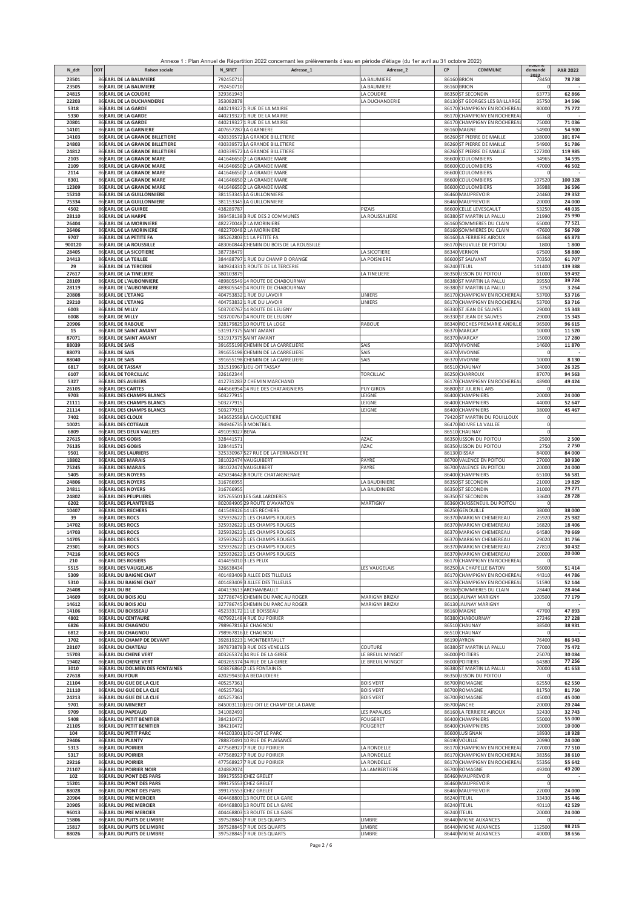|               | <b>DDT</b> |                                                      |                             | Annexe 1 : Plan Annuel de Repartition 2022 concernant les prelevements d'eau en periode d'etiage (du 1er avril au 31 octobre 2022) | Adresse 2             | <b>CP</b>      | <b>COMMUNE</b>                                          |                 | <b>PAR 2022</b>          |
|---------------|------------|------------------------------------------------------|-----------------------------|------------------------------------------------------------------------------------------------------------------------------------|-----------------------|----------------|---------------------------------------------------------|-----------------|--------------------------|
| N_ddt         |            | Raison sociale                                       | N_SIRET                     | Adresse 1                                                                                                                          |                       |                |                                                         | demandé<br>2022 |                          |
| 23501         |            | <b>86 EARL DE LA BAUMIERE</b>                        | 792450710                   |                                                                                                                                    | A BAUMIERE            | 86160          | <b>BRION</b>                                            | 7845            | 78738                    |
| 23505         |            | <b>86 EARL DE LA BAUMIERE</b>                        | 792450710                   |                                                                                                                                    | A BAUMIERE            | 86160          | <b>BRION</b>                                            |                 |                          |
| 24815         |            | <b>86 EARL DE LA COUDRE</b>                          | 329361943<br>35308287       |                                                                                                                                    | A COUDRE              | 86350          | <b>ST SECONDIN</b>                                      | 63773           | 62866                    |
| 22203         |            | 86 EARL DE LA DUCHANDERIE                            |                             |                                                                                                                                    | A DUCHANDERIE         | 86130          | ST GEORGES LES BAILLARGI<br>CHAMPIGNY EN ROCHEREA       | 35750           | 34 5 96<br>75772         |
| 5318<br>5330  |            | 86 EARL DE LA GARDE<br>86 EARL DE LA GARDE           |                             | 4402193271 RUE DE LA MAIRIE<br>440219327 1 RUE DE LA MAIRIE                                                                        |                       | 86170<br>86170 | CHAMPIGNY EN ROCHEREA                                   | 80000           |                          |
| 20801         |            | 86 EARL DE LA GARDE                                  |                             | 4402193271 RUE DE LA MAIRIE                                                                                                        |                       | 86170          | CHAMPIGNY EN ROCHEREA                                   | 75000           | 71036                    |
| 14101         |            | <b>86 EARL DE LA GARNIERE</b>                        |                             | 407657287 LA GARNIERE                                                                                                              |                       | 86160          | MAGNE                                                   | 54900           | 54 900                   |
| 14103         |            | 86 EARL DE LA GRANDE BILLETIERE                      | 430339572                   | LA GRANDE BILLETIERE                                                                                                               |                       | 86260          | ST PIERRE DE MAILLE                                     | 10800           | 101874                   |
| 24803         | 86         | EARL DE LA GRANDE BILLETIERE                         | 430339572                   | LA GRANDE BILLETIERE                                                                                                               |                       | 86260          | ST PIERRE DE MAILLE                                     | 5490            | 51786                    |
| 24812         |            | 86 EARL DE LA GRANDE BILLETIERE                      | 430339572                   | LA GRANDE BILLETIERE                                                                                                               |                       | 86260          | ST PIERRE DE MAILLE                                     | 127200          | 119985                   |
| 2103          |            | 86 EARL DE LA GRANDE MARE                            |                             | 441646650 2 LA GRANDE MARE                                                                                                         |                       |                | 86600 COULOMBIERS                                       | 3496            | 34 5 95                  |
| 2109          |            | 86 EARL DE LA GRANDE MARE                            | 441646650                   | 2 LA GRANDE MARE                                                                                                                   |                       | 86600          | COULOMBIERS                                             | 47000           | 46 502                   |
| 2114          |            | 86 EARL DE LA GRANDE MARE                            | 441646650                   | 2 LA GRANDE MARE                                                                                                                   |                       | 86600          | COULOMBIERS                                             |                 |                          |
| 8301          |            | <b>86 EARL DE LA GRANDE MARE</b>                     | 441646650                   | 2 LA GRANDE MARE                                                                                                                   |                       | 86600          | COULOMBIERS                                             | 107520          | 100 328                  |
| 12309         |            | 86 EARL DE LA GRANDE MARE                            | 441646650                   | 2 LA GRANDE MARE                                                                                                                   |                       | 86600          | COULOMBIERS                                             | 36988           | 36 5 96                  |
| 15210         |            | <b>86 EARL DE LA GUILLONNIERE</b>                    | 381153345                   | LA GUILLONNIERE                                                                                                                    |                       | 86460          | MAUPREVOIR                                              | 24460           | 29352                    |
| 75334         |            | 86 EARL DE LA GUILLONNIERE                           | 381153345                   | A GUILLONNIERE                                                                                                                     |                       | 86460          | MAUPREVOIR                                              | 20000           | 24 000                   |
| 4502          |            | <b>86 EARL DE LA GUIREE</b>                          | 43828978                    |                                                                                                                                    | <b>PIZAIS</b>         | 86600          | CELLE LEVESCAULT                                        | 53250           | 48 0 35                  |
| 28110         |            | <b>86 EARL DE LA HARPE</b>                           |                             | 3934581383 RUE DES 2 COMMUNES                                                                                                      | A ROUSSALIERE         | 86380          | ST MARTIN LA PALLU                                      | 21990           | 25 990                   |
| 26404         |            | <b>86 EARL DE LA MORINIERE</b>                       |                             | 482270048 2 LA MORINIERE                                                                                                           |                       |                | 86160 SOMMIERES DU CLAIN                                | 65000           | 77521                    |
| 26406         |            | <b>86 EARL DE LA MORINIERE</b>                       |                             | 482270048 2 LA MORINIERE                                                                                                           |                       |                | 86160 SOMMIERES DU CLAIN                                | 47600           | 56769                    |
| 9707          |            | 86 EARL DE LA PETITE FA                              |                             | 385262803 11 LA PETITE FA                                                                                                          |                       | 86160          | LA FERRIERE AIROUX                                      | 66368           | 65873                    |
| 900120        |            | <b>86 EARL DE LA ROUSSILLE</b>                       |                             | 483060844 CHEMIN DU BOIS DE LA ROUSSILLE                                                                                           |                       | 86170          | NEUVILLE DE POITOU                                      | 1800            | 1800                     |
| 28405         |            | <b>86EARL DE LA SICOTIERE</b>                        | 38773847                    |                                                                                                                                    | A SICOTIERE           | 86340          | VERNON                                                  | 67500           | 58 8 8 0                 |
| 24413         |            | 86 EARL DE LA TEILLEE                                | 384488797                   | 1 RUE DU CHAMP D ORANGE                                                                                                            | A POISNIERE           | 86600          | <b>ST SAUVANT</b>                                       | 70350           | 61707                    |
| 29            |            | 86 EARL DE LA TERCERIE                               | 340924331                   | I ROUTE DE LA TERCERIE                                                                                                             |                       | 86240          | <b>ITEUIL</b>                                           | 141400          | 139388                   |
| 27617         |            | <b>86 EARL DE LA TINELIERE</b>                       | 38010387                    |                                                                                                                                    | A TINELIERE           | 86350          | USSON DU POITOU                                         | 61000           | 59 4 92                  |
| 28109         |            | <b>86EARL DE L'AUBONNIERE</b>                        |                             | 489805549 14 ROUTE DE CHABOURNAY                                                                                                   |                       | 86380          | ST MARTIN LA PALLU                                      | 39550           | 39724                    |
| 28119         |            | <b>86 EARL DE L'AUBONNIERE</b>                       |                             | 48980554914 ROUTE DE CHABOURNAY                                                                                                    |                       | 86380          | ST MARTIN LA PALLU                                      | 3250            | 3 2 6 4                  |
| 20808         |            | <b>86 EARL DE L'ETANG</b>                            |                             | 4047538321 RUE DU LAVOIR                                                                                                           | <b>INIERS</b>         | 86170          | CHAMPIGNY EN ROCHEREA                                   | 53700           | 53716                    |
| 29210         |            | <b>86 EARL DE L'ETANG</b>                            |                             | 404753832 1 RUE DU LAVOIR                                                                                                          | <b>INIERS</b>         | 86170          | CHAMPIGNY EN ROCHEREA                                   | 53700           | 53716                    |
| 6003          |            | <b>86 EARL DE MILLY</b>                              |                             | 503700767 14 ROUTE DE LEUGNY                                                                                                       |                       | 86330          | ST JEAN DE SAUVES                                       | 29000           | 15343                    |
| 6008          |            | <b>86 EARL DE MILLY</b>                              |                             | 503700767 14 ROUTE DE LEUGNY                                                                                                       |                       | 86330          | ST JEAN DE SAUVES                                       | 29000           | 15343                    |
| 20906         |            | <b>86 EARL DE RABOUE</b>                             | 328179825                   | 10 ROUTE LA LOGE                                                                                                                   | RABOUE                | 86340          | ROCHES PREMARIE ANDILL                                  | 96500           | 96 615                   |
| 15            |            | <b>86 EARL DE SAINT AMANT</b>                        | 531917375                   | SAINT AMANT                                                                                                                        |                       | 86370          | MARCAY                                                  | 1000            | 11520                    |
| 87071         |            | <b>86 EARL DE SAINT AMANT</b>                        |                             | 531917375 SAINT AMANT                                                                                                              |                       | 86370          | MARCAY                                                  | 15000           | 17280                    |
| 88039         |            | <b>86 EARL DE SAIS</b>                               | 391655198                   | CHEMIN DE LA CARRELIERE                                                                                                            | <b>SAIS</b>           | 8637           | VIVONNE                                                 | 14600           | 11870                    |
| 88073         |            | 86 EARL DE SAIS                                      |                             | 391655198 CHEMIN DE LA CARRELIERE                                                                                                  | SAIS                  | 86370          | VIVONNE                                                 |                 | $\overline{\phantom{a}}$ |
| 88040         |            | <b>86 EARL DE SAIS</b>                               |                             | 391655198 CHEMIN DE LA CARRELIERE                                                                                                  | <b>SAIS</b>           | 8637           | VIVONNE                                                 | 10000           | 8 1 3 0                  |
| 6817          |            | <b>86 EARL DE TASSAY</b>                             |                             | 331519967 LIEU-DIT TASSAY                                                                                                          |                       | 86510          | <b>HAUNAY</b>                                           | 34000           | 26325                    |
| 6107          |            | <b>86 EARL DE TORCILLAC</b>                          | 326162344                   |                                                                                                                                    | TORCILLAC             | 86250          | CHARROUX                                                | 87070           | 94 5 63                  |
| 5327          |            | <b>86 EARL DES AUBIERS</b>                           | 412731283                   | 2 CHEMIN MARCHAND                                                                                                                  |                       | 86170          | CHAMPIGNY EN ROCHEREA                                   | 48900           | 49 4 24                  |
| 26105         |            | <b>86 EARL DES CARTES</b>                            | 444566954                   | 14 RUE DES CHATAIGNIERS                                                                                                            | PUY GIRON             | 86800          | ST JULIEN L ARS                                         |                 |                          |
| 9703          |            | 86 EARL DES CHAMPS BLANCS                            | 50327791                    |                                                                                                                                    | <b>EIGNE</b>          | 86400          | CHAMPNIERS                                              | 20000           | 24 000                   |
| 21111         |            | 86 EARL DES CHAMPS BLANCS                            | 503277915                   |                                                                                                                                    | <b>EIGNE</b>          | 86400          | CHAMPNIERS                                              | 44000           | 52 647                   |
| 21114         |            | 86 EARL DES CHAMPS BLANCS                            | 503277915                   |                                                                                                                                    | EIGNE                 | 86400          | CHAMPNIERS                                              | 38000           | 45 4 67                  |
| 7402          |            | <b>86 EARL DES CLOUX</b>                             |                             | 343652558 LA CACQUETIERE                                                                                                           |                       | 86470          | 79420 ST MARTIN DU FOUILLOUX<br><b>BOIVRE LA VALLEE</b> | $\Omega$        |                          |
| 10021         |            | <b>86 EARL DES COTEAUX</b>                           |                             | 394946735 3 MONTBEIL                                                                                                               |                       |                |                                                         |                 |                          |
| 6809<br>27615 |            | 86 EARL DES DEUX VALLEES<br><b>86 EARL DES GOBIS</b> | 491093027 BENA<br>328441571 |                                                                                                                                    | AZAC                  | 86510<br>86350 | CHAUNAY<br>USSON DU POITOU                              | 2500            | 2500                     |
| 76135         |            | 86 EARL DES GOBIS                                    | 328441571                   |                                                                                                                                    | <b>AZAC</b>           | 86350          | USSON DU POITOU                                         | 2750            | 2750                     |
| 9501          |            | <b>86 EARL DES LAURIERS</b>                          |                             | 325330967 527 RUE DE LA FERRANDIERE                                                                                                |                       | 86130          | <b>DISSAY</b>                                           | 8400            | 84 000                   |
| 18802         |            | 86 EARL DES MARAIS                                   |                             | 381022474 VAUGUIBERT                                                                                                               | AYRE                  | 86700          | VALENCE EN POITOU                                       | 27000           | 30930                    |
| 75245         |            | <b>86 EARL DES MARAIS</b>                            |                             | 381022474VAUGUIBERT                                                                                                                | AYRE                  | 86700          | VALENCE EN POITOU                                       | 20000           | 24 000                   |
| 5405          |            | <b>86 EARL DES NOYERS</b>                            |                             | 4250346428 ROUTE CHATAIGNERAIE                                                                                                     |                       | 86400          | CHAMPNIERS                                              | 65100           | 56 581                   |
| 24806         |            | <b>86 EARL DES NOYERS</b>                            | 31676695                    |                                                                                                                                    | A BAUDINIERE          |                | 86350 ST SECONDIN                                       | 21000           | 19829                    |
| 24811         |            | <b>86 EARL DES NOYERS</b>                            | 31676695                    |                                                                                                                                    | A BAUDINIERE          | 86350          | ST SECONDIN                                             | 3100            | 29 2 7 1                 |
| 24802         |            | <b>86 EARL DES PEUPLIERS</b>                         |                             | 325765501 LES GAILLARDIERES                                                                                                        |                       | 86350          | ST SECONDIN                                             | 33600           | 28728                    |
| 6202          |            | <b>86 EARL DES PLANTERIES</b>                        |                             | 802084905 29 ROUTE D'AVANTON                                                                                                       | MARTIGNY              | 86360          | CHASSENEUIL DU POITOU                                   |                 |                          |
| 10407         |            | <b>86 EARL DES RECHERS</b>                           |                             | 441549326 14 LES RECHERS                                                                                                           |                       | 86250          | GENOUILLE                                               | 38000           | 38 000                   |
| 39            |            | <b>86 EARL DES ROCS</b>                              | 325932622                   | 1 LES CHAMPS ROUGES                                                                                                                |                       | 8637           | MARIGNY CHEMEREAU                                       | 25920           | 25982                    |
| 14702         |            | 86 EARL DES ROCS                                     | 32593262                    | LLES CHAMPS ROUGES                                                                                                                 |                       | 8637           | MARIGNY CHEMEREAL                                       | 1682            | 18 4 06                  |
| 14703         |            | <b>86 EARL DES ROCS</b>                              |                             | 325932622 1 LES CHAMPS ROUGES                                                                                                      |                       | 86370          | MARIGNY CHEMEREAU                                       | 64580           | 70 669                   |
| 14705         |            | <b>86 EARL DES ROCS</b>                              |                             | 325932622 1 LES CHAMPS ROUGES                                                                                                      |                       | 86370          | MARIGNY CHEMEREAU                                       | 29020           | 31756                    |
| 29301         |            | <b>86 EARL DES ROCS</b>                              |                             | 3259326221 LES CHAMPS ROUGES                                                                                                       |                       |                | 86370 MARIGNY CHEMEREAU                                 | 27810           | 30 432                   |
| 74216         |            | <b>86 EARL DES ROCS</b>                              |                             | 325932622 1 LES CHAMPS ROUGES                                                                                                      |                       |                | 86370 MARIGNY CHEMEREAU                                 | 20000           | 20 000                   |
| 210           |            | <b>86 EARL DES ROSIERS</b>                           | 414495010 3 LES PEUX        |                                                                                                                                    |                       |                | 86170 CHAMPIGNY EN ROCHEREA                             |                 |                          |
| 5515          |            | <b>86 EARL DES VAUGELAIS</b>                         | 326638434                   |                                                                                                                                    | <b>ES VAUGELAIS</b>   | 86250          | LA CHAPELLE BATON                                       | 56000           | 51414                    |
| 5309          |            | <b>86 EARL DU BAIGNE CHAT</b>                        |                             | 401483409 3 ALLEE DES TILLEULS                                                                                                     |                       | 86170          | CHAMPIGNY EN ROCHEREA                                   | 44310           | 44786                    |
| 5310          |            | <b>86 EARL DU BAIGNE CHAT</b>                        |                             | 401483409 3 ALLEE DES TILLEULS                                                                                                     |                       |                | 86170 CHAMPIGNY EN ROCHEREA                             | 51590           | 52 144                   |
| 26408         |            | 86 EARL DU BE                                        |                             | 404133613 ARCHAMBAULT                                                                                                              |                       |                | 86160 SOMMIERES DU CLAIN                                | 28440           | 28 4 64                  |
| 14609         |            | 86 EARL DU BOIS JOLI                                 |                             | 327786745 CHEMIN DU PARC AU ROGER                                                                                                  | <b>MARIGNY BRIZAY</b> |                | 86130 JAUNAY MARIGNY                                    | 100500          | 77 179                   |
| 14612         |            | 86 EARL DU BOIS JOLI                                 |                             | 327786745 CHEMIN DU PARC AU ROGER                                                                                                  | <b>MARIGNY BRIZAY</b> | 86130          | <b>JAUNAY MARIGNY</b>                                   |                 |                          |
| 14106         |            | 86 EARL DU BOISSEAU                                  |                             | 452333172 11 LE BOISSEAU                                                                                                           |                       |                | 86160 MAGNE                                             | 47700           | 47893                    |
| 4802<br>6826  |            | <b>86 EARL DU CENTAURE</b><br>86 EARL DU CHAGNOU     |                             | 4079921484 RUE DU POIRIER<br>798967816 LE CHAGNOU                                                                                  |                       | 86510          | 86380 CHABOURNAY<br>CHAUNAY                             | 27246<br>38500  | 27 2 28<br>38931         |
| 6812          |            | 86 EARL DU CHAGNOU                                   |                             | 798967816 LE CHAGNOU                                                                                                               |                       | 86510          | CHAUNAY                                                 |                 |                          |
| 1702          |            | 86 EARL DU CHAMP DE DEVANT                           |                             | 3928192231 MONTBERTAULT                                                                                                            |                       |                | 86190 AYRON                                             | 76400           | 86943                    |
| 28107         |            | 86 EARL DU CHATEAU                                   |                             | 397873878 3 RUE DES VENELLES                                                                                                       | OUTURE                | 86380          | ST MARTIN LA PALLU                                      | 77000           | 75 472                   |
| 15703         |            | <b>86 EARL DU CHENE VERT</b>                         |                             | 403265374 34 RUE DE LA GIREE                                                                                                       | E BREUIL MINGOT       | 86000          | POITIERS                                                | 25070           | 30084                    |
| 19402         |            | <b>86 EARL DU CHENE VERT</b>                         |                             | 403265374 34 RUE DE LA GIREE                                                                                                       | E BREUIL MINGOT       |                | 86000 POITIERS                                          | 64380           | 77 256                   |
| 3010          |            | 86 EARL DU DOLMEN DES FONTAINES                      |                             | 503876864 2 LES FONTAINES                                                                                                          |                       | 86380          | ST MARTIN LA PALLU                                      | 70000           | 41 653                   |
| 27618         |            | <b>86 EARL DU FOUR</b>                               |                             | 420299430 LA BEDAUDIERE                                                                                                            |                       |                | 86350 USSON DU POITOU                                   |                 |                          |
| 21104         |            | 86 EARL DU GUE DE LA CLIE                            | 405257361                   |                                                                                                                                    | <b>BOIS VERT</b>      |                | 86700 ROMAGNE                                           | 62550           | 62 5 50                  |
| 21110         |            | 86 EARL DU GUE DE LA CLIE                            | 405257361                   |                                                                                                                                    | <b>BOIS VERT</b>      | 86700          | ROMAGNE                                                 | 81750           | 81750                    |
| 24213         |            | 86 EARL DU GUE DE LA CLIE                            | 405257361                   |                                                                                                                                    | <b>BOIS VERT</b>      | 86700          | ROMAGNE                                                 | 45000           | 45 000                   |
| 9701          |            | <b>86 EARL DU MINERET</b>                            |                             | 845003110 LIEU-DIT LE CHAMP DE LA DAME                                                                                             |                       |                | 86700 ANCHE                                             | 20000           | 20 244                   |
| 9709          |            | 86 EARL DU PAPEAUD                                   | 341082493                   |                                                                                                                                    | <b>ES PAPAUDS</b>     | 86160          | LA FERRIERE AIROUX                                      | 32430           | 32743                    |
| 5408          |            | <b>86 EARL DU PETIT BENITIER</b>                     | 384210472                   |                                                                                                                                    | OUGERET               | 86400          | CHAMPNIERS                                              | 55000           | 55 000                   |
| 21105         |            | <b>86 EARL DU PETIT BENITIER</b>                     | 384210472                   |                                                                                                                                    | OUGERET               | 86400          | CHAMPNIERS                                              | 10000           | 10 000                   |
| 104           |            | <b>86 EARL DU PETIT PARC</b>                         |                             | 444203301 LIEU-DIT LE PARC                                                                                                         |                       | 86600          | LUSIGNAN                                                | 18930           | 18928                    |
| 29406         |            | <b>86 EARL DU PLANTY</b>                             |                             | 788870491 10 RUE DE PLAISANCE                                                                                                      |                       | 86190          | VOUILLE                                                 | 20990           | 24 000                   |
| 5313          |            | <b>86 EARL DU POIRIER</b>                            |                             | 477568927 7 RUE DU POIRIER                                                                                                         | A RONDELLE            |                | 86170 CHAMPIGNY EN ROCHEREA                             | 77000           | 77510                    |
| 5317          |            | <b>86 EARL DU POIRIER</b>                            |                             | 477568927 7 RUE DU POIRIER                                                                                                         | A RONDELLE            | 86170          | CHAMPIGNY EN ROCHEREA                                   | 38356           | 38 6 10                  |
| 29216         |            | <b>86 EARL DU POIRIER</b>                            |                             | 477568927 7 RUE DU POIRIER                                                                                                         | A RONDELLE            | 86170          | CHAMPIGNY EN ROCHEREA                                   | 55356           | 55 642                   |
| 21107         |            | <b>86 EARL DU POIRIER NOIR</b>                       | 424882074                   |                                                                                                                                    | A LAMBERTIERE         | 86700          | ROMAGNE                                                 | 49200           | 49 200                   |
| 102           |            | 86 EARL DU PONT DES PARS                             | 399175553                   | CHEZ GRELET                                                                                                                        |                       | 86460          | MAUPREVOIR                                              |                 |                          |
| 15201         |            | 86 EARL DU PONT DES PARS                             |                             | 399175553 CHEZ GRELET                                                                                                              |                       | 86460          | MAUPREVOIR                                              |                 |                          |
| 88028         |            | 86 EARL DU PONT DES PARS                             |                             | 399175553 CHEZ GRELET                                                                                                              |                       |                | 86460 MAUPREVOIR                                        | 22000           | 24 000                   |
| 20904         |            | <b>86 EARL DU PRE MERCIER</b>                        | 404468803                   | 13 ROUTE DE LA GARE                                                                                                                |                       | 86240          | <b>ITEUIL</b>                                           | 33430           | 35 4 46                  |
| 20905         |            | 86 EARL DU PRE MERCIER                               |                             | 404468803 13 ROUTE DE LA GARE                                                                                                      |                       | 86240          | <b>ITEUIL</b>                                           | 40110           | 42 5 29                  |
| 96013         |            | <b>86 EARL DU PRE MERCIER</b>                        |                             | 404468803 13 ROUTE DE LA GARE                                                                                                      |                       | 86240          | <b>ITEUIL</b>                                           | 20000           | 24 000                   |
| 15806         |            | 86 EARL DU PUITS DE LIMBRE                           |                             | 397528845 7 RUE DES QUARTS                                                                                                         | <b>IMBRE</b>          | 86440          | MIGNE AUXANCES                                          |                 |                          |
| 15817         |            | 86 EARL DU PUITS DE LIMBRE                           |                             | 397528845 7 RUE DES QUARTS                                                                                                         | <b>IMBRE</b>          | 86440          | MIGNE AUXANCES                                          | 112500          | 98 2 15                  |
| 88026         |            | 86 EARL DU PUITS DE LIMBRE                           |                             | 397528845 7 RUE DES QUARTS                                                                                                         | <b>IMBRE</b>          |                | 86440 MIGNE AUXANCES                                    | 40000           | 38 6 5 6                 |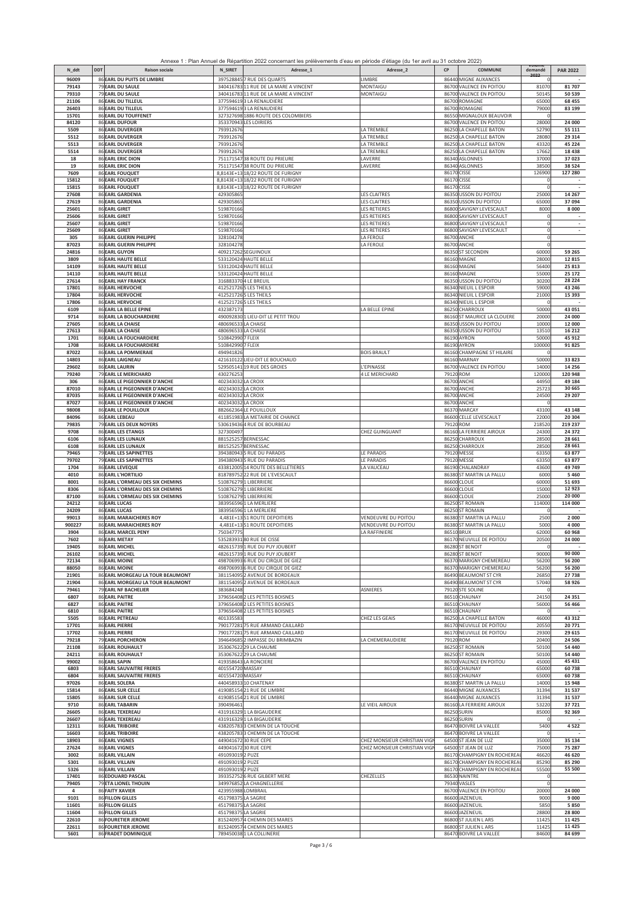|                        |            |                                                                      |                                           | Annexe 1 : Plan Annuel de Répartition 2022 concernant les prélèvements d'eau en période d'étiage (du 1er avril au 31 octobre 2022) |                                                         |                      |                                                     |                 |                     |
|------------------------|------------|----------------------------------------------------------------------|-------------------------------------------|------------------------------------------------------------------------------------------------------------------------------------|---------------------------------------------------------|----------------------|-----------------------------------------------------|-----------------|---------------------|
| N_ddt                  | <b>DDT</b> | <b>Raison sociale</b>                                                | N SIRET                                   | Adresse_1                                                                                                                          | Adresse_2                                               | CP                   | <b>COMMUNE</b>                                      | demandé         | <b>PAR 2022</b>     |
| 96009<br>79143         |            | 86 EARL DU PUITS DE LIMBRE<br>79 EARL DU SAULE                       |                                           | 397528845 7 RUE DES QUARTS<br>340416783 11 RUE DE LA MARE A VINCENT                                                                | <b>IMBRE</b><br>MONTAIGU                                | 86700                | 86440 MIGNE AUXANCES<br>VALENCE EN POITOU           | 81070           | 81707               |
| 79310                  |            | 79 EARL DU SAULE                                                     |                                           | 34041678311 RUE DE LA MARE A VINCENT                                                                                               | MONTAIGU                                                |                      | 86700 VALENCE EN POITOU                             | 50145           | 50 539              |
| 21106<br>26403         |            | 86 EARL DU TILLEUL<br><b>86 EARL DU TILLEUL</b>                      |                                           | 3775946193 LA RENAUDIERE<br>3775946193 LA RENAUDIERE                                                                               |                                                         | 86700                | ROMAGNE<br>86700 ROMAGNE                            | 65000<br>79000  | 68 455<br>83 199    |
| 15701<br>84120         |            | <b>86EARL DU TOUFFENET</b><br><b>86 EARL DUFOUR</b>                  | 353370943                                 | 327327698 1886 ROUTE DES COLOMBIERS<br><b>ES LOIRIERS</b>                                                                          |                                                         | 86700                | 86550 MIGNALOUX BEAUVOIR<br>VALENCE EN POITOU       | 28000           | 24 000              |
| 5509                   |            | <b>86 EARL DUVERGER</b>                                              | 793912676                                 |                                                                                                                                    | A TREMBLE                                               | 86250                | LA CHAPELLE BATON                                   | 5279            | 55 1 11             |
| 5512<br>5513           |            | <b>86 EARL DUVERGER</b><br><b>86 EARL DUVERGER</b>                   | 793912676<br>79391267                     |                                                                                                                                    | A TREMBLE<br>A TREMBLE                                  |                      | 86250 LA CHAPELLE BATON<br>86250 LA CHAPELLE BATON  | 28080<br>4332   | 29 3 14<br>45 2 24  |
| 5514                   |            | <b>86 EARL DUVERGER</b>                                              | 79391267                                  |                                                                                                                                    | A TREMBLE                                               |                      | 86250 LA CHAPELLE BATON                             | 1766            | 18438               |
| 18<br>19               |            | <b>86 EARL ERIC DION</b><br><b>86 EARL ERIC DION</b>                 |                                           | 751171547 38 ROUTE DU PRIEURE<br>75117154738 ROUTE DU PRIEURE                                                                      | AVERRE<br>AVERRE                                        |                      | 86340 ASLONNES<br>86340 ASLONNES                    | 37000<br>3850   | 37023<br>38524      |
| 7609                   |            | <b>86 EARL FOUQUET</b>                                               |                                           | 8,8143E+13 18/22 ROUTE DE FURIGNY                                                                                                  |                                                         | 86170 CISSE          |                                                     | 126900          | 127 280             |
| 15812<br>15815         |            | <b>86 EARL FOUQUET</b><br><b>86 EARL FOUQUET</b>                     |                                           | 8,8143E+13 18/22 ROUTE DE FURIGNY<br>8,8143E+1318/22 ROUTE DE FURIGNY                                                              |                                                         | 86170 CISSE<br>86170 | CISSE                                               |                 |                     |
| 27608<br>27619         |            | <b>86 EARL GARDENIA</b><br><b>86 EARL GARDENIA</b>                   | 42930586<br>42930586                      |                                                                                                                                    | <b>LES CLAITRES</b><br><b>LES CLAITRES</b>              | 86350                | USSON DU POITOU<br>86350 USSON DU POITOU            | 25000<br>65000  | 14 2 6 7<br>37094   |
| 25601                  |            | <b>86 EARL GIRET</b>                                                 | 51987016                                  |                                                                                                                                    | <b>LES RETIERES</b>                                     | 86800                | <b>SAVIGNY LEVESCAULT</b>                           | 8000            | 8 0 0 0             |
| 25606<br>25607         |            | 86 EARL GIRET<br>86 EARL GIRET                                       | 51987016<br>519870166                     |                                                                                                                                    | <b>LES RETIERES</b><br><b>LES RETIERES</b>              | 86800<br>86800       | SAVIGNY LEVESCAULT<br>SAVIGNY LEVESCAULT            |                 | $\sim$              |
| 25609                  |            | 86 EARL GIRET                                                        | 519870166                                 |                                                                                                                                    | <b>ES RETIERES</b>                                      | 86800                | SAVIGNY LEVESCAULT                                  |                 |                     |
| 305<br>87023           |            | <b>86 EARL GUERIN PHILIPPE</b><br><b>86 EARL GUERIN PHILIPPE</b>     | 328104278<br>328104278                    |                                                                                                                                    | A FEROLE<br>LA FEROLE                                   |                      | 86700 ANCHE<br>86700 ANCHE                          |                 |                     |
| 24816                  |            | <b>86 EARL GUYON</b>                                                 |                                           | 409217262 SEGUINOUX                                                                                                                |                                                         | 86350                | ST SECONDIN                                         | 60000           | 59 265              |
| 3809<br>14109          |            | <b>86 EARL HAUTE BELLE</b><br><b>86 EARL HAUTE BELLE</b>             |                                           | 533120424 HAUTE BELLE<br>533120424 HAUTE BELLE                                                                                     |                                                         | 86160<br>86160       | MAGNE<br>MAGNE                                      | 2800<br>56400   | 12815<br>25 8 13    |
| 14110<br>27614         |            | <b>86 EARL HAUTE BELLE</b><br><b>86 EARL HAY FRANCK</b>              |                                           | 533120424 HAUTE BELLE<br>3168833704 LE BREUIL                                                                                      |                                                         |                      | 86160 MAGNE<br>86350 USSON DU POITOU                | 55000<br>30200  | 25 172<br>28 2 24   |
| 17801                  |            | 86 EARL HERVOCHE                                                     |                                           | 412521726 5 LES THEILS                                                                                                             |                                                         |                      | 86340 NIEUIL L ESPOIR                               | 59000           | 43 246              |
| 17804<br>17806         |            | <b>86 EARL HERVOCHE</b><br><b>86 EARL HERVOCHE</b>                   |                                           | 4125217265 LES THEILS<br>412521726 5 LES THEILS                                                                                    |                                                         |                      | 86340 NIEUIL L ESPOIR<br>86340 NIEUIL L ESPOIR      | 21000           | 15 3 9 3            |
| 6109                   |            | 86 EARL LA BELLE EPINE                                               | 432387173                                 |                                                                                                                                    | LA BELLE EPINE                                          | 86250                | CHARROUX                                            | 50000           | 43 0 51             |
| 9714<br>27605          |            | <b>86 EARL LA BOUCHARDIERE</b><br><b>86 EARL LA CHAISE</b>           | 480696533 LA CHAISE                       | 490092830 1 LIEU-DIT LE PETIT TROU                                                                                                 |                                                         | 86160<br>86350       | ST MAURICE LA CLOUERE<br><b>USSON DU POITOU</b>     | 2000<br>10000   | 24 000<br>12 000    |
| 27613                  |            | <b>86 EARL LA CHAISE</b>                                             | 480696533                                 | A CHAISE                                                                                                                           |                                                         |                      | 86350 USSON DU POITOU                               | 13510           | 16 2 12             |
| 1701<br>1708           |            | <b>86 EARL LA FOUCHARDIERE</b><br><b>86 EARL LA FOUCHARDIERE</b>     | 510842990 7 FLEIX<br>510842990 7 FLEIX    |                                                                                                                                    |                                                         |                      | 86190 AYRON<br>86190 AYRON                          | 50000<br>100000 | 45912<br>91825      |
| 87022                  |            | <b>86 EARL LA POMMERAIE</b>                                          | 49494182                                  |                                                                                                                                    | <b>BOIS BRAULT</b>                                      | 86160                | <b>CHAMPAGNE ST HILAIRE</b>                         |                 |                     |
| 14803<br>29602         |            | <b>86 EARL LAIGNEAU</b><br><b>86 EARL LAURIN</b>                     |                                           | 421610122 LIEU-DIT LE BOUCHAUD<br>529505141 19 RUE DES GROIES                                                                      | 'EPINASSE                                               | 86160                | MARNAY<br>86700 VALENCE EN POITOU                   | 50000<br>14000  | 33 8 23<br>14 2 5 6 |
| 79240<br>306           |            | 79 EARL LE MERICHARD<br>86 EARL LE PIGEONNIER D'ANCHE                | 43027625<br>402343032 LA CROIX            |                                                                                                                                    | <b>4 LE MERICHARD</b>                                   | 79120 ROM<br>86700   | ANCHE                                               | 120000<br>4495  | 120948<br>49 184    |
| 87010                  |            | 86 EARL LE PIGEONNIER D'ANCHE                                        | 402343032                                 | <b>LA CROIX</b>                                                                                                                    |                                                         | 86700                | ANCHE                                               | 2572            | 30 6 65             |
| 87035<br>87027         |            | 86 EARL LE PIGEONNIER D'ANCHE<br>86 EARL LE PIGEONNIER D'ANCHE       | 402343032<br>402343032 LA CROIX           | LA CROIX                                                                                                                           |                                                         | 86700                | ANCHE<br>86700 ANCHE                                | 24500           | 29 207              |
| 98008                  |            | <b>86 EARL LE POUILLOUX</b>                                          |                                           | 882662364 LE POUILLOUX                                                                                                             |                                                         |                      | 86370 MARCAY                                        | 43100           | 43 1 48             |
| 84096<br>79835         |            | 86 EARL LEBEAU<br>79 EARL LES DEUX NOYERS                            |                                           | 411851983 LA METAIRIE DE CHAINCE<br>5306194364 RUE DE BOURBEAU                                                                     |                                                         | 86600<br>79120       | CELLE LEVESCAULT<br>ROM                             | 22000<br>218520 | 20 304<br>219 237   |
| 9708                   |            | <b>86 EARL LES ETANGS</b>                                            | 327300497                                 |                                                                                                                                    | CHEZ GUINGUANT                                          |                      | 86160 LA FERRIERE AIROUX                            | 24300           | 24 3 7 2            |
| 6106<br>6108           |            | <b>86 EARL LES LUNAUX</b><br><b>86 EARL LES LUNAUX</b>               |                                           | 881525257 BERNESSAC<br>881525257 BERNESSAC                                                                                         |                                                         | 86250                | 86250 CHARROUX<br>CHARROUX                          | 28500<br>28500  | 28 6 61<br>28 6 61  |
| 79465<br>79702         |            | 79 EARL LES SAPINETTES<br><b>79 EARL LES SAPINETTES</b>              | 394380943                                 | <b>RUE DU PARADIS</b><br>3943809435 RUE DU PARADIS                                                                                 | <b>E PARADIS</b><br>E PARADIS                           | 79120<br>79120       | MESSE<br>MESSE                                      | 6335<br>63350   | 63 877<br>63 877    |
| 1704                   |            | <b>86 EARL LEVEQUE</b>                                               |                                           | 433812005 14 ROUTE DES BELLETIERES                                                                                                 | A VAUCEAU                                               |                      | 86190 CHALANDRAY                                    | 43600           | 49749               |
| 4010<br>8001           |            | <b>86 EARL L'HORTILIO</b><br>86 EARL L'ORMEAU DES SIX CHEMINS        |                                           | 81878975222 RUE DE L'EVESCAULT<br>5108762791 LIBERRIERE                                                                            |                                                         | 86600                | 86380 ST MARTIN LA PALLU<br><b>CLOUE</b>            | 6000<br>6000    | 5460<br>51 693      |
| 8306                   |            | 86 EARL L'ORMEAU DES SIX CHEMINS                                     |                                           | 5108762791 LIBERRIERE                                                                                                              |                                                         | 86600                | CLOUE                                               | 15000           | 12923               |
| 87100<br>24212         |            | 86 EARL L'ORMEAU DES SIX CHEMINS<br><b>86 EARL LUCAS</b>             |                                           | 5108762791 LIBERRIERE<br>3839565961 LA MERLIERE                                                                                    |                                                         | 86250                | 86600 CLOUE<br><b>ST ROMAIN</b>                     | 25000<br>114000 | 20 000<br>114 000   |
| 24209                  |            | 86 EARL LUCAS                                                        |                                           | 383956596 1 LA MERLIERE                                                                                                            |                                                         | 86250                | <b>ST ROMAIN</b>                                    |                 |                     |
| 99013<br>900227        |            | <b>86 EARL MARAICHERES ROY</b><br><b>86 EARL MARAICHERES ROY</b>     |                                           | 4,481E+1351 ROUTE DEPOITIERS<br>4,481E+1351 ROUTE DEPOITIERS                                                                       | <b>VENDEUVRE DU POITOU</b><br><b>ENDEUVRE DU POITOU</b> | 86380                | 86380 ST MARTIN LA PALLU<br>ST MARTIN LA PALLU      | 2500<br>5000    | 2000<br>4000        |
| 3904<br>7602           |            | 86 EARL MARCEL PENY<br><b>86 EARL METAY</b>                          | 750347775                                 | 53528393180 RUE DE CISSE                                                                                                           | A RAFFINIERE                                            |                      | 86510 BRUX<br>86170 NEUVILLE DE POITOU              | 62000<br>20500  | 60968<br>24 000     |
| 19405                  |            | <b>86 EARL MICHEL</b>                                                |                                           | 4826157391 RUE DU PUY JOUBERT                                                                                                      |                                                         |                      | 86280 ST BENOIT                                     |                 |                     |
| 26102<br>72134         |            | 86 EARL MICHEL<br><b>86 EARL MOINE</b>                               |                                           | 4826157391 RUE DU PUY JOUBERT<br>4987069936 RUE DU CIRQUE DE GIEZ                                                                  |                                                         |                      | 86280 ST BENOIT<br>86370 MARIGNY CHEMEREAU          | 90000<br>56200  | 90 000<br>56 200    |
| 88050                  |            | <b>86 EARL MOINE</b>                                                 |                                           | 4987069936 RUE DU CIRQUE DE GIEZ                                                                                                   |                                                         |                      | 86370 MARIGNY CHEMEREAU                             | 56200           | 56 200              |
| 21901<br>21904         |            | 86 EARL MORGEAU LA TOUR BEAUMONT<br>86 EARL MORGEAU LA TOUR BEAUMONT | 381154095<br>381154095                    | 2 AVENUE DE BORDEAUX<br>2 AVENUE DE BORDEAUX                                                                                       |                                                         |                      | 86490 BEAUMONT ST CYR<br>86490 BEAUMONT ST CYR      | 2685<br>57040   | 27738<br>58926      |
| 79461                  |            | <b>79 EARL NF BACHELIER</b>                                          | 383684248                                 |                                                                                                                                    | ASNIERES                                                | 79120                | STE SOLINE                                          |                 |                     |
| 6807<br>6827           |            | <b>86 EARL PAITRE</b><br><b>86 EARL PAITRE</b>                       |                                           | 379656408 2 LES PETITES BOISNES<br>379656408 2 LES PETITES BOISNES                                                                 |                                                         |                      | 86510 CHAUNAY<br>86510 CHAUNAY                      | 24150<br>56000  | 24 3 5 1<br>56 4 66 |
| 6810<br>5505           |            | <b>86 EARL PAITRE</b><br><b>86 EARL PETREAU</b>                      | 401335583                                 | 379656408 2 LES PETITES BOISNES                                                                                                    | CHEZ LES GEAIS                                          | 86510                | CHAUNAY<br>86250 LA CHAPELLE BATON                  | 46000           | 43 3 12             |
| 17701                  |            | <b>86 EARL PIERRE</b>                                                |                                           | 790177281 75 RUE ARMAND CAILLARD                                                                                                   |                                                         |                      | 86170 NEUVILLE DE POITOU                            | 20550           | 20771               |
| 17702<br>79218         |            | <b>86 EARL PIERRE</b><br>79 EARL PORCHERON                           |                                           | 790177281 75 RUE ARMAND CAILLARD<br>394649685 2 IMPASSE DU BRIMBAZIN                                                               | A CHEMERAUDIERE                                         | 79120 ROM            | 86170 NEUVILLE DE POITOU                            | 29300<br>20400  | 29 6 15<br>24 5 06  |
| 21108                  |            | <b>86 EARL ROUHAULT</b>                                              | 353067622                                 | 29 LA CHAUME                                                                                                                       |                                                         | 86250                | <b>ST ROMAIN</b>                                    | 50100           | 54 440              |
| 24211<br>99002         |            | <b>86 EARL ROUHAULT</b><br><b>86 EARL SAPIN</b>                      |                                           | 353067622 29 LA CHAUME<br>419358643 LA RONCIERE                                                                                    |                                                         |                      | 86250 ST ROMAIN<br>86700 VALENCE EN POITOU          | 50100<br>45000  | 54 440<br>45 4 31   |
| 6803                   |            | <b>86 EARL SAUVAITRE FRERES</b><br><b>86 EARL SAUVAITRE FRERES</b>   | 401554720 MASSAY                          |                                                                                                                                    |                                                         |                      | 86510 CHAUNAY                                       | 65000           | 60738<br>60738      |
| 6804<br>97026          |            | <b>86 EARL SOLERA</b>                                                | 401554720 MASSAY                          | 440458933 10 CHATENAY                                                                                                              |                                                         |                      | 86510 CHAUNAY<br>86380 ST MARTIN LA PALLU           | 65000<br>14000  | 15948               |
| 15814<br>15805         |            | <b>86 EARL SUR CELLE</b><br><b>86 EARL SUR CELLE</b>                 |                                           | 419085154 21 RUE DE LIMBRE<br>419085154 21 RUE DE LIMBRE                                                                           |                                                         |                      | 86440 MIGNE AUXANCES<br>86440 MIGNE AUXANCES        | 31394<br>31394  | 31537<br>31537      |
| 9710                   |            | 86 EARL TABARIN                                                      | 390496461                                 |                                                                                                                                    | E VIEIL AIROUX                                          | 86160                | LA FERRIERE AIROUX                                  | 53220           | 37721               |
| 26605<br>26607         |            | <b>86 EARL TEXEREAU</b><br><b>86 EARL TEXEREAU</b>                   |                                           | 4319163291 LA BIGAUDERIE<br>431916329 1 LA BIGAUDERIE                                                                              |                                                         | 86250                | 86250 SURIN<br><b>SURIN</b>                         | 85000           | 92 3 6 9            |
| 12311                  |            | <b>86 EARL TRIBOIRE</b>                                              |                                           | 438205783 3 CHEMIN DE LA TOUCHE                                                                                                    |                                                         |                      | 86470 BOIVRE LA VALLEE                              | 5400            | 4522                |
| 16603<br>18903         |            | <b>86 EARL TRIBOIRE</b><br><b>86 EARL VIGNES</b>                     |                                           | 438205783 3 CHEMIN DE LA TOUCHE<br>449041672 30 RUE CEPE                                                                           | CHEZ MONSIEUR CHRISTIAN VIG                             |                      | 86470 BOIVRE LA VALLEE<br>64500 ST JEAN DE LUZ      | 35000           | 35 1 34             |
| 27624<br>3002          |            | <b>86 EARL VIGNES</b><br><b>86 EARL VILLAIN</b>                      | 4910930192 PUZE                           | 449041672 30 RUE CEPE                                                                                                              | CHEZ MONSIEUR CHRISTIAN VIGI                            |                      | 64500 ST JEAN DE LUZ<br>86170 CHAMPIGNY EN ROCHEREA | 75000<br>46620  | 75 287<br>46 6 20   |
| 5301                   |            | <b>86 EARL VILLAIN</b>                                               | 491093019 2 PUZE                          |                                                                                                                                    |                                                         |                      | 86170 CHAMPIGNY EN ROCHEREA                         | 85290           | 85 290              |
| 5326<br>17401          |            | 86 EARL VILLAIN<br>86 EDOUARD PASCAL                                 | 491093019<br>393352752                    | 2 PUZE<br><b>RUE GILBERT MERE</b>                                                                                                  | CHEZELLES                                               | 86170<br>86530       | CHAMPIGNY EN ROCHEREA<br>NAINTRE                    | 55500           | 55 500              |
| 79405                  |            | 79 ETA LIONEL THOUIN                                                 | 349976852                                 | LA CHAGNELLERIE                                                                                                                    |                                                         |                      | 79340 VASLES                                        |                 |                     |
| $\overline{a}$<br>9101 |            | <b>86 FAITY XAVIER</b><br><b>86 FILLON GILLES</b>                    | 423955988 LOMBRAIL<br>451798375 LA SAGRIE |                                                                                                                                    |                                                         |                      | 86700 VALENCE EN POITOU<br>86600 JAZENEUIL          | 20000<br>9000   | 24 000<br>9000      |
| 11601                  |            | <b>86 FILLON GILLES</b>                                              | 451798375 LA SAGRIE                       |                                                                                                                                    |                                                         | 86600                | JAZENEUIL                                           | 585             | 5850                |
| 11604<br>22610         |            | <b>86 FILLON GILLES</b><br><b>86 FOURETIER JEROME</b>                | 451798375 LA SAGRIE                       | 8152409574 CHEMIN DES MARES                                                                                                        |                                                         |                      | 86600 JAZENEUIL<br>86800 ST JULIEN L ARS            | 28800<br>11425  | 28 800<br>11425     |
| 22611<br>5601          |            | <b>86 FOURETIER JEROME</b><br>86 FRADET DOMINIQUE                    |                                           | 8152409574 CHEMIN DES MARES<br>789450038 1 LA COLLINERIE                                                                           |                                                         |                      | 86800 ST JULIEN L ARS<br>86470 BOIVRE LA VALLEE     | 1142<br>84600   | 11425<br>84 6 99    |
|                        |            |                                                                      |                                           |                                                                                                                                    |                                                         |                      |                                                     |                 |                     |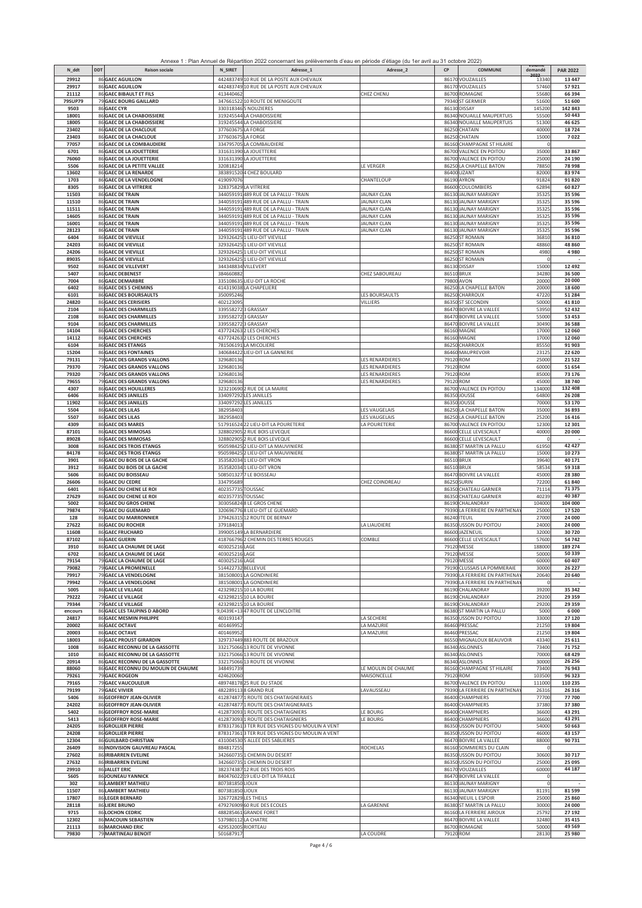|                        |            |                                                                       |                                         | Annexe 1 : Plan Annuel de Répartition 2022 concernant les prélèvements d'eau en période d'étiage (du 1er avril au 31 octobre 2022) |                                                |                          |                                                    |                 |                    |
|------------------------|------------|-----------------------------------------------------------------------|-----------------------------------------|------------------------------------------------------------------------------------------------------------------------------------|------------------------------------------------|--------------------------|----------------------------------------------------|-----------------|--------------------|
| N_ddt                  | <b>DDT</b> | <b>Raison sociale</b>                                                 | N SIRET                                 | Adresse 1                                                                                                                          | Adresse <sub>2</sub>                           | CP                       | <b>COMMUNE</b>                                     | demandé         | <b>PAR 2022</b>    |
| 29912<br>29917         |            | <b>86 GAEC AGUILLON</b><br><b>86 GAEC AGUILLON</b>                    |                                         | 442483749 10 RUE DE LA POSTE AUX CHEVAUX<br>442483749 10 RUE DE LA POSTE AUX CHEVAUX                                               |                                                | 86170                    | 86170 VOUZAILLES<br>VOUZAILLES                     | 13340<br>5746   | 13 4 47<br>57921   |
| 21112                  |            | <b>86 GAEC BIBAULT ET FILS</b>                                        | 413440462                               |                                                                                                                                    | <b>CHEZ CHENU</b>                              |                          | 86700 ROMAGNE                                      | 55680           | 66394              |
| <b>79SUP79</b><br>9503 |            | 79 GAEC BOURG GAILLARD<br><b>86 GAEC CYR</b>                          |                                         | 347661522 10 ROUTE DE MENIGOUTE<br>330318346 5 NOUZIERES                                                                           |                                                | 79340                    | ST GERMIER<br>86130 DISSAY                         | 51600<br>145200 | 51 600<br>142 843  |
| 18001                  |            | <b>86 GAEC DE LA CHABOISSIERE</b>                                     |                                         | 319245544 LA CHABOISSIERE                                                                                                          |                                                |                          | 86340 NOUAILLE MAUPERTUIS                          | 55500           | 50 4 43            |
| 18005<br>23402         |            | 86 GAEC DE LA CHABOISSIERE<br><b>86 GAEC DE LA CHACLOUE</b>           | 377603675 LA FORGE                      | 319245544 LA CHABOISSIERE                                                                                                          |                                                | 86340<br>86250           | <b>NOUAILLE MAUPERTUIS</b><br>CHATAIN              | 51300<br>40000  | 46 625<br>18724    |
| 23403                  |            | <b>86 GAEC DE LA CHACLOUE</b>                                         | 377603675 LA FORGE                      |                                                                                                                                    |                                                | 86250                    | CHATAIN                                            | 15000           | 7022               |
| 77057<br>6701          |            | <b>86 GAEC DE LA COMBAUDIERE</b><br><b>86 GAEC DE LA JOUETTERIE</b>   |                                         | 334795705 LA COMBAUDIERE<br>331631390 LA JOUETTERIE                                                                                |                                                | 86160<br>86700           | CHAMPAGNE ST HILAIRE<br>VALENCE EN POITOU          | 35000           | 33 867             |
| 76060                  |            | <b>86 GAEC DE LA JOUETTERIE</b>                                       |                                         | 331631390 LA JOUETTERIE                                                                                                            |                                                | 86700                    | VALENCE EN POITOU                                  | 25000           | 24 190             |
| 5506<br>13602          |            | 86 GAEC DE LA PETITE VALLEE<br><b>86 GAEC DE LA RENARDE</b>           | 32081821                                | 3838915204 CHEZ BOULARD                                                                                                            | E VERGER                                       | 86250                    | LA CHAPELLE BATON<br>86400 LIZANT                  | 7885<br>82000   | 78998<br>83974     |
| 1703                   |            | <b>86 GAEC DE LA VENDELOGNE</b>                                       | 419097076                               |                                                                                                                                    | CHANTELOUP                                     |                          | 86190 AYRON                                        | 91824           | 91820              |
| 8305<br>11503          |            | <b>86 GAEC DE LA VITRERIE</b><br><b>86 GAEC DE TRAIN</b>              |                                         | 328375829 LA VITRERIE<br>344059191489 RUE DE LA PALLU - TRAIN                                                                      | <b>JAUNAY CLAN</b>                             | 86600<br>86130           | COULOMBIERS<br><b>JAUNAY MARIGNY</b>               | 62894<br>3532   | 60827<br>35 5 96   |
| 11510                  |            | <b>86 GAEC DE TRAIN</b>                                               |                                         | 344059191489 RUE DE LA PALLU - TRAIN                                                                                               | <b>JAUNAY CLAN</b>                             | 86130                    | <b>JAUNAY MARIGNY</b>                              | 35325           | 35 5 96            |
| 11511<br>14605         |            | <b>86 GAEC DE TRAIN</b><br><b>86 GAEC DE TRAIN</b>                    |                                         | 344059191489 RUE DE LA PALLU - TRAIN<br>344059191489 RUE DE LA PALLU - TRAIN                                                       | <b>JAUNAY CLAN</b><br><b>JAUNAY CLAN</b>       |                          | 86130 JAUNAY MARIGNY<br>86130 JAUNAY MARIGNY       | 35325<br>3532   | 35 5 96<br>35 5 96 |
| 16001                  |            | <b>86 GAEC DE TRAIN</b>                                               |                                         | 344059191489 RUE DE LA PALLU - TRAIN                                                                                               | JAUNAY CLAN                                    |                          | 86130 JAUNAY MARIGNY                               | 35325           | 35 5 96            |
| 28123<br>6404          |            | <b>86 GAEC DE TRAIN</b><br><b>86 GAEC DE VIEVILLE</b>                 | 344059191<br>329326425                  | 489 RUE DE LA PALLU - TRAIN<br>1 LIEU-DIT VIEVILLE                                                                                 | <b>AUNAY CLAN</b>                              | 86130                    | <b>JAUNAY MARIGNY</b><br>86250 ST ROMAIN           | 3532<br>36810   | 35 5 96<br>36 810  |
| 24203                  |            | <b>86 GAEC DE VIEVILLE</b>                                            | 329326425                               | 1 LIEU-DIT VIEVILLE                                                                                                                |                                                |                          | 86250 ST ROMAIN                                    | 48860           | 48 8 6 0           |
| 24206<br>89035         |            | <b>86 GAEC DE VIEVILLE</b><br><b>86 GAEC DE VIEVILLE</b>              | 329326425<br>329326425                  | 1 LIEU-DIT VIEVILLE<br>1 LIEU-DIT VIEVILLE                                                                                         |                                                | 86250                    | 86250 ST ROMAIN<br><b>ST ROMAIN</b>                | 4980            | 4980               |
| 9502                   |            | 86 GAEC DE VILLEVERT                                                  | 344348834                               | VILLEVERT                                                                                                                          |                                                | 86130                    | <b>DISSAY</b>                                      | 15000           | 12 4 9 2           |
| 5407<br>7004           |            | <b>86 GAEC DEBENEST</b><br><b>86 GAEC DEMARBRE</b>                    | 384660882                               | 335108635 LIEU-DIT LA ROCHE                                                                                                        | HEZ SABOUREAU                                  | 86510 BRUX<br>79800 AVON |                                                    | 34280<br>20000  | 36 500<br>20 000   |
| 6402                   |            | 86 GAEC DES 5 CHEMINS                                                 |                                         | 414319038 LA CHAPELIERE                                                                                                            |                                                | 86250                    | LA CHAPELLE BATON                                  | 20000           | 18 600             |
| 6101<br>24820          |            | <b>86 GAEC DES BOURSAULTS</b><br><b>86 GAEC DES CERISIERS</b>         | 350095246<br>402123095                  |                                                                                                                                    | <b>ES BOURSAULTS</b><br>VILLIERS               | 86250<br>86350           | CHARROUX<br><b>ST SECONDIN</b>                     | 47220<br>50000  | 51 2 84<br>41810   |
| 2104                   |            | <b>86 GAEC DES CHARMILLES</b>                                         | 339558272                               | 3 GRASSAY                                                                                                                          |                                                | 86470                    | <b>BOIVRE LA VALLEE</b>                            | 53950           | 52 4 32            |
| 2108<br>9104           |            | <b>86 GAEC DES CHARMILLES</b><br><b>86 GAEC DES CHARMILLES</b>        | 339558272<br>339558272                  | <b>GRASSAY</b><br>3 GRASSAY                                                                                                        |                                                | 86470<br>86470           | <b>BOIVRE LA VALLEE</b><br><b>BOIVRE LA VALLEE</b> | 5500<br>30490   | 53 4 53<br>36 588  |
| 14104                  |            | <b>86 GAEC DES CHERCHES</b>                                           | 437724263                               | <b>LES CHERCHES</b>                                                                                                                |                                                | 86160                    | MAGNE                                              | 17000           | 12 060             |
| 14112<br>6104          |            | <b>86 GAEC DES CHERCHES</b><br><b>86 GAEC DES ETANGS</b>              |                                         | 437724263 2 LES CHERCHES<br>781506191 LA MICOLIERE                                                                                 |                                                | 86250                    | 86160 MAGNE<br>CHARROUX                            | 17000<br>85550  | 12 060<br>91903    |
| 15204                  |            | <b>86 GAEC DES FONTAINES</b>                                          |                                         | 340684422 LIEU-DIT LA GANNERIE                                                                                                     |                                                |                          | 86460 MAUPREVOIR                                   | 23125           | 22 6 20            |
| 79131<br>79370         |            | 79 GAEC DES GRANDS VALLONS<br>79 GAEC DES GRANDS VALLONS              | 329680136<br>329680136                  |                                                                                                                                    | <b>ES RENARDIERES</b><br><b>ES RENARDIERES</b> | 79120<br>79120 ROM       | ROM                                                | 25000<br>60000  | 21522<br>51 654    |
| 79320                  |            | 79 GAEC DES GRANDS VALLONS                                            | 329680136                               |                                                                                                                                    | <b>ES RENARDIERES</b>                          | 79120                    | <b>ROM</b>                                         | 85000           | 73 176             |
| 79655<br>4307          |            | 79 GAEC DES GRANDS VALLONS<br><b>86 GAEC DES HOUILLERES</b>           | 32968013<br>323210690                   | 2 RUE DE LA MAIRIE                                                                                                                 | <b>ES RENARDIERES</b>                          | 79120<br>86700           | <b>ROM</b><br>VALENCE EN POITOU                    | 4500<br>134000  | 38740<br>132 408   |
| 6406                   |            | <b>86 GAEC DES JANILLES</b>                                           |                                         | 334097292 LES JANILLES                                                                                                             |                                                | 86350                    | JOUSSE                                             | 64800           | 26 208             |
| 11902<br>5504          |            | 86 GAEC DES JANILLES<br><b>86 GAEC DES LILAS</b>                      | 38295840                                | 334097292 LES JANILLES                                                                                                             | <b>ES VAUGELAIS</b>                            | 86350<br>86250           | JOUSSE<br>LA CHAPELLE BATON                        | 70000<br>35000  | 53 170<br>36893    |
| 5507                   |            | <b>86 GAEC DES LILAS</b>                                              | 38295840                                |                                                                                                                                    | ES VAUGELAIS                                   | 86250                    | LA CHAPELLE BATON                                  | 25200           | 16416              |
| 4309<br>87101          |            | <b>86 GAEC DES MARES</b><br>86 GAEC DES MIMOSAS                       |                                         | 517916524 22 LIEU-DIT LA POURETERIE<br>328802905 2 RUE BOIS LEVEQUE                                                                | A POURETERIE                                   | 86700                    | VALENCE EN POITOU<br>86600 CELLE LEVESCAULT        | 12300<br>40000  | 12 301<br>20 000   |
| 89028                  |            | 86 GAEC DES MIMOSAS                                                   | 328802905                               | 2 RUE BOIS LEVEQUE                                                                                                                 |                                                |                          | 86600 CELLE LEVESCAULT                             |                 |                    |
| 3008<br>84178          |            | <b>86 GAEC DES TROIS ETANGS</b><br><b>86 GAEC DES TROIS ETANGS</b>    | 95059842<br>95059842                    | <b>LIEU-DIT LA MAUVINIERE</b><br>2 LIEU-DIT LA MAUVINIERE                                                                          |                                                | 86380<br>86380           | ST MARTIN LA PALLU<br>ST MARTIN LA PALLU           | 61950<br>15000  | 42 4 27<br>10273   |
| 3901                   |            | 86 GAEC DU BOIS DE LA GACHE                                           | 353582034                               | 1 LIEU-DIT VRON                                                                                                                    |                                                | 86510                    | <b>BRUX</b>                                        | 39640           | 40 171             |
| 3912<br>5606           |            | 86 GAEC DU BOIS DE LA GACHE<br>86 GAEC DU BOISSEAU                    | 508501327                               | 353582034 1 LIEU-DIT VRON<br>7 LE BOISSEAU                                                                                         |                                                | 86510 BRUX<br>86470      | <b>BOIVRE LA VALLEE</b>                            | 58534<br>45000  | 59318<br>28 3 80   |
| 26606                  |            | <b>86 GAEC DU CEDRE</b>                                               | 334795689                               |                                                                                                                                    | <b>CHEZ COINDREAU</b>                          | 86250                    | SURIN                                              | 72200           | 61840              |
| 6401<br>27629          |            | 86 GAEC DU CHENE LE ROI<br>86 GAEC DU CHENE LE ROI                    | 402357735TOUSSAC<br>402357735 TOUSSAC   |                                                                                                                                    |                                                | 86350<br>86350           | CHATEAU GARNIER<br>CHATEAU GARNIER                 | 71114<br>40239  | 71375<br>40 387    |
| 5002                   |            | 86 GAEC DU GROS CHENE                                                 |                                         | 303056824 8 LE GROS CHENE                                                                                                          |                                                | 86190                    | CHALANDRAY                                         | 104000          | 104 000            |
| 79874<br>128           |            | 79 GAEC DU GUEMARD<br><b>86 GAEC DU MARRONNIER</b>                    | 320696776<br>379426315                  | 8 LIEU-DIT LE GUEMARD<br>12 ROUTE DE BERNAY                                                                                        |                                                | 79390<br>86240           | LA FERRIERE EN PARTHENA<br><b>ITEUIL</b>           | 2500<br>27000   | 17520<br>24 000    |
| 27622                  |            | <b>86 GAEC DU ROCHER</b>                                              | 379184013                               |                                                                                                                                    | A LIAUDIERE                                    | 86350                    | USSON DU POITOU                                    | 24000           | 24 000             |
| 11608<br>87102         |            | <b>86 GAEC FRUCHARD</b><br><b>86 GAEC GUERIN</b>                      |                                         | 399005149 LA BERNARDIERE<br>418766796 2 CHEMIN DES TERRES ROUGES                                                                   | COMBLE                                         |                          | 86600 JAZENEUIL<br>86600 CELLE LEVESCAULT          | 32000<br>57600  | 30720<br>54742     |
| 3910                   |            | <b>86 GAEC LA CHAUME DE LAGE</b>                                      | 403025216 LAGE                          |                                                                                                                                    |                                                |                          | 79120 MESSE                                        | 188000          | 189 274            |
| 6702<br>79154          |            | <b>86 GAEC LA CHAUME DE LAGE</b><br>79 GAEC LA CHAUME DE LAGE         | 403025216 LAGE<br>403025216 LAGE        |                                                                                                                                    |                                                | 79120                    | MESSE<br>79120 MESSE                               | 50000<br>60000  | 50339<br>60 407    |
| 79082                  |            | 79 GAEC LA PROMENELLE                                                 | 514422732 BELLEVUE                      |                                                                                                                                    |                                                | 79190                    | CLUSSAIS LA POMMERAIE                              | 30000           | 26 2 27            |
| 79917<br>79942         |            | 79 GAEC LA VENDELOGNE<br>79 GAEC LA VENDELOGNE                        |                                         | 381508001 LA GONDINIERE<br>381508001 LA GONDINIERE                                                                                 |                                                | 79390<br>79390           | LA FERRIERE EN PARTHENA<br>LA FERRIERE EN PARTHENA | 20640           | 20 640             |
| 5005                   |            | <b>86 GAEC LE VILLAGE</b>                                             |                                         | 423298215 10 LA BOURIE                                                                                                             |                                                | 86190                    | CHALANDRAY                                         | 39200           | 35 342             |
| 79222<br>79344         |            | 79 GAEC LE VILLAGE<br><b>79 GAEC LE VILLAGE</b>                       |                                         | 423298215 10 LA BOURIE<br>423298215 10 LA BOURIE                                                                                   |                                                |                          | 86190 CHALANDRAY<br>86190 CHALANDRAY               | 29200<br>29200  | 29 3 5 9<br>29359  |
| encours                |            | 86 GAEC LES TAUPINS D ABORD                                           |                                         | 9,0439E+1347 ROUTE DE LENCLOITRE                                                                                                   |                                                |                          | 86380 ST MARTIN LA PALLU                           | 5000            | 6000               |
| 24817<br>20002         |            | 86 GAEC MESMIN PHILIPPE<br><b>86 GAEC OCTAVE</b>                      | 403193147<br>401469952                  |                                                                                                                                    | A SECHERE<br>A MAZURIE                         | 86350                    | <b>USSON DU POITOU</b><br>86460 PRESSAC            | 33000<br>21250  | 27 1 20<br>19804   |
| 20003                  |            | <b>86 GAEC OCTAVE</b>                                                 | 40146995                                |                                                                                                                                    | A MAZURIE                                      | 86460                    | PRESSAC                                            | 21250           | 19804              |
| 18003<br>1008          |            | <b>86 GAEC PROUST GIRARDIN</b><br>86 GAEC RECONNU DE LA GASSOTTE      |                                         | 329737449 883 ROUTE DE BRAZOUX<br>33217506613 ROUTE DE VIVONNE                                                                     |                                                | 86550<br>86340           | MIGNALOUX BEAUVOIR<br><b>ASLONNES</b>              | 43340<br>73400  | 25 6 11<br>71752   |
| 1010                   |            | 86 GAEC RECONNU DE LA GASSOTTE                                        |                                         | 33217506613 ROUTE DE VIVONNE                                                                                                       |                                                |                          | 86340 ASLONNES                                     | 70000           | 68 4 29            |
| 20914<br>88060         |            | 86 GAEC RECONNU DE LA GASSOTTE<br>86 GAEC RECONNU DU MOULIN DE CHAUME | 348491739                               | 332175066 13 ROUTE DE VIVONNE                                                                                                      | E MOULIN DE CHAUME                             |                          | 86340 ASLONNES<br>86160 CHAMPAGNE ST HILAIRE       | 30000<br>73400  | 26 25 6<br>76943   |
| 79261                  |            | 79 GAEC ROGEON                                                        | 424620060                               |                                                                                                                                    | MAISONCELLE                                    | 79120 ROM                |                                                    | 103500          | 96323              |
| 79165<br>79199         |            | 79 GAEC VAUCOULEUR<br><b>79 GAEC VIVIER</b>                           |                                         | 489748178 25 RUE DU STADE<br>4822891138 GRAND RUE                                                                                  | AVAUSSEAU                                      | 79390                    | 86700 VALENCE EN POITOU<br>LA FERRIERE EN PARTHENA | 111000<br>26316 | 110 235<br>26316   |
| 5406                   |            | 86 GEOFFROY JEAN-OLIVIER                                              |                                         | 4128748771 ROUTE DES CHATAIGNERAIES                                                                                                |                                                | 86400                    | CHAMPNIERS                                         | 77700           | 77700              |
| 24202<br>5402          |            | 86 GEOFFROY JEAN-OLIVIER<br>86 GEOFFROY ROSE-MARIE                    | 412874877<br>412873093                  | I ROUTE DES CHATAIGNERAIES<br>1 ROUTE DES CHATAIGNIERS                                                                             | E BOURG                                        | 86400<br>86400           | CHAMPNIERS<br>CHAMPNIERS                           | 37380<br>36600  | 37380<br>43 291    |
| 5413                   |            | 86 GEOFFROY ROSE-MARIE                                                | 412873093                               | 1 ROUTE DES CHATAIGNIERS                                                                                                           | E BOURG                                        | 86400                    | CHAMPNIERS                                         | 36600           | 43 291             |
| 24205<br>24208         |            | <b>86 GROLLIER PIERRE</b><br><b>86 GROLLIER PIERRE</b>                |                                         | 8783173613 TER RUE DES VIGNES DU MOULIN A VENT<br>878317361 3 TER RUE DES VIGNES DU MOULIN A VENT                                  |                                                |                          | 86350 USSON DU POITOU<br>86350 USSON DU POITOU     | 54000<br>46000  | 50 663<br>43 157   |
| 12304                  |            | <b>86 GUILBARD CHRISTIAN</b>                                          |                                         | 431004530 5 ALLEE DES SABLIERES                                                                                                    |                                                |                          | 86470 BOIVRE LA VALLEE                             | 88000           | 90731              |
| 26409<br>27602         |            | 86 INDIVISION GAUVREAU PASCAL<br><b>86 IRIBARREN EVELINE</b>          | 884817255                               | 342660735 1 CHEMIN DU DESERT                                                                                                       | ROCHELAS                                       | 86350                    | 86160 SOMMIERES DU CLAIN<br>USSON DU POITOU        | 30600           | 30717              |
| 27632                  |            | <b>86 IRIBARREN EVELINE</b>                                           | 342660735                               | 1 CHEMIN DU DESERT                                                                                                                 |                                                | 86350                    | USSON DU POITOU                                    | 25000           | 25 0 95            |
| 29910<br>5605          |            | <b>86JALLET ERIC</b><br><b>86JOUNEAU YANNICK</b>                      | 382374387<br>840476022                  | 12 RUE DES TROIS ROIS<br>19 LIEU-DIT LA TIFAILLE                                                                                   |                                                | 86170<br>86470           | VOUZAILLES<br><b>BOIVRE LA VALLEE</b>              | 60000           | 44 187             |
| 302                    |            | <b>86 LAMBERT MATHIEU</b>                                             | 807381850 LIOUX                         |                                                                                                                                    |                                                | 86130                    | <b>JAUNAY MARIGNY</b>                              |                 |                    |
| 11507<br>17807         |            | 86 LAMBERT MATHIEU<br><b>86 LEGER BERNARD</b>                         | 807381850 LIOUX<br>326772829 LES THEILS |                                                                                                                                    |                                                |                          | 86130 JAUNAY MARIGNY<br>86340 NIEUIL L ESPOIR      | 81191<br>25000  | 81599<br>25 8 60   |
| 28118                  |            | <b>86 LIERE BRUNO</b>                                                 |                                         | 479276909 60 RUE DES ECOLES                                                                                                        | A GARENNE                                      |                          | 86380 ST MARTIN LA PALLU                           | 30000           | 24 000             |
| 9715<br>12302          |            | <b>86 LOCHON CEDRIC</b><br><b>86 MACOUIN SEBASTIEN</b>                | 537980112 LA CHATRE                     | 488285461 GRANDE FORET                                                                                                             |                                                | 86160                    | LA FERRIERE AIROUX<br>86470 BOIVRE LA VALLEE       | 25792<br>32480  | 27 192<br>35 4 15  |
| 21113                  |            | <b>86 MARCHAND ERIC</b>                                               | 429532005 RIORTEAU                      |                                                                                                                                    |                                                | 86700                    | ROMAGNE                                            | 50000           | 49 5 69            |
| 79830                  |            | 79 MARTINEAU BENOIT                                                   | 501687917                               |                                                                                                                                    | A COUDRE                                       | 79120 ROM                |                                                    | 28130           | 25 980             |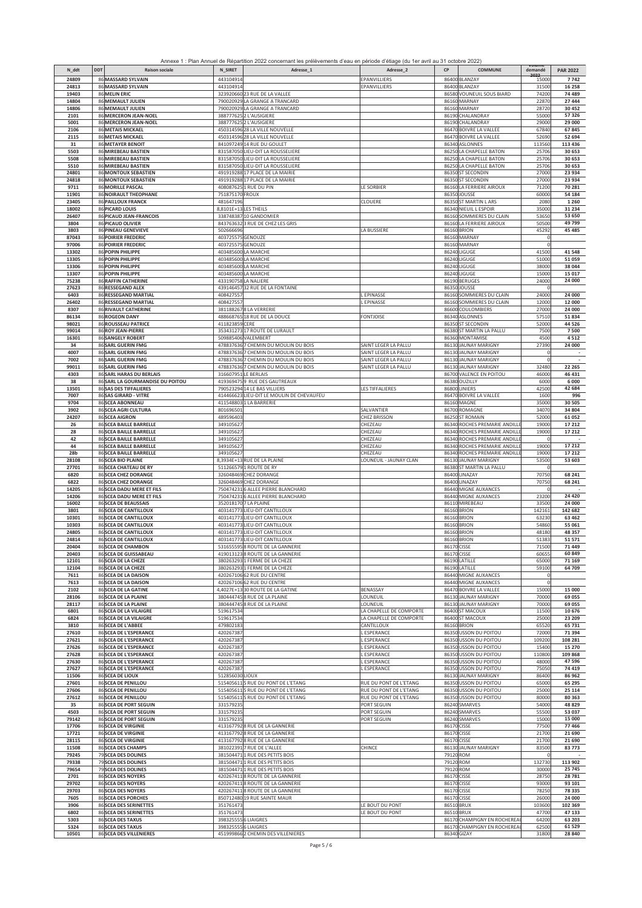|                          |            |                                                                  |                                    | Annexe 1 : Plan Annuel de Répartition 2022 concernant les prélèvements d'eau en période d'étiage (du 1er avril au 31 octobre 2022) |                                             |                        |                                                   |                 |                   |
|--------------------------|------------|------------------------------------------------------------------|------------------------------------|------------------------------------------------------------------------------------------------------------------------------------|---------------------------------------------|------------------------|---------------------------------------------------|-----------------|-------------------|
| N_ddt                    | <b>DDT</b> | <b>Raison sociale</b>                                            | N SIRET                            | Adresse_1                                                                                                                          | Adresse_2                                   | CP                     | <b>COMMUNE</b>                                    | demandé         | <b>PAR 2022</b>   |
| 24809                    |            | 86 MASSARD SYLVAIN                                               | 443104914                          |                                                                                                                                    | PANVILLIERS                                 | 86400                  | BLANZAY                                           | 1500            | 7742              |
| 24813                    |            | 86 MASSARD SYLVAIN                                               | 44310491                           |                                                                                                                                    | EPANVILLIERS                                | 86400                  | BLANZAY                                           | 3150            | 16258             |
| 19403                    |            | <b>86 MELIN ERIC</b>                                             |                                    | 323920660 23 RUE DE LA VALLEE                                                                                                      |                                             | 86580                  | VOUNEUIL SOUS BIARD                               | 74200           | 74 489            |
| 14804                    |            | 86 MEMAULT JULIEN                                                |                                    | 790020929 LA GRANGE A TRANCARD                                                                                                     |                                             |                        | 86160 MARNAY                                      | 22870           | 27 4 44           |
| 14806<br>2101            |            | <b>86 MEMAULT JULIEN</b><br>86 MERCERON JEAN-NOEL                |                                    | 790020929 LA GRANGE A TRANCARD<br>388777625 2 L'AUSIGIERE                                                                          |                                             | 86190                  | 86160 MARNAY<br>CHALANDRAY                        | 2872<br>55000   | 30 4 52<br>57326  |
| 5001                     |            | 86 MERCERON JEAN-NOEL                                            |                                    | 388777625 2 L'AUSIGIERE                                                                                                            |                                             | 86190                  | CHALANDRAY                                        | 29000           | 29 000            |
| 2106                     |            | <b>86 METAIS MICKAEL</b>                                         |                                    | 450314596 28 LA VILLE NOUVELLE                                                                                                     |                                             | 86470                  | <b>BOIVRE LA VALLEE</b>                           | 67840           | 67845             |
| 2115                     |            | <b>86 METAIS MICKAEL</b>                                         |                                    | 450314596 28 LA VILLE NOUVELLE                                                                                                     |                                             | 86470                  | <b>BOIVRE LA VALLEE</b>                           | 5269            | 52 694            |
| 31                       |            | <b>86 METAYER BENOIT</b>                                         |                                    | 841097249 14 RUE DU GOULET                                                                                                         |                                             | 86340                  | <b>ASLONNES</b>                                   | 11356           | 113 4 36          |
| 5503<br>5508             |            | 86 MIREBEAU BASTIEN<br>86 MIREBEAU BASTIEN                       |                                    | 831587050 LIEU-DIT LA ROUSSELIERE<br>831587050 LIEU-DIT LA ROUSSELIERE                                                             |                                             | 86250<br>86250         | LA CHAPELLE BATON<br>LA CHAPELLE BATON            | 25706<br>2570   | 30 653<br>30 653  |
| 5510                     |            | 86 MIREBEAU BASTIEN                                              |                                    | 831587050 LIEU-DIT LA ROUSSELIERE                                                                                                  |                                             |                        | 86250 LA CHAPELLE BATON                           | 25706           | 30 653            |
| 24801                    |            | <b>86MONTOUX SEBASTIEN</b>                                       |                                    | 491919288 17 PLACE DE LA MAIRIE                                                                                                    |                                             |                        | 86350 ST SECONDIN                                 | 27000           | 23 9 34           |
| 24818                    |            | <b>86 MONTOUX SEBASTIEN</b>                                      |                                    | 491919288 17 PLACE DE LA MAIRIE                                                                                                    |                                             |                        | 86350 ST SECONDIN                                 | 27000           | 23 9 34           |
| 9711                     |            | <b>86 MORILLE PASCAL</b>                                         |                                    | 408087625 1 RUE DU PIN                                                                                                             | <b>E SORBIER</b>                            | 86160                  | LA FERRIERE AIROUX                                | 71200           | 70 281            |
| 11901                    |            | <b>86 NOIRAULT THEOPHANE</b>                                     | 751875170 FROUX                    |                                                                                                                                    |                                             |                        | 86350JOUSSE                                       | 60000           | 54 184            |
| 23405<br>18002           |            | <b>86 PAILLOUX FRANCK</b><br><b>86 PICARD LOUIS</b>              | 481647196<br>8,8101E+13 LES THEILS |                                                                                                                                    | CLOUERE                                     | 86350<br>86340         | ST MARTIN L ARS<br>NIEUIL L ESPOIR                | 2080<br>3500    | 1260<br>31 2 34   |
| 26407                    |            | 86 PICAUD JEAN-FRANCOIS                                          |                                    | 33874838710 GANDOMIER                                                                                                              |                                             |                        | 86160 SOMMIERES DU CLAIN                          | 5365            | 53 650            |
| 3804                     |            | <b>86 PICAUD OLIVIER</b>                                         |                                    | 843763632 3 RUE DE CHEZ LES GRIS                                                                                                   |                                             | 86160                  | LA FERRIERE AIROUX                                | 50500           | 49799             |
| 3803                     |            | <b>86 PINEAU GENEVIEVE</b>                                       | 502666696                          |                                                                                                                                    | A BUSSIERE                                  |                        | 86160 BRION                                       | 45292           | 45 4 85           |
| 87043                    |            | <b>86 POIRIER FREDERIC</b>                                       | 403725575 GENOUZE                  |                                                                                                                                    |                                             |                        | 86160 MARNAY                                      |                 |                   |
| 97006<br>13302           |            | <b>86 POIRIER FREDERIC</b>                                       | 403725575 GENOUZE                  | 403485600 LA MARCHE                                                                                                                |                                             | 86160<br>86240         | MARNAY                                            | 41500           | 41548             |
| 13305                    |            | <b>86 POPIN PHILIPPE</b><br>86 POPIN PHILIPPE                    |                                    | 403485600 LA MARCHE                                                                                                                |                                             | 86240                  | LIGUGE<br>LIGUGE                                  | 51000           | 51059             |
| 13306                    |            | <b>86 POPIN PHILIPPE</b>                                         | 403485600                          | LA MARCHE                                                                                                                          |                                             | 86240                  | LIGUGE                                            | 3800            | 38 0 44           |
| 13307                    |            | 86 POPIN PHILIPPE                                                |                                    | 403485600 LA MARCHE                                                                                                                |                                             | 86240                  | LIGUGE                                            | 15000           | 15 0 17           |
| 75238                    |            | 86 RAFFIN CATHERINE                                              |                                    | 433190758 LA NALIERE                                                                                                               |                                             | 86190                  | <b>BERUGES</b>                                    | 24000           | 24 000            |
| 27623                    |            | 86 RESSEGAND ALEX                                                |                                    | 43914645732 RUE DE LA FONTAINE                                                                                                     |                                             | 86350                  | JOUSSE                                            |                 |                   |
| 6403<br>26402            |            | 86 RESSEGAND MARTIAL<br>86 RESSEGAND MARTIAL                     | 408427557<br>40842755              |                                                                                                                                    | EPINASSE<br><b>EPINASSE</b>                 | 86160                  | 86160 SOMMIERES DU CLAIN<br>SOMMIERES DU CLAIN    | 24000<br>12000  | 24 000<br>12 000  |
| 8307                     |            | <b>86 RIVAULT CATHERINE</b>                                      |                                    | 3811882678 LA VERRERIE                                                                                                             |                                             | 86600                  | COULOMBIERS                                       | 2700            | 24 000            |
| 86134                    |            | <b>86 ROGEON DANY</b>                                            |                                    | 488668765 18 RUE DE LA DOUCE                                                                                                       | <b>FONTJOISE</b>                            | 86340                  | <b>ASLONNES</b>                                   | 57510           | 51834             |
| 98021                    |            | <b>86 ROUSSEAU PATRICE</b>                                       | 411823859 CERE                     |                                                                                                                                    |                                             |                        | 86350 ST SECONDIN                                 | 52000           | 44526             |
| 99014                    |            | 86 ROY JEAN-PIERRE                                               | 353431273                          | 17 ROUTE DE LURAULT                                                                                                                |                                             | 86380                  | ST MARTIN LA PALLU                                | 7500            | 7500              |
| 16301                    |            | <b>86SANGELY ROBERT</b>                                          |                                    | 509885406 VALEMBERT                                                                                                                |                                             | 86130                  | 86360 MONTAMISE                                   | 4500<br>27390   | 4512<br>24 000    |
| 34<br>4007               |            | 86 SARL GUERIN FMG<br><b>86 SARL GUERIN FMG</b>                  | 478837636                          | 7 CHEMIN DU MOULIN DU BOIS<br>4788376367 CHEMIN DU MOULIN DU BOIS                                                                  | SAINT LEGER LA PALLU<br>AINT LEGER LA PALLU |                        | JAUNAY MARIGNY<br>86130JAUNAY MARIGNY             |                 |                   |
| 7002                     |            | 86 SARL GUERIN FMG                                               |                                    | 478837636 7 CHEMIN DU MOULIN DU BOIS                                                                                               | SAINT LEGER LA PALLU                        |                        | 86130 JAUNAY MARIGNY                              |                 | $\sim$            |
| 99011                    |            | 86SARL GUERIN FMG                                                |                                    | 4788376367 CHEMIN DU MOULIN DU BOIS                                                                                                | SAINT LEGER LA PALLU                        |                        | 86130JAUNAY MARIGNY                               | 32480           | 22 2 65           |
| 4303                     |            | 86 SARL HARAS DU BERLAIS                                         | 316607951 LE BERLAIS               |                                                                                                                                    |                                             |                        | 86700 VALENCE EN POITOU                           | 46000           | 46 431            |
| 38                       |            | 86 SARL LA GOURMANDISE DU POITOU                                 |                                    | 4193694759 RUE DES GAUTREAUX                                                                                                       |                                             | 86380                  | OUZILLY                                           | 6000            | 6000              |
| 13501<br>7007            |            | <b>86 SAS DES TIFFALIERES</b>                                    |                                    | 790523294 14 LE BAS VILLIERS                                                                                                       | <b>ES TIFFALIERES</b>                       | 86800                  | LINIERS                                           | 4250<br>1600    | 42 684            |
| 9704                     |            | 86 SAS GIRARD - VITRE<br><b>86 SCEA ABONNEAU</b>                 | 414466623                          | LIEU-DIT LE MOULIN DE CHEVAUFEU<br>411548803 1 LA BARRERIE                                                                         |                                             |                        | 86470 BOIVRE LA VALLEE<br>86160 MAGNE             | 35000           | 996<br>30 505     |
| 3902                     |            | <b>86 SCEA AGRI CULTURA</b>                                      | 80169650                           |                                                                                                                                    | SALVANTIER                                  | 86700                  | ROMAGNE                                           | 34070           | 34 804            |
| 24207                    |            | <b>86 SCEA AIGRON</b>                                            | 489596403                          |                                                                                                                                    | <b>CHEZ BRISSON</b>                         | 86250                  | <b>ST ROMAIN</b>                                  | 52000           | 61052             |
| 26                       |            | <b>86 SCEA BAILLE BARRELLE</b>                                   | 349105627                          |                                                                                                                                    | CHEZEAU                                     |                        | 86340 ROCHES PREMARIE ANDILLE                     | 19000           | 17212             |
| 28                       |            | <b>86 SCEA BAILLE BARRELLE</b>                                   | 34910562                           |                                                                                                                                    | CHEZEAU                                     | 86340                  | ROCHES PREMARIE ANDILL                            | 19000           | 17 212            |
| 42<br>44                 |            | <b>86 SCEA BAILLE BARRELLE</b><br><b>86 SCEA BAILLE BARRELLE</b> | 34910562<br>34910562               |                                                                                                                                    | <b>HEZEAU</b><br>CHEZEAU                    | 86340<br>86340         | ROCHES PREMARIE ANDILL<br>ROCHES PREMARIE ANDILLI | 19000           | 17 2 12           |
|                          |            |                                                                  |                                    |                                                                                                                                    |                                             |                        |                                                   |                 |                   |
|                          |            |                                                                  |                                    |                                                                                                                                    |                                             |                        |                                                   |                 |                   |
| 28 <sub>b</sub><br>28108 |            | <b>86 SCEA BAILLE BARRELLE</b><br><b>86 SCEA BIO PLAINE</b>      | 34910562                           | 8,3934E+13 RUE DE LA PLAINE                                                                                                        | <b>HEZEAU</b><br>OUNEUIL - JAUNAY CLAN      | 86340                  | ROCHES PREMARIE ANDILL<br>86130 JAUNAY MARIGNY    | 1900<br>53500   | 17212<br>53 603   |
| 27701                    |            | <b>86 SCEA CHATEAU DE RY</b>                                     |                                    | 5112665791 ROUTE DE RY                                                                                                             |                                             |                        | 86380 ST MARTIN LA PALLU                          |                 |                   |
| 6820                     |            | <b>86 SCEA CHEZ DORANGE</b>                                      |                                    | 326048469 CHEZ DORANGE                                                                                                             |                                             | 86400                  | LINAZAY                                           | 70750           | 68 241            |
| 6822                     |            | <b>86 SCEA CHEZ DORANGE</b>                                      |                                    | 326048469 CHEZ DORANGE                                                                                                             |                                             | 86400                  | LINAZAY                                           | 70750           | 68 241            |
| 14205                    |            | 86 SCEA DADU MERE ET FILS                                        |                                    | 7504742316 ALLEE PIERRE BLANCHARD                                                                                                  |                                             |                        | 86440 MIGNE AUXANCES                              |                 |                   |
| 14206<br>16002           |            | 86 SCEA DADU MERE ET FILS<br><b>86 SCEA DE BEAUSSAIS</b>         |                                    | 7504742316 ALLEE PIERRE BLANCHARD<br>352018170 7 LA PLAINE                                                                         |                                             | 86440                  | MIGNE AUXANCES<br>86110 MIREBEAU                  | 23200<br>33500  | 24 4 20<br>24 000 |
| 3801                     |            | <b>86 SCEA DE CANTILLOUX</b>                                     |                                    | 403141773 LIEU-DIT CANTILLOUX                                                                                                      |                                             | 86160                  | <b>BRION</b>                                      | 14216:          | 142 682           |
| 10301                    |            | <b>86 SCEA DE CANTILLOUX</b>                                     |                                    | 403141773 LIEU-DIT CANTILLOUX                                                                                                      |                                             | 86160                  | <b>BRION</b>                                      | 6323            | 63 4 62           |
| 10303                    |            | <b>86 SCEA DE CANTILLOUX</b>                                     |                                    | 403141773 LIEU-DIT CANTILLOUX                                                                                                      |                                             | 86160                  | <b>BRION</b>                                      | 5486            | 55 061            |
| 24805                    |            | <b>86 SCEA DE CANTILLOUX</b>                                     |                                    | 403141773 LIEU-DIT CANTILLOUX                                                                                                      |                                             |                        | 86160 BRION                                       | 48180           | 48357             |
| 24814<br>20404           |            | 86 SCEA DE CANTILLOUX<br><b>86 SCEA DE CHAMBON</b>               |                                    | 403141773 LIEU-DIT CANTILLOU)<br>5316555958 ROUTE DE LA GANNERIE                                                                   |                                             | 86160<br>86170 CISSE   | <b>BRION</b>                                      | 5138<br>71500   | 51571<br>71 4 4 9 |
| 20403                    |            | 86 SCEA DE GUISSABEAU                                            |                                    | 4190131238 ROUTE DE LA GANNERIE                                                                                                    |                                             | 86170 CISSE            |                                                   | 60655           | 60 849            |
| 12101                    |            | 86 SCEA DE LA CHEZE                                              |                                    | 3802632931 FERME DE LA CHEZE                                                                                                       |                                             | 86190                  | LATILLE                                           | 65000           | 71 1 69           |
| 12104                    |            | 86 SCEA DE LA CHEZE                                              |                                    | 380263293 1 FERME DE LA CHEZE                                                                                                      |                                             | 86190                  | LATILLE                                           | 59100           | 64709             |
| 7611                     |            | <b>86 SCEA DE LA DAISON</b>                                      |                                    | 420267106 62 RUE DU CENTRE                                                                                                         |                                             | 86440                  | MIGNE AUXANCES                                    |                 |                   |
| 7613<br>2102             |            | 86 SCEA DE LA DAISON<br><b>86 SCEA DE LA GATINE</b>              |                                    | 42026710662 RUE DU CENTRE<br>4,4027E+1330 ROUTE DE LA GATINE                                                                       | BENASSAY                                    |                        | 86440 MIGNE AUXANCES<br>86470 BOIVRE LA VALLEE    | 15000           | 15 000            |
| 28106                    |            | 86 SCEA DE LA PLAINE                                             |                                    | 380444745 8 RUE DE LA PLAINE                                                                                                       | <b>OUNEUIL</b>                              |                        | 86130 JAUNAY MARIGNY                              | 70000           | 69055             |
| 28117                    |            | 86 SCEA DE LA PLAINE                                             |                                    | 380444745 8 RUE DE LA PLAINE                                                                                                       | OUNEUIL                                     |                        | 86130 JAUNAY MARIGNY                              | 70000           | 69055             |
| 6801                     |            | <b>86 SCEA DE LA VILAIGRE</b>                                    | 519617534                          |                                                                                                                                    | A CHAPELLE DE COMPORTE                      |                        | 86400 ST MACOUX                                   | 11500           | 10676             |
| 6824                     |            | <b>86 SCEA DE LA VILAIGRE</b><br><b>86SCEA DE L'ABBEE</b>        | 519617534                          |                                                                                                                                    | A CHAPELLE DE COMPORTE                      |                        | 86400 ST MACOUX                                   | 25000           | 23 209            |
| 3810<br>27610            |            | 86 SCEA DE L'ESPERANCE                                           | 47980218<br>42026738               |                                                                                                                                    | CANTILLOUX<br>ESPERANCE                     |                        | 86160 BRION<br>86350 USSON DU POITOU              | 65520<br>72000  | 65731<br>71394    |
| 27621                    |            | <b>86SCEA DE L'ESPERANCE</b>                                     | 42026738                           |                                                                                                                                    | ESPERANCE                                   | 86350                  | USSON DU POITOU                                   | 109200          | 108 281           |
| 27626                    |            | 86 SCEA DE L'ESPERANCE                                           | 42026738                           |                                                                                                                                    | ESPERANCE                                   | 86350                  | <b>USSON DU POITOU</b>                            | 15400           | 15 2 70           |
| 27628                    |            | <b>86SCEA DE L'ESPERANCE</b>                                     | 420267387                          |                                                                                                                                    | ESPERANCE                                   |                        | 86350 USSON DU POITOU                             | 110800          | 109 868           |
| 27630                    |            | 86 SCEA DE L'ESPERANCE                                           | 42026738                           |                                                                                                                                    | ESPERANCE                                   |                        | 86350 USSON DU POITOU                             | 48000           | 47596             |
| 27627<br>11506           |            | 86 SCEA DE L'ESPERANCE<br><b>86 SCEA DE LIOUX</b>                | 420267387<br>512856030 LIOUX       |                                                                                                                                    | ESPERANCE                                   |                        | 86350 USSON DU POITOU<br>86130 JAUNAY MARIGNY     | 75050<br>86400  | 74419<br>86962    |
| 27601                    |            | <b>86 SCEA DE PENILLOU</b>                                       |                                    | 5154056115 RUE DU PONT DE L'ETANG                                                                                                  | RUE DU PONT DE L'ETANG                      |                        | 86350 USSON DU POITOU                             | 65000           | 65 295            |
| 27606                    |            | <b>86 SCEA DE PENILLOU</b>                                       |                                    | 5154056115 RUE DU PONT DE L'ETANG                                                                                                  | RUE DU PONT DE L'ETANG                      |                        | 86350 USSON DU POITOU                             | 25000           | 25 1 14           |
| 27612                    |            | <b>86 SCEA DE PENILLOU</b>                                       |                                    | 5154056115 RUE DU PONT DE L'ETANG                                                                                                  | RUE DU PONT DE L'ETANG                      |                        | 86350 USSON DU POITOU                             | 80000           | 80363             |
| 35                       |            | 86 SCEA DE PORT SEGUIN                                           | 33157923                           |                                                                                                                                    | ORT SEGUIN                                  | 86240                  | SMARVES                                           | 5400            | 48829             |
| 4503<br>79142            |            | 86 SCEA DE PORT SEGUIN<br><b>86SCEA DE PORT SEGUIN</b>           | 331579235<br>331579235             |                                                                                                                                    | ORT SEGUIN<br><b>PORT SEGUIN</b>            |                        | 86240 SMARVES<br>86240 SMARVES                    | 55500<br>15000  | 53 037<br>15 000  |
| 17706                    |            | <b>86 SCEA DE VIRGINIE</b>                                       |                                    | 413167792 8 RUE DE LA GANNERIE                                                                                                     |                                             | 86170 CISSE            |                                                   | 77500           | 77466             |
| 17721                    |            | <b>86 SCEA DE VIRGINIE</b>                                       |                                    | 413167792 8 RUE DE LA GANNERIE                                                                                                     |                                             | 86170 CISSE            |                                                   | 21700           | 21 6 9 0          |
| 28115                    |            | <b>86 SCEA DE VIRGINIE</b>                                       |                                    | 413167792 8 RUE DE LA GANNERIE                                                                                                     |                                             | 86170                  | CISSE                                             | 21700           | 21 6 9 0          |
| 11508                    |            | <b>86 SCEA DES CHAMPS</b>                                        |                                    | 381022391 7 RUE DE L'ALLEE                                                                                                         | <b>CHINCE</b>                               |                        | 86130 JAUNAY MARIGNY                              | 83500           | 83773<br>$\sim$   |
| 79245<br>79338           |            | <b>79 SCEA DES DOLINES</b><br>79 SCEA DES DOLINES                |                                    | 3815044711 RUE DES PETITS BOIS<br>381504471 1 RUE DES PETITS BOIS                                                                  |                                             | 79120 ROM<br>79120 ROM |                                                   | 132730          | 113 902           |
| 79654                    |            | <b>79 SCEA DES DOLINES</b>                                       | 381504471                          | 1 RUE DES PETITS BOIS                                                                                                              |                                             | 79120                  | <b>ROM</b>                                        | 3000            | 25745             |
| 2701                     |            | <b>86SCEA DES NOYERS</b>                                         |                                    | 4202674118 ROUTE DE LA GANNERIE                                                                                                    |                                             | 86170 CISSE            |                                                   | 28750           | 28781             |
| 29702                    |            | <b>86 SCEA DES NOYERS</b>                                        |                                    | 4202674118 ROUTE DE LA GANNERIE                                                                                                    |                                             | 86170 CISSE            |                                                   | 93000           | 93 101            |
| 29703                    |            | <b>86 SCEA DES NOYERS</b>                                        |                                    | 4202674118 ROUTE DE LA GANNERIE                                                                                                    |                                             | 86170 CISSE            |                                                   | 78250           | 78335             |
| 7605<br>3906             |            | <b>86 SCEA DES PORCHES</b><br><b>86 SCEA DES SERINETTES</b>      | 351761473                          | 850712480 19 RUE SAINTE MAUR                                                                                                       | E BOUT DU PONT                              | 86170 CISSE<br>86510   | <b>BRUX</b>                                       | 26000<br>103600 | 24 000<br>102 369 |
| 6802                     |            | <b>86 SCEA DES SERINETTES</b>                                    | 351761473                          |                                                                                                                                    | E BOUT DU PONT                              | 86510 BRUX             |                                                   | 47700           | 47 133            |
| 5303                     |            | <b>86 SCEA DES TAXUS</b>                                         | 3983255556 LIAIGRES                |                                                                                                                                    |                                             | 86170                  | CHAMPIGNY EN ROCHEREA                             | 64200           | 63 203            |
| 5324<br>10501            |            | <b>86 SCEA DES TAXUS</b><br><b>86 SCEA DES VILLENIERES</b>       | 3983255556 LIAIGRES                | 451999866 2 CHEMIN DES VILLENIERES                                                                                                 |                                             | 86170<br>86340 GIZAY   | CHAMPIGNY EN ROCHEREA                             | 6250<br>31800   | 61529<br>28 8 4 0 |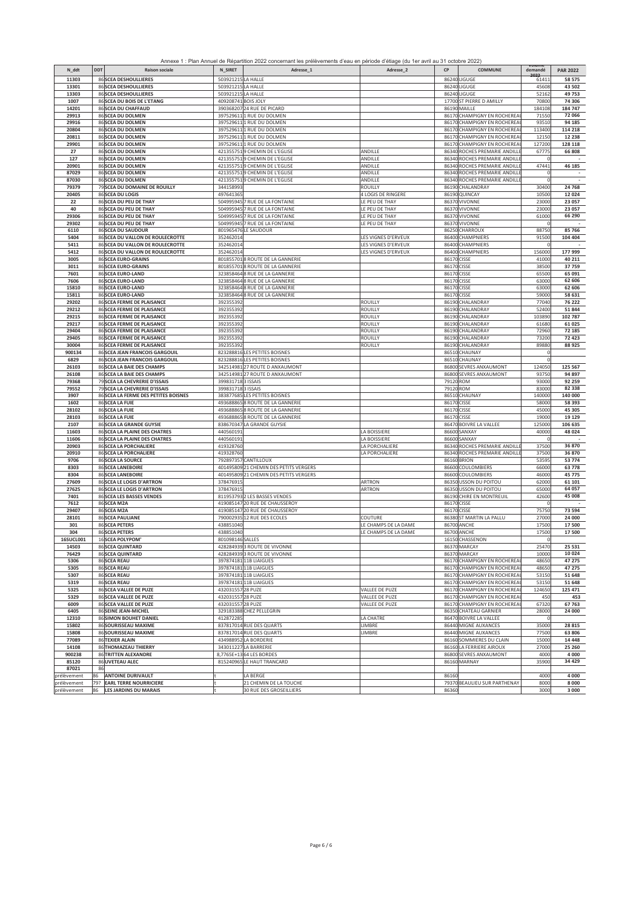|             |            |                                      |                     | Annexe 1 : Plan Annuel de Répartition 2022 concernant les prélèvements d'eau en période d'étiage (du 1er avril au 31 octobre 2022 |                           |           |                              |         |                 |
|-------------|------------|--------------------------------------|---------------------|-----------------------------------------------------------------------------------------------------------------------------------|---------------------------|-----------|------------------------------|---------|-----------------|
| N_ddt       | <b>DDT</b> | <b>Raison sociale</b>                | N_SIRET             | Adresse 1                                                                                                                         | Adresse_2                 | <b>CP</b> | <b>COMMUNE</b>               | demandé | <b>PAR 2022</b> |
|             |            |                                      |                     |                                                                                                                                   |                           |           |                              | , 27    |                 |
| 11303       |            | <b>86SCEA DESHOULLIERES</b>          | 503921215           | A HALLE                                                                                                                           |                           |           | 86240 LIGUGE                 | 6141    | 58 5 7 5        |
| 13301       |            | <b>86 SCEA DESHOULLIERES</b>         | 503921215 LA HALLE  |                                                                                                                                   |                           | 86240     | LIGUGE                       | 4560    | 43 5 0 2        |
| 13303       |            | <b>86SCEA DESHOULLIERES</b>          | 503921215 LA HALLE  |                                                                                                                                   |                           |           | 86240 LIGUGE                 | 5216    | 49753           |
| 1007        |            | 86 SCEA DU BOIS DE L'ETANG           | 409208741 BOIS JOLY |                                                                                                                                   |                           | 17700     | ST PIERRE D AMILLY           | 70800   | 74 30 6         |
| 14201       |            | <b>86 SCEA DU CHAFFAUD</b>           |                     | 39036820724 RUE DE PICARD                                                                                                         |                           | 86190     | MAILLE                       | 184108  | 184747          |
|             |            |                                      |                     |                                                                                                                                   |                           |           |                              |         |                 |
| 29913       |            | 86 SCEA DU DOLMEN                    |                     | 397529611 1 RUE DU DOLMEN                                                                                                         |                           | 86170     | CHAMPIGNY EN ROCHEREA        | 71550   | 72 066          |
| 29916       |            | 86 SCEA DU DOLMEN                    |                     | 397529611 1 RUE DU DOLMEN                                                                                                         |                           | 86170     | CHAMPIGNY EN ROCHEREA        | 93510   | 94 185          |
| 20804       |            | <b>86 SCEA DU DOLMEN</b>             | 397529611           | 1 RUE DU DOLMEN                                                                                                                   |                           | 86170     | CHAMPIGNY EN ROCHEREA        | 113400  | 114 218         |
| 20811       |            | 86 SCEA DU DOLMEN                    |                     | 397529611 1 RUE DU DOLMEN                                                                                                         |                           | 86170     | CHAMPIGNY EN ROCHERE/        | 1215    | 12 2 3 8        |
| 29901       |            | <b>86 SCEA DU DOLMEN</b>             | 397529611           | 1 RUE DU DOLMEN                                                                                                                   |                           | 86170     | CHAMPIGNY EN ROCHEREA        | 127200  | 128 118         |
| 27          |            | 86 SCEA DU DOLMEN                    | 421355751           | 9 CHEMIN DE L'EGLISE                                                                                                              | ANDILLE                   |           | 86340 ROCHES PREMARIE ANDILL | 67775   | 66808           |
| 127         |            |                                      |                     |                                                                                                                                   |                           |           |                              |         |                 |
|             |            | 86 SCEA DU DOLMEN                    |                     | 4213557519 CHEMIN DE L'EGLISE                                                                                                     | ANDILLE                   |           | 86340 ROCHES PREMARIE ANDILL |         |                 |
| 20901       |            | <b>86 SCEA DU DOLMEN</b>             |                     | 4213557519 CHEMIN DE L'EGLISE                                                                                                     | ANDILLE                   | 86340     | ROCHES PREMARIE ANDILL       | 47441   | 46 185          |
| 87029       |            | <b>86SCEA DU DOLMEN</b>              | 421355751           | 9 CHEMIN DE L'EGLISE                                                                                                              | ANDILLE                   | 86340     | ROCHES PREMARIE ANDILL       |         |                 |
| 87030       |            | 86 SCEA DU DOLMEN                    |                     | 4213557519 CHEMIN DE L'EGLISE                                                                                                     | ANDILLE                   | 86340     | ROCHES PREMARIE ANDILL       |         | $\sim$          |
| 79379       |            | 79 SCEA DU DOMAINE DE ROUILLY        | 34415899            |                                                                                                                                   | ROUILLY                   |           | 86190 CHALANDRAY             | 30400   | 24768           |
| 20405       |            | <b>86SCEA DU LOGIS</b>               | 497641365           |                                                                                                                                   | <b>4 LOGIS DE RINGERE</b> | 86190     | QUINCAY                      | 1050    | 12024           |
|             |            |                                      |                     |                                                                                                                                   | LE PEU DE THAY            | 86370     |                              | 2300    | 23 057          |
| 22          |            | 86 SCEA DU PEU DE THAY               |                     | 504995945 7 RUE DE LA FONTAINE                                                                                                    |                           |           | <b>VIVONNE</b>               |         |                 |
| 40          |            | 86 SCEA DU PEU DE THAY               | 504995945           | 7 RUE DE LA FONTAINE                                                                                                              | E PEU DE THAY             | 86370     | VIVONNE                      | 2300    | 23 057          |
| 29306       |            | 86 SCEA DU PEU DE THAY               | 504995945           | 7 RUE DE LA FONTAINE                                                                                                              | E PEU DE THAY             | 86370     | <b>VIVONNE</b>               | 61000   | 66 290          |
| 29302       |            | 86 SCEA DU PEU DE THAY               |                     | 504995945 7 RUE DE LA FONTAINE                                                                                                    | LE PEU DE THAY            | 86370     | <b>VIVONNE</b>               |         |                 |
| 6110        |            | <b>86 SCEA DU SAUDOUR</b>            |                     | 801965476 LE SAUDOUR                                                                                                              |                           | 86250     | CHARROUX                     | 88750   | 85766           |
| 5404        |            | 86 SCEA DU VALLON DE ROULECROTTE     | 352462014           |                                                                                                                                   | ES VIGNES D'ERVEUX        | 86400     | CHAMPNIERS                   | 91500   | 104 404         |
| 5411        |            | 86 SCEA DU VALLON DE ROULECROTTE     | 352462014           |                                                                                                                                   | ES VIGNES D'ERVEUX        | 86400     | CHAMPNIERS                   |         |                 |
|             |            |                                      |                     |                                                                                                                                   |                           |           |                              |         |                 |
| 5412        |            | 86 SCEA DU VALLON DE ROULECROTTE     | 352462014           |                                                                                                                                   | LES VIGNES D'ERVEUX       | 86400     | CHAMPNIERS                   | 156000  | 177999          |
| 3005        |            | <b>86 SCEA EURO-GRAINS</b>           |                     | 8018557018 ROUTE DE LA GANNERIE                                                                                                   |                           | 86170     | <b>CISSE</b>                 | 4100    | 40 211          |
| 3011        |            | 86 SCEA EURO-GRAINS                  | 801855701           | <b>BROUTE DE LA GANNERIE</b>                                                                                                      |                           | 86170     | CISSE                        | 3850    | 37759           |
| 7601        |            | <b>86 SCEA EURO-LAND</b>             |                     | 323858464 8 RUE DE LA GANNERIE                                                                                                    |                           | 86170     | <b>CISSE</b>                 | 65500   | 65 091          |
| 7606        |            | 86 SCEA EURO-LAND                    |                     | 323858464 8 RUE DE LA GANNERIE                                                                                                    |                           | 86170     | CISSE                        | 63000   | 62 606          |
| 15810       |            | <b>86 SCEA EURO-LAND</b>             |                     | 323858464 8 RUE DE LA GANNERIE                                                                                                    |                           | 8617      | <b>CISSE</b>                 | 63000   | 62 606          |
|             |            | 86 SCEA EURO-LAND                    |                     | 323858464 8 RUE DE LA GANNERIE                                                                                                    |                           |           |                              | 59000   | 58 631          |
| 15811       |            |                                      |                     |                                                                                                                                   |                           | 86170     | <b>CISSE</b>                 |         |                 |
| 29202       |            | 86 SCEA FERME DE PLAISANCE           | 39235539            |                                                                                                                                   | ROUILLY                   | 86190     | CHALANDRAY                   | 7704    | 76 2 2 2        |
| 29212       |            | 86 SCEA FERME DE PLAISANCE           | 392355392           |                                                                                                                                   | ROUILLY                   | 86190     | CHALANDRAY                   | 52400   | 51844           |
| 29215       |            | 86 SCEA FERME DE PLAISANCE           | 392355392           |                                                                                                                                   | ROUILLY                   | 86190     | CHALANDRAY                   | 103890  | 102787          |
| 29217       |            | 86 SCEA FERME DE PLAISANCE           | 39235539            |                                                                                                                                   | ROUILLY                   | 86190     | CHALANDRAY                   | 6168    | 61025           |
| 29404       |            | 86 SCEA FERME DE PLAISANCE           | 39235539            |                                                                                                                                   | ROUILLY                   | 86190     | CHALANDRAY                   | 7296    | 72 185          |
| 29405       |            | 86 SCEA FERME DE PLAISANCE           |                     |                                                                                                                                   |                           | 86190     | CHALANDRAY                   | 73200   | 72 4 23         |
|             |            |                                      | 392355392           |                                                                                                                                   | <b>OUILLY</b>             |           |                              |         |                 |
| 30004       |            | 86 SCEA FERME DE PLAISANCE           | 392355392           |                                                                                                                                   | ROUILLY                   | 86190     | CHALANDRAY                   | 89880   | 88925           |
| 900134      |            | 86 SCEA JEAN FRANCOIS GARGOUIL       |                     | 823288816 LES PETITES BOISNES                                                                                                     |                           | 86510     | CHAUNAY                      |         |                 |
| 6829        |            | 86 SCEA JEAN FRANCOIS GARGOUIL       |                     | 823288816 LES PETITES BOISNES                                                                                                     |                           | 86510     | CHAUNAY                      |         |                 |
| 26103       |            | 86 SCEA LA BAIE DES CHAMPS           | 342514981           | 27 ROUTE D ANXAUMONT                                                                                                              |                           | 8680      | SEVRES ANXAUMONT             | 124050  | 125 567         |
| 26108       |            | 86 SCEA LA BAIE DES CHAMPS           |                     | 342514981 27 ROUTE D ANXAUMONT                                                                                                    |                           | 86800     | SEVRES ANXAUMONT             | 93750   | 94 8 97         |
| 79368       |            | 79 SCEA LA CHEVRERIE D'ISSAIS        | 3998317183 ISSAIS   |                                                                                                                                   |                           | 79120     | <b>ROM</b>                   | 9300    | 92 2 5 9        |
|             |            |                                      |                     |                                                                                                                                   |                           |           |                              |         |                 |
| 79552       |            | 79 SCEA LA CHEVRERIE D'ISSAIS        | 399831718           | <b>ISSAIS</b>                                                                                                                     |                           | 7912      | ROM                          | 8300    | 82 3 3 8        |
| 3907        |            | 86 SCEA LA FERME DES PETITES BOISNES | 383877685           | ES PETITES BOISNES                                                                                                                |                           | 8651      | CHAUNAY                      | 140000  | 140 000         |
| 1602        |            | <b>86 SCEA LA FUIE</b>               | 493688865           | 8 ROUTE DE LA GANNERIE                                                                                                            |                           | 8617      | <b>CISSE</b>                 | 58000   | 58 3 9 3        |
| 28102       |            | <b>86 SCEA LA FUIE</b>               | 493688865           | 8 ROUTE DE LA GANNERIE                                                                                                            |                           | 86170     | CISSE                        | 4500    | 45 305          |
| 28103       |            | <b>86 SCEA LA FUIE</b>               |                     | 4936888658 ROUTE DE LA GANNERIE                                                                                                   |                           | 8617      | <b>CISSE</b>                 | 1900    | 19 1 29         |
| 2107        |            | 86 SCEA LA GRANDE GUYSIE             |                     | 838670347 LA GRANDE GUYSIE                                                                                                        |                           | 86470     | <b>BOIVRE LA VALLEE</b>      | 125000  | 106 635         |
|             |            |                                      |                     |                                                                                                                                   |                           |           |                              |         |                 |
| 11603       |            | <b>86 SCEA LA PLAINE DES CHATRES</b> | 440560191           |                                                                                                                                   | A BOISSIERE               | 86600     | SANXAY                       | 40000   | 48024           |
| 11606       |            | 86 SCEA LA PLAINE DES CHATRES        | 440560191           |                                                                                                                                   | A BOISSIERE               | 86600     | SANXAY                       |         |                 |
| 20903       |            | <b>86 SCEA LA PORCHALIERE</b>        | 419328760           |                                                                                                                                   | A PORCHALIERE             | 86340     | ROCHES PREMARIE ANDILL       | 37500   | 36 870          |
| 20910       |            | <b>86 SCEA LA PORCHALIERE</b>        | 41932876            |                                                                                                                                   | A PORCHALIERE             | 86340     | ROCHES PREMARIE ANDILI       | 37500   | 36870           |
| 9706        |            | <b>86 SCEA LA SOURCE</b>             | 792897357           | CANTILLOUX                                                                                                                        |                           | 86160     | <b>BRION</b>                 | 5359    | 53774           |
| 8303        |            | <b>86 SCEA LANEBOIRE</b>             |                     | 401495809 21 CHEMIN DES PETITS VERGERS                                                                                            |                           | 86600     | COULOMBIERS                  | 66000   | 63778           |
|             |            |                                      |                     |                                                                                                                                   |                           |           |                              |         |                 |
| 8304        |            | <b>86 SCEA LANEBOIRE</b>             |                     | 401495809 21 CHEMIN DES PETITS VERGERS                                                                                            |                           | 86600     | COULOMBIERS                  | 46000   | 45775           |
| 27609       |            | <b>86SCEA LE LOGIS D'ARTRON</b>      | 37847691            |                                                                                                                                   | ARTRON                    | 86350     | <b>USSON DU POITOU</b>       | 62000   | 61 101          |
| 27625       |            | <b>86SCEA LE LOGIS D'ARTRON</b>      | 37847691            |                                                                                                                                   | ARTRON                    | 86350     | USSON DU POITOU              | 65000   | 64 057          |
| 7401        |            | 86 SCEA LES BASSES VENDES            |                     | 811953793 2 LES BASSES VENDES                                                                                                     |                           | 86190     | CHIRE EN MONTREUIL           | 42600   | 45 008          |
| 7612        |            | 86 SCEA M2A                          |                     | 419085147 20 RUE DE CHAUSSEROY                                                                                                    |                           | 86170     | <b>CISSE</b>                 |         |                 |
| 29407       |            | 86 SCEA M2A                          |                     | 419085147 20 RUE DE CHAUSSEROY                                                                                                    |                           | 86170     | CISSE                        | 75750   | 73 594          |
| 28101       |            | <b>86 SCEA PAULIANE</b>              | 790002935           | 12 RUE DES ECOLES                                                                                                                 | COUTURE                   | 86380     | <b>ST MARTIN LA PALLU</b>    | 2700    | 24 000          |
|             |            |                                      | 43885104            |                                                                                                                                   |                           |           |                              |         |                 |
| 301         |            | <b>86 SCEA PETERS</b>                |                     |                                                                                                                                   | E CHAMPS DE LA DAME       | 8670      | ANCHE                        | 1750    | 17500           |
| 304         |            | <b>86 SCEA PETERS</b>                | 438851040           |                                                                                                                                   | E CHAMPS DE LA DAME       | 86700     | ANCHE                        | 17500   | 17500           |
| 16SUCL001   |            | <b>16 SCEA POLYPOM</b>               | 801098146 SALLES    |                                                                                                                                   |                           |           | 16150 CHASSENON              |         |                 |
| 14503       |            | <b>86 SCEA QUINTARD</b>              |                     | 4282849393 ROUTE DE VIVONNE                                                                                                       |                           |           | 86370 MARCAY                 | 25470   | 25 5 31         |
| 76429       |            | <b>86 SCEA QUINTARD</b>              |                     | 4282849393 ROUTE DE VIVONNE                                                                                                       |                           |           | 86370 MARCAY                 | 10000   | 10024           |
| 5306        |            | <b>86 SCEA REAU</b>                  |                     | 397874181 11B LIAIGUES                                                                                                            |                           |           | 86170 CHAMPIGNY EN ROCHEREA  | 4865    | 47 275          |
| 5305        |            | 86 SCEA REAU                         |                     | 397874181 11B LIAIGUES                                                                                                            |                           |           | 86170 CHAMPIGNY EN ROCHEREA  | 48650   | 47 275          |
|             |            |                                      |                     |                                                                                                                                   |                           |           |                              |         |                 |
| 5307        |            | 86 SCEA REAU                         |                     | 397874181 11B LIAIGUES                                                                                                            |                           |           | 86170 CHAMPIGNY EN ROCHEREA  | 5315    | 51 648          |
| 5319        |            | 86 SCEA REAU                         |                     | 397874181 11B LIAIGUES                                                                                                            |                           |           | 86170 CHAMPIGNY EN ROCHEREA  | 53150   | 51 648          |
| 5325        |            | <b>86 SCEA VALLEE DE PUZE</b>        | 432031557 28 PUZE   |                                                                                                                                   | VALLEE DE PUZE            |           | 86170 CHAMPIGNY EN ROCHEREA  | 12465   | 125 471         |
| 5329        |            | 86 SCEA VALLEE DE PUZE               | 43203155728 PUZE    |                                                                                                                                   | <b>ALLEE DE PUZE</b>      |           | 86170 CHAMPIGNY EN ROCHEREA  | 450     | 453             |
| 6009        |            | 86 SCEA VALLEE DE PUZE               | 432031557 28 PUZE   |                                                                                                                                   | VALLEE DE PUZE            |           | 86170 CHAMPIGNY EN ROCHEREA  | 67320   | 67763           |
| 6405        |            | <b>86 SEINE JEAN-MICHEL</b>          |                     | 329183388 CHEZ PELLEGRIN                                                                                                          |                           |           | 86350 CHATEAU GARNIER        | 28000   | 24 000          |
|             |            |                                      |                     |                                                                                                                                   |                           |           |                              |         |                 |
| 12310       |            | 86 SIMON BOUHET DANIEL               | 412872285           |                                                                                                                                   | A CHATRE                  |           | 86470 BOIVRE LA VALLEE       |         |                 |
| 15802       |            | 86 SOURISSEAU MAXIME                 |                     | 837817014 RUE DES QUARTS                                                                                                          | LIMBRE                    |           | 86440 MIGNE AUXANCES         | 35000   | 28 8 15         |
| 15808       |            | 86SOURISSEAU MAXIME                  |                     | 837817014 RUE DES QUARTS                                                                                                          | <b>IMBRE</b>              |           | 86440 MIGNE AUXANCES         | 77500   | 63 806          |
| 77089       |            | <b>86TEXIER ALAIN</b>                |                     | 434988952 LA BORDERIE                                                                                                             |                           |           | 86160 SOMMIERES DU CLAIN     | 15000   | 14448           |
| 14108       |            | 86 THOMAZEAU THIERRY                 | 343011227           | LA BARRERIE                                                                                                                       |                           | 86160     | LA FERRIERE AIROUX           | 27000   | 25 260          |
| 900238      |            | <b>86 TRITTEN ALEXANDRE</b>          |                     | 8,7765E+13 64 LES BORDES                                                                                                          |                           |           | 86800 SEVRES ANXAUMONT       | 4000    | 4000            |
| 85120       |            | 86 UVETEAU ALEC                      |                     | 815240965 LE HAUT TRANCARD                                                                                                        |                           |           | 86160 MARNAY                 | 35900   | 34 4 29         |
|             |            |                                      |                     |                                                                                                                                   |                           |           |                              |         |                 |
| 87021       | 86         |                                      |                     |                                                                                                                                   |                           |           |                              |         |                 |
| prélèvement | 86         | <b>ANTOINE DURIVAULT</b>             |                     | LA BERGE                                                                                                                          |                           | 86160     |                              | 4000    | 4000            |
| prélèvement |            | 79? EARL TERRE NOURRICIERE           |                     | 21 CHEMIN DE LA TOUCHE                                                                                                            |                           |           | 79370 BEAULIEU SUR PARTHENAY | 8000    | 8000            |
| prélèvement |            | 86 LES JARDINS DU MARAIS             |                     | <b>30 RUE DES GROSEILLIERS</b>                                                                                                    |                           | 86360     |                              | 3000    | 3000            |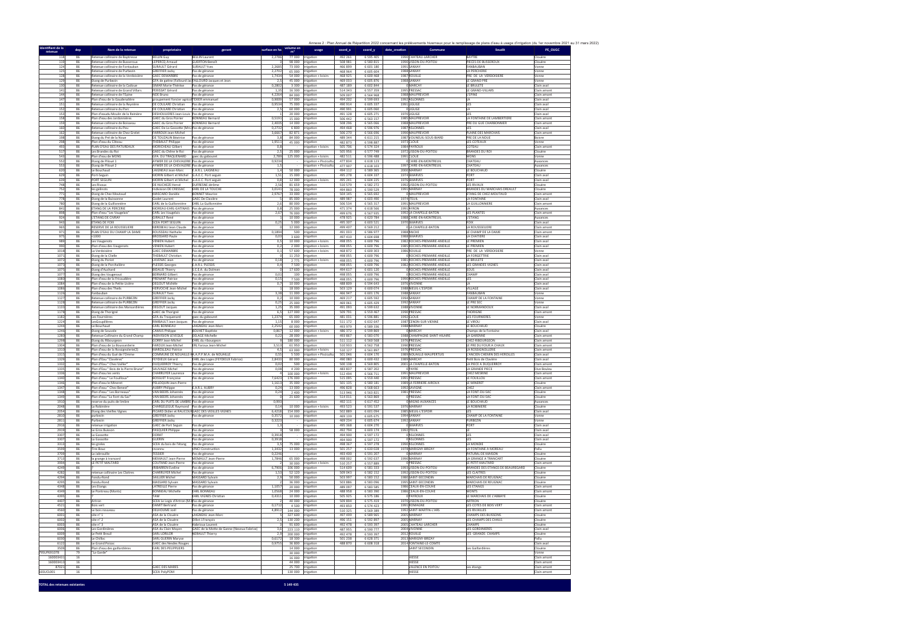| tifiant de la                |          |                                                                     |                                                           |                                              |                           | volume en                               |                                                  |                    |                                |                             |                                                                 | Annexe 2 : Plan Annuel de Répartition 2022 concernant les prélèvements hivernaux pour le remplissage de plans d'eau à usage d'irrigation (du 1er novembre 2021 au 31 mars 2022) |                                |
|------------------------------|----------|---------------------------------------------------------------------|-----------------------------------------------------------|----------------------------------------------|---------------------------|-----------------------------------------|--------------------------------------------------|--------------------|--------------------------------|-----------------------------|-----------------------------------------------------------------|---------------------------------------------------------------------------------------------------------------------------------------------------------------------------------|--------------------------------|
|                              | dep      | Nom de la retenue                                                   |                                                           | gerant                                       | surface en ha             | $\mathbf{m}^{\mathbf{1}}$               | usage                                            | coord_x            | coord_y                        | $\mbox{\sf date\_creation}$ | Commune                                                         | lieudit                                                                                                                                                                         | PE_OUGC                        |
|                              | 86       | ollinaire de Bantress<br>etenue collinaire de Bussero               | <b>RELLING</b>                                            | <b>RELLIN Lauren</b><br>UERTON Ben           | 2,278                     | 77,000<br>98 000 Irrigation             |                                                  | 492 261<br>508 981 | 6.595.405<br>6 5 8 0 8 1 5     |                             | 1990 CHATEAU-LARCHER<br>1990 USSON-DU-POITOL                    | <b>RAYTRE</b><br>PIECES DE BUSSEROU)                                                                                                                                            |                                |
| 12                           | 86       | tenue collinaire de Fontaubar                                       | <b>SURAULT Gérard</b>                                     | <b>JRAULT Yves</b>                           | 2,26                      | 73 000                                  | Irrigation                                       | 466 899            | 6 601 180                      |                             | 1991 SANXAY                                                     | FANRALIRAN                                                                                                                                                                      | /onne                          |
| 12                           | 86       | etenue collinaire de Purbezin                                       | <b>GREFFIER Jacky</b>                                     | as de gérance                                | 2.270                     | 65 000 Irrigation                       |                                                  | 468 964            | 6 605 604                      |                             | 1988 SANXAY<br>1987 ROUILL                                      | LA PERCHERII<br>RE DE LA VER                                                                                                                                                    | onne                           |
| $12 \,$<br>12c               | 86       | etenue collinaire de la Verdo<br>Etang de Purbezin                  | AEC DEMA<br>GFA de gatine (Fallourd                       | is de géranci<br>ALLOURD Jacques et lea      | 1,743                     | 45 000 Irrigation                       | 54 000 Irrigation +                              | 468 925<br>469.033 | 6 600 468<br>6.605.876         |                             | 1988 SANXAY                                                     | <b>E GRAND PRE</b>                                                                                                                                                              | onne<br>onne                   |
| 13                           | 86       | Retenue collinaire de la Cadoue                                     | SIMAR Marie-Thérèse                                       | as de gérance                                | 0,280                     | 3 3 0 0                                 | Irrigation                                       | 487189             | 6 602 844                      |                             | 0 MARCAY                                                        | LE BRULETE                                                                                                                                                                      | Iain aval                      |
| 14<br>144                    | 86<br>86 | tenue collinaire de Grand Villa<br>Retenue collinaire de l'Epine    | PERISSAT Gérard<br>NOE Bruno                              | as de gérance<br>as de gérance               | 1,<br>4.226               | 16 300 Irrigation<br>84 000 Irrigation  |                                                  | 514 343<br>509 007 | 6 5 5 7 3 5 9<br>6564968       |                             | 1995 PRESSAO<br>1988 MAUPREVOL                                  | E GRAND-VILLA<br>L'EPINE                                                                                                                                                        | lain am<br>Clain amo           |
| 14                           | 86       | lan d'eau de la Gaudenalière                                        | roupement foncier agri                                    | <b>TEXIER</b> emmanue                        | 0,900                     | 57 000 Irrigation                       |                                                  | 494 202            | 6 599 693                      |                             | 1992 ASLONNES                                                   |                                                                                                                                                                                 | Iain aval                      |
| 15                           | 86       | etenue collinaire de la Reynière                                    | DE COLILARE Christian                                     | <sup>o</sup> as de gérance                   | 0.953                     | 75 000 Irrigation                       |                                                  | 490914             | 6 605 337                      |                             | 1991 I IGHGE                                                    | <b>IFS</b>                                                                                                                                                                      | Clain aval                     |
| 15<br>$\overline{15}$        | 86       | Retenue collinaire du Parc<br>an d'eaudu Moulin de la Reinie        | DE COULARE Christian<br>DESHOULIERES Jean-Lou             | as de gérance                                |                           | 60 000 Irrigation<br>20 000 Irrigation  |                                                  | 490 991<br>491128  | 6 605 060<br>6 6 0 5 2 7 1     |                             | OLIGUGE                                                         |                                                                                                                                                                                 | Clain aval<br>ain aval         |
| ī٢                           | 86       | an d'eau des Jardonnières                                           | <b>SAEC du Gros Poirier</b>                               | s de géranci<br><b>NNEAU Bernard</b>         | 0.519                     |                                         | 15 000 Irrigation                                | 506 442            | 6563157                        |                             | 1985 MAUPREVOIR                                                 | LA FONTAINE DE LAMBERTIERE                                                                                                                                                      | lain amor                      |
| 159                          | 86       | Retenue collinaire de Boissear                                      | GAEC du Gros Poirier                                      | <b>ONNEAU Bernard</b>                        | 2,400                     | 14 000 Irrigation                       |                                                  | 508 296            | 6 565 066                      |                             | 1988 MAUPREVOIR                                                 | PRE DU GUE CHARBONNIER                                                                                                                                                          | Clain amon                     |
| 16<br>16                     | 86<br>86 | etenue collinaire du Pec<br>tetenue collinaire de Chez Grele        | GAEC De La Gassotte (M<br>FARROUX Jean-Michel             | as de gérance                                | 0,273<br>3,666            | 6 8 0 0<br>82 871 Irrigation            | Irrigation                                       | 494 468<br>506 270 | 6 596 976<br>6 5 6 6 6 9 6     |                             | 1987 ASLONNES<br>1990 MAUPREVOI                                 | PLAINE DES MARCHAIS                                                                                                                                                             | Clain aval<br><b>Jain amon</b> |
| 19                           | 86       | ang du Pré de la Nou                                                | DE TOUZALIN Béatrice                                      | as de gérance                                |                           | 84 000                                  | Irrigation                                       | 489 344            | 6 6 1 2 2 1 5                  |                             | 1987 VOUNEUIL-SOUS-BIARD                                        | PRE DE LA NOUE                                                                                                                                                                  |                                |
| 795                          | 86       | <b>Plan d'eau du Côteau</b>                                         | THERALILT Philippe                                        | as de gérance                                | 1951                      | 45 000 Irrigation                       |                                                  | 482873             | 6598887                        |                             | 1973 CLOUE                                                      | <b>IFS COTFAUX</b>                                                                                                                                                              | nnne                           |
| 49<br>51                     | 86<br>86 | LAN D'EAU DES PATU<br>es Brandes du Roi                             | <b>IICHEAU Gilbert</b><br>GAEC du Chêne le Roi            | <sup>p</sup> as de gérance<br>Pas de gérance |                           | 25 000 Irrigation                       | Irrigation + Io                                  | 505 706<br>505 956 | 6574324<br>6577749             |                             | 1984 PAYROU)<br>1972 USSON-DU-POITOU                            | COTEAU<br><b>BRANDES DU RO</b>                                                                                                                                                  | lain amo<br>Ilouère            |
| 543                          | 86       | lan d'eau de MON                                                    | <b>GFA DU TRAQUENARD</b>                                  | ec du gaboure                                | 2.789                     |                                         | 125 000 Irrigation + lo                          | 482 511            | 6596488                        |                             | 1991 CLOUE                                                      | <b>MONS</b>                                                                                                                                                                     | /onne                          |
| SS                           | 86       | tang de Piloué 1                                                    | AYMER DE LA CHEVALER                                      | is de gérance                                | 0,923                     |                                         | rrigation + Pis                                  | 477834             | 6 6 18 12 3                    |                             | CHIRE-EN-MONTREUI                                               | <b>HATEAL</b>                                                                                                                                                                   | oxances                        |
| SS.<br>620                   | 86<br>86 | tang de Piloué 2<br>Le Bouchaud                                     | AYMER DE LA CHEVALERII<br>LAIGNEAU Jean-Marc              | as de gérance<br>A.R.L. LAIGNEAL             | $\overline{1}$<br>1.4     |                                         | rrigation + Pis<br>50 000 Irrigation             | 477907<br>494 112  | 6 6 18 10 3<br>6 589 365       |                             | 1997 CHIRE-EN-MONTREUIL<br>2000 MARNAY                          | CHATEAU<br>LE BOUCHAUD                                                                                                                                                          | uxances<br>ouère               |
| 629                          | 86       | Port-Seguin                                                         | <b>MORIN Gilbert et Miche</b>                             | G.A.E.C. Port segui                          | $\overline{1.5}$          | 15 000                                  | Irrigation                                       | 495 278            | 6 604 337                      |                             | 1974 SMARVES                                                    | PORT                                                                                                                                                                            | lain ava                       |
| 639                          | 86       | ORT SEGUIN                                                          | MORIN Gilbert et Michel                                   | G.A.E.C. Port seguin                         | 0,8                       |                                         | 12 000 Irrigation + loisirs                      | 495 241            | 6 604 225                      |                             | 1976 SMARVES                                                    | PORT                                                                                                                                                                            | Clain aval                     |
| 748<br>75                    | 86<br>86 | es Rivaux<br>es gelinots                                            | DE NUCHEZE Hervé<br>ndivision DE CRESSAO                  | <b>FRESNE Jérômi</b><br>ARL DE LA TOUCHE     | 2,5<br>3.014              | 81 659 Irrigation<br>78 000 Irrigation  |                                                  | 510 579<br>494 860 | 6582272<br>6 5 9 0 5 2 9       |                             | 1992 USSON-DU-POITOU<br>1991 MARNAY                             | LES RIVAU<br>BRANDES DU MARCHAIS DREAULT                                                                                                                                        | louère<br>llouère              |
| 77                           | 86       | Etang de Chez Moutaud                                               | MASCARO Danièle                                           | <b>BONNET Maurice</b>                        | 2,976                     | 33 000 Irrigation                       |                                                  | 504 145            | 6 5 6 5 6 9 2                  |                             | 0 MAUPREVOI                                                     | ETANG DE CHEZ-MOUTAUD                                                                                                                                                           | Clain amon                     |
| 77                           | 86       | tang de la Buissonne                                                | Godet Laurent                                             | AEC De Clavière                              |                           | 85 000 Irrigation                       |                                                  | 489 987            | 6 603 490                      |                             | 1974 ITEUIL<br>1991 MAUPREVOI                                   | A FONTAINE                                                                                                                                                                      | Iain aval                      |
| 780<br>84                    | 86       | Etang de la Guillonnièr<br>ANG DE LA PERCERII                       | EARL de la Guillo<br>OREAU-EARL-GAT                       | <b>EARL La Guillonnie</b><br>as de géranci   |                           | 80 000 Irrigation<br>25 000             | Irrigation                                       | 506 534<br>471374  | 6 5 6 5 3 1 7<br>6 618 566     |                             | 1991 AYRON                                                      | LA GUILLONNIEI                                                                                                                                                                  | <b>Jain amor</b><br>ances      |
| 891                          | 86       | San d'eau "Les Vaugelais                                            | EARL Les Vaugelais                                        | as de gérance                                | 26                        | 76 000 Irrigation                       |                                                  | 499676             | 6567935                        |                             | 1992 LA CHAPELLE-BATON                                          | <b>ES PLANTES</b>                                                                                                                                                               | lain amon                      |
| 92                           | 86       | ETANG DE CIVRAY                                                     |                                                           | as de gérance                                |                           | 10 000 Irrigation                       |                                                  | 478925             | 6 6 20 7 84                    |                             | 1988 CHIRE-EN-MONTREUII                                         | <b>ETANG</b>                                                                                                                                                                    | cances                         |
| 94<br>965                    | 86<br>86 | <b>ETANG DE FOIX</b><br>RESERVE DE LA ROUSSELIERE                   | <b>SCEA PORT SEGUIN</b><br><b>AIREBEAU Jean Claude</b>    | as de gérance<br>as de gérance               | 0, 2                      | 5 0 0 0                                 | Irrigation                                       | 495 307<br>499 407 | 6 603 521<br>6 5 6 9 2 1 2     |                             | 1970 SMARVES<br><b>OLA CHAPELLE-BATON</b>                       | <b>FOIX</b><br>LA ROUSSSELIERI                                                                                                                                                  | lain aval<br>ain amo           |
| 97                           |          | LAN D'EAU DU CHAMP LA DAME                                          | OUSSEAU Nath                                              | is de gérance                                | 0,189                     | 12 000 Irrigation<br>500                | Irrigation                                       | 491033             | 6586977                        |                             | 1988 ANCHE                                                      | E CHAMP DE LA DAM                                                                                                                                                               | in ame                         |
| 97'                          | 86       | 1000                                                                | <b>RROSSARD Paule</b>                                     | as de gérance                                | 00                        |                                         | 3 600 Irrigation                                 | 497410             | 6.604.698                      |                             | 1988 SMARVES                                                    | <b>A CHATIERE</b>                                                                                                                                                               | lain aval                      |
| 98<br>99                     | 86<br>86 | les Vaugenots<br>an d'eau des Va                                    | <b>VENIEN Hubert</b><br><b>JENIEN Huber</b>               | Pas de gérance                               | 0.                        |                                         | 10 000 Irrigation + loisirs                      | 498 055            | 6 600 796                      |                             | 1982 ROCHES-PREMARIE-ANDILLE<br>1985 ROCHES-PREMARIE-ANDILLE    | LE PREMIEN<br><b>F PREMIEN</b>                                                                                                                                                  | lain aval                      |
| 1018                         | 86       | a Verdoisière                                                       | <b>GAEC DEMARBR</b>                                       | as de géranci<br>as de gérance               | $0$ .                     |                                         | 2 000 Irrigation + loi<br>57 600 Irrigation + lo | 498 055<br>468 872 | 6 600 796<br>6 600 303         |                             | 1986 ROUILLE                                                    | PRE DE LA VERDOISIER                                                                                                                                                            | onne                           |
| 107                          | 86       | Etang de la Clielle                                                 | <b>THEBAULT Christia</b>                                  | as de gérance                                |                           | 11 250 Irrigation                       |                                                  | 498 055            | 6 600 796                      |                             | <b>OROCHES-PREMARIE-ANDILLE</b>                                 | A FORGETTRIE                                                                                                                                                                    | Iain aval                      |
| 107                          | 86       | tang du Poriot                                                      | <b>AVENAC Jean</b>                                        | as de gérance                                | 0.1                       |                                         | 2 775 Irrigation + I                             | 498055             | 6 600 796                      |                             | 1981 ROCHES-PREMARIE-ANDILLE                                    | LE BRULETE                                                                                                                                                                      | lain aval                      |
| 107<br>10 <sub>1</sub>       | 86<br>86 | Etang de la Porchalière<br>tang d'Auchard                           | <b>PLESSIS Georges</b><br><b>IDAUD Thierry</b>            | <b>E.A.R.L. PLESSIS</b><br>C.E.A. du Dol     | 0,4                       | 17 600                                  | 7 500 Irrigation<br>Irrigation                   | 498 055<br>494 617 | 6 600 796<br>6 601 120         |                             | 1982 ROCHES-PREMARIE-ANDILLE<br><b>OROCHES-PREMARIE-ANDILLI</b> | LES GRANDES VIGNES<br>ious                                                                                                                                                      | Clain aval<br>ain aval         |
| 107                          | 86       | tang des Vaugenaut                                                  | <b>RERNARD Gilbert</b>                                    | as de gérance                                | 0,0                       |                                         | 100 Irrigation                                   | 498 055            | 6 600 796                      |                             | OROCHES-PREMARIE-ANDILLE                                        | <b>HAMP</b>                                                                                                                                                                     | lain aval                      |
| 108                          | 86       | lan d'eau de la Fricaudière                                         | <b>RENANT Patrice</b>                                     | as de gérance                                | 0,1                       |                                         | 500 Irrigation                                   | 498 059            | 6 600 796                      |                             | 1990 ROCHES-PREMA<br>RIE-ANDILLI                                |                                                                                                                                                                                 | lain ava                       |
| 108<br>108                   | 86<br>86 | -<br>Nan d'eau de la Petite Lisière<br>lan d'eau des Theils         | DEGOLIT Michèle<br>HERVOCHE Jean-Mi                       | as de gérance<br>as de gérance               | $\alpha$                  | 10 000 Irrigation<br>18 000 Irrigation  |                                                  | 488.809<br>503 129 | 6.594.643<br>6 600 074         |                             | 1976 VIVONNE<br>1988 NIEUIL-L'ESPI                              | <b>ALLAGE</b>                                                                                                                                                                   | Clain aval<br>Iain aval        |
| 112                          | 86       | ınbauba                                                             | <b>URAULT Yves</b>                                        | as de gérance                                | 3,3                       | 11 000 Trrigation                       |                                                  | 466 947            | 6 601 176                      |                             | 1988 SANXAY                                                     | <b>ANRALIRAL</b>                                                                                                                                                                | onne                           |
| 112                          | 86       | tetenue collinaire de PURBEZIN                                      | <b>GREFFIER Jacky</b>                                     | as de gérance                                | 0.                        | 10 000 Irrigation                       |                                                  | 469 217            | 6 605 592                      |                             | 1994 SANXAY                                                     | CHAMP DE LA FONTAINE                                                                                                                                                            | onne                           |
| 112<br>113                   | 86<br>86 | tetenue collinaire de PURBEZIN<br>etenue collinaire des Mansardière | <b>GREFFIER Jacky</b><br><b>DEGOUT Jacqu</b>              | Pas de gérance<br>as de gérance              | 0,2<br>$\overline{1}$     | 25 000 Irrigation                       |                                                  | 469 061            | 6 605 429                      |                             | 1992 SANXAY<br>1988 VIVONNE                                     | LE PRE SEC<br><b>E NORMANDOUX</b>                                                                                                                                               | onne<br>Jain aval              |
| 117                          | 86       | Etang de Thorigné                                                   | GAEC de Thorigné                                          | as de gérance                                | 6,5                       | 35 000 Irrigation<br>127 000 Irrigation |                                                  | 491093<br>509 791  | 6 5 9 6 6 3 2<br>6 5 5 9 4 6 7 |                             | 1990 PRESSAC                                                    | THORIGNE                                                                                                                                                                        | Clain amont                    |
| 118                          | 86       | es Fournières                                                       | <b>SFA du Traquenaro</b>                                  | ec du gaboure                                | 1,237                     | 65 000 Irrigation                       |                                                  | 481031             | 6 5 9 6 8 8 1                  |                             | 1992 CLOUE                                                      | <b>LES FOURNIERE</b>                                                                                                                                                            | nne                            |
| 122                          | 86       | esGoupillères                                                       | RIMBAULT Jean-Jacqu<br>EARL BONNEAU                       | as de gérance                                | 1.1                       |                                         | 8 000 Irrigation                                 | 511172             | 6 632 647                      |                             | 1987 CENON-SUR-VIENNE                                           | LE VIROU                                                                                                                                                                        | Iain aval                      |
| 1244<br>124                  | 86<br>86 | Le Bouchaud<br>tang de Souve                                        | CAMLIS Philinne                                           | AIGNEAU Jean-Mar<br><b>OLIHET Rantiste</b>   | 2,2542<br>0.86            | 60 000 Irrigation<br>12 000             | Irrigation +                                     | 493 979<br>486372  | 6589336<br>6 599 869           |                             | 1988 MARNAY<br><b>OMARCAY</b>                                   | LE BOUCHAU<br>hamns de la Fr                                                                                                                                                    | Clouère<br>lain aval           |
| 128                          | 86       | tetenue Collinaire du Grand Champ                                   | <b>INDIVISION LEVEQUE</b>                                 | <b>DELAGE Michelle</b>                       | 0,2                       |                                         | 28 000 Irrigation                                | 493 867            | 6583070                        |                             | 1988 CHAMPAGNE-SAINT-HILAIRE                                    | LA GARENNE                                                                                                                                                                      | <b>Jain amont</b>              |
| 129                          | 86       | ang du Ribourgeo                                                    |                                                           | RL du ribourge                               | 3.513                     | 180 000 Irrigation                      |                                                  | 511 112            | 6 5 6 0 5 6 8                  |                             | 1976 PRESSAC<br>1990 PRESSAC                                    |                                                                                                                                                                                 | in amo                         |
| 130<br>131                   | 86<br>86 | lan d'eau de La Boussarderie<br>lan d'eau de la Rossignolerie[2]    | FAROUX Jean-Michel<br>MAROLLEAU Patrice                   | RL Faroux Jean-Miche                         | 4                         | 61 950 Irrigation                       | 63 000 Irrigation + Io                           | 510933<br>510 127  | 6.562.758<br>6561897           |                             | 1976 PRESSAO                                                    | LE PRE DU FOUR A CHAUX<br>A ROSSIGNOLLERIE                                                                                                                                      | lain amont<br>lain amont       |
| 131                          | 86       | lan d'eau du Gué de l'Omm                                           | COMMUNE DE NOUAIL                                         | A.A.P.P.M.A. de NOUAILLE                     | 0,5                       |                                         | 5 500 Irrigation + Pis                           | 501 046            | 6 604 170                      |                             | 1989 NOUAILLE-MAUPERTUIS                                        | <b>'ANCIEN CHEMIN DES HEROLLES</b>                                                                                                                                              | Clain aval                     |
| 132                          | 86       | lan d'Eau "Clavières                                                | <b>FEYDIEUX Gérard</b>                                    | EARL des Loges (FEYDIEUX Fabrice)            | 2.843                     | 80 000 Irrigation                       |                                                  | 490 080            | 6 600 432                      |                             | 1989 MARCAY                                                     | Petit Bois de Clavièn                                                                                                                                                           | Jain aval                      |
| 133<br>133                   | 86<br>86 | an d'Eau " Chez Vail<br>lan d'Eau " Rois de la Pierre Brune         | <b>UQUERROY Thierry</b><br>SALIVAGE Michel                | as de gérance<br>as de gérance               | 0,0<br>00                 |                                         | 500 Irrigation<br>4 200 Irrigation               | 500 138<br>483837  | 6 5 6 9 8 0 5<br>6587202       |                             | 2001 LA CHAPELLE-BATON<br><b>OPAYRE</b>                         | A PIECE A DUQUERRI<br>A GRANDE PIECE                                                                                                                                            | in amor<br>ive Roules          |
| 133                          | 86       | Plan d'eau les vents                                                | <b>CHARRUYER Laurence</b>                                 | Pas de gérance                               |                           |                                         | 100 000 Irrigation + lo                          | 512 494            | 6 5 6 6 7 1 1                  |                             | 1991 MAUPREVOIL                                                 | CHEZ MESRINE                                                                                                                                                                    | Clain amont                    |
| 13d                          | 86       | <sup>9</sup> lan d'eau " Le Fouillou:                               | ROSSUET François                                          | Pas de géranci                               | 7,642                     | 176 000                                 | Irrigation                                       | 515 095            | 6 5 5 9 4 4 0                  |                             | 1991 PRESSAC                                                    | <b>E FOUILLOU</b>                                                                                                                                                               | Clain am                       |
| 134<br>134                   | 86<br>86 | lan d'eau le Mineret<br>n d'eau " Chez Benest                       | PELLOQUIN Jean-Pierre<br><b>IIBDV Dhi</b>                 | <b>ARIAURRY</b>                              | 1.161<br>$\overline{0,2}$ | 35 000<br>13 000 Irrigatio              | Irrigation                                       | 501135<br>496 828  | 6580181<br>6 5 6 8 6 6 3       |                             | 1989 LA FERRIERE-AIROUX<br>1992 SAVIGNE                         | LE MINERET<br><b>MEZ</b>                                                                                                                                                        | Ilouère                        |
| 134                          | 86       | lan d'eau " Les Borneaux                                            | VAN BEERS Johanne                                         | as de gérance                                | 0,2                       |                                         | 2 400 Irrigation                                 | 513946             | 6 5 6 3 8 2 1                  |                             | 1981 PRESSAC                                                    | LA FONT-DU-SA                                                                                                                                                                   | Clouère                        |
| 134                          | 86       | Plan d'eau "La Font du Sac                                          | VAN BEERS Johannès                                        | Pas de gérance                               |                           | 21 600 Irrigation                       |                                                  | 514 011            | 6 5 6 3 8 6 9                  |                             | <b>OPRESSAC</b>                                                 | LA FONT-DU-SA                                                                                                                                                                   | Clouère                        |
| 1916<br>2048                 | 86<br>86 | serve du puits de limbre<br>a Robinière                             | <b>FARL DU PUITS DE LIMP</b><br><b>CHARGELEGUE Raymon</b> | as de géranci<br>Pas de gérance              | 0.99<br>0,14              |                                         | rrigation<br>$10000$   rrigation +1              | 492 111<br>493 523 | 6 6 17 4 5 2<br>6 5 9 1 5 3 7  |                             | <b>OMIGNE-AUXANCES</b><br>1976 MARNAY                           | <b>E ROUCHAUD</b><br>LA ROBINIERE                                                                                                                                               | uxances<br>Clouère             |
| 20 <sub>2</sub>              | 86       | tang des Vieilles Vignes                                            | ICARD Didier et RAUC                                      | <b>LEC DES VIEILLES VIGNE</b>                | 6,421                     | 154 000 Irrigation                      |                                                  | 502889             | 6 601 094                      |                             | 1985 NIEUIL-L'ESP                                               |                                                                                                                                                                                 | Iain aval                      |
| 2816                         | 86       | surhezin                                                            | <b>GREEFIER Jacky</b>                                     | as de gérance                                | 0.357                     | 10 000 Irrigation                       |                                                  | 469 139            | 6.605.675                      |                             | 1994 SANXAY                                                     | CHAMP DE LA FONTAINE                                                                                                                                                            | onne                           |
| 281                          | 86<br>86 | urbezin                                                             | <b>GREFFIER Jacky</b>                                     |                                              | 0,322<br>$\overline{1}$   |                                         | Irrigation                                       | 469 234            | 6 6 0 5 6 7 4                  |                             | 1992 SANXAY                                                     | PURBEZIN<br>PORT                                                                                                                                                                | nne                            |
| 291<br>2919                  | 86       | etenue irrigatio<br>e Gros Buis                                     | <b>GAEC</b> de Port Seguin<br><b>PASQUIER Philippe</b>    | as de gérance<br>as de gérance               |                           | 58 000 Irrigation                       | Irrigation                                       | 495 368<br>492794  | 6 604 270<br>6 603 174         |                             | <b>OSMARVES</b><br>1992 ITEUIL                                  |                                                                                                                                                                                 | Iain aval<br>lain aval         |
| 330                          |          | Gassotte                                                            | DORAT                                                     | as de gérance                                | 0,391                     |                                         | Irrigation                                       | 494 900            | 6 5 9 7 1 7 2                  |                             |                                                                 |                                                                                                                                                                                 | ain ava                        |
| 330                          | 86       | a Gassotte                                                          | GUERIN                                                    | as de gérance                                | 0.391                     |                                         | Irrigation                                       | 494,900<br>498 367 | 6597172                        |                             | <b><i><u>OLASLONNES</u></i></b>                                 | <b>IFS</b><br>LA MONDII                                                                                                                                                         | lain aval                      |
| 331<br>35!                   | 86       | es greles                                                           | SCEA du bois de l'étang                                   | Pas de gérance                               | 1,343                     | 75 000<br>13 000                        | Irrigation<br>Irrigatio                          | 501 257            | 6 5 9 7 2 7 8<br>6 630 028     |                             | 1990 ASLONNES<br>1978 MARIGNY-BRIZA                             | A FONTAINE A MOREAL                                                                                                                                                             | Clouère                        |
| 370                          | 86       | a Jabrouille                                                        | <b>TESSIER</b>                                            | as de gérance                                | 0.224                     |                                         | Irrigation                                       | 493 400            | 6591207                        |                             | <b>OMARNAY</b>                                                  | PATURAL DE MAISON                                                                                                                                                               | Clouère                        |
| 371<br>399                   | 86       | a grange à trai<br>Ε ΡΕΤΙΤ ΜΔΙ ΤΔΡΩ                                 | EMAULT Jean-Pierre<br>COLITAND lean-Pierre                | MAULT Jean-P                                 | 1,78                      | 65 000 Irrigation                       |                                                  | 498 002            | 6592637                        |                             | 1990 MARNAY<br><b>OPRESSAC</b>                                  | A GRANGE A TRANCAR<br>ΙΕΡΕΠΤ-ΜΔΙΤΑRΟ                                                                                                                                            | iuère<br>.<br>Iain am          |
| 4249                         | 86       |                                                                     | <b>IRIBARREN Eveline</b>                                  | as de gérance<br>as de gérance               | 6,790                     | 30 000<br>106 000 Irrigation            | Irrigation+                                      | 510 257<br>514 609 | 6557889<br>6581333             |                             | 1993 USSON-DU-POITOU                                            | BRANDES DES ETANGS DE BEAUREGARD                                                                                                                                                | Clouère                        |
| 428                          | 86       | etenue collinaire Les Claitres                                      | <b>CHARRUYER Miche</b>                                    | s de gérance                                 | 1.9                       | 52 120                                  | Irrigation                                       | 509 043            | 6582152                        |                             | 1992 USSON-DU-POITOL                                            | <b>LES CLAITRES</b>                                                                                                                                                             | louère                         |
| 429                          | 86       | ondu-Rond                                                           | <b>AILLIER Miche</b>                                      | <b>IASSARD Sylvai</b>                        |                           | 50.000                                  | rrigation                                        | 503 997            | 6583152                        |                             | 1980 SAINT-SECONDIN                                             | MARCHAIS DE REUGNA                                                                                                                                                              | louère                         |
| 429<br>4341                  | 86<br>86 | ndu-Rond<br>es Etangs                                               | MASSARD Sylvair<br><b>IATREILLE Pierre</b>                | <b>IASSARD Sylvair</b><br>as de géranci      | 1,109                     | 36 000 Irrigation<br>20 000             | Irrigation                                       | 503 886<br>489 097 | 6 583 096<br>6583585           |                             | 1995 SAINT-SECONDIN<br>1986 CEAUX-EN-COURS                      | MARCHAIS DE REUGNA<br><b>LES ETANGS</b>                                                                                                                                         | Clouère<br>Clain amo           |
| 4349                         | 86       | Le Pontreau (Monts)                                                 | <b>BONNEAU Miche</b>                                      | <b>EARL BONNEAU</b>                          | 1,056                     | 24 000 Irrigation                       |                                                  | 488958             | 6583390                        |                             | 1986 CEAUX-EN-COUHI                                             | <b>MONTS</b>                                                                                                                                                                    | Clain amont                    |
| 439                          | 86       |                                                                     | <b>TAM</b>                                                | ARL VIGNES Ch                                | 0,431                     | 10 000                                  | Irrigation                                       | 505 929            | 6575186                        |                             | <b>OPAYROUX</b>                                                 | E MARCHAIS DE L'ABBAYI                                                                                                                                                          | louère                         |
| 440<br>452                   | 86<br>86 | <b>Artron</b><br>šois vert                                          | SCEA Le Logis d'Arti<br><b>MIT Bertrand</b>               | as de gérance<br>'as de gérance              | 0,17                      | 40 000 Irrigation                       | 4 500 Irrigation                                 | 509 894<br>493 850 | 6575419<br>6574423             | 1991 <sub>R</sub>           | 1970 USSON-DU-POITOI                                            | ARTRON<br>LES COTES DE BOIS VERT                                                                                                                                                | Clouère<br>lain amon           |
| 456                          | 86       | e bois nouvea                                                       | DELHOUME Joël                                             | as de gérance                                | 4,891                     | 144 000 Irrigation                      |                                                  | 510325             | 6569389                        |                             | 1992 SAINT-MARTIN-L'AR                                          | <b>ES RIVAILLES</b>                                                                                                                                                             | Iain amor                      |
| 600                          | 86       | ite n° 1                                                            | ASA de la Clouèn                                          | AIGNEAU Jean-N                               |                           | 327 600                                 | Irrigation                                       | 497499             | 6 589 965                      |                             | 2005 MARNAY                                                     | CHAMPS DES BL                                                                                                                                                                   | Clouère                        |
| 600<br>600                   | 86<br>86 | ite n° 3                                                            | ASA de la Clouère                                         | ot J.François<br>abrioux Laurent             |                           | 130 200 Irrigation                      |                                                  | 496 151<br>492 478 | 6 5 9 2 8 9 7<br>6 5 9 3 3 9 7 |                             | 2005 MARNAY<br>2005 CHATEAU-LARCHER                             | ES CHAMPS DES CHAIL<br>CHAMPS                                                                                                                                                   | ouère<br>louère                |
| 600                          | 86       | Les Gordinières                                                     | ASA du Clain Moyen                                        | GAEC de la Motte de Ganne (Neveux Fabrice)   |                           | 91 600 Irrigation<br>223 110 Irrigation |                                                  | 487955             | 6 5 9 0 7 7 7                  |                             | 2004 VIVONNE                                                    | LES GORDINIERE:                                                                                                                                                                 | Clain aval                     |
| <b>ROO</b>                   | 86       | Le Petit Breuil                                                     | SARI LORILOR                                              | NERAULT Thierry                              |                           | 200 000                                 | rrigation                                        | 492478             | 6 5 9 3 3 9 7                  |                             | 2012 ROULLE                                                     | <b>IFS GRANDS CHAMP</b>                                                                                                                                                         | llouère                        |
|                              | 86       | e Chilloc                                                           | <b>SARL GUERIN Maryse</b>                                 |                                              | 0,61                      | 18 300                                  | Irrigation                                       | 501 238            | 6 6 28 3 7 1                   |                             | 2013 MARIGNY-BRIZAY                                             |                                                                                                                                                                                 | allu                           |
| 603                          | 86       | Grand Poiz<br>lan d'eau des gaillardières                           | GAEC des Nesdes Rouges<br><b>EARL DES PEUPPLIERS</b>      |                                              | 0,975                     | 36 800 Irrigation<br>14 000 Irrigation  |                                                  | 488 870            | 6608318                        |                             | 2014 FONTAINE-LE-COMT<br>SAINT SECONDIN                         | Les Gaillardières                                                                                                                                                               | Clain aval<br>Clouère          |
| 612<br>350                   | 86       |                                                                     |                                                           |                                              |                           |                                         | 30 000 Irrigation                                |                    |                                |                             |                                                                 |                                                                                                                                                                                 | onne                           |
|                              | 79       | 'La Garde                                                           |                                                           |                                              |                           |                                         |                                                  |                    |                                |                             |                                                                 |                                                                                                                                                                                 |                                |
| 16000343                     | 16       |                                                                     |                                                           |                                              |                           | 16 000                                  | Irrigation                                       |                    |                                |                             | <b>ILECCE</b>                                                   |                                                                                                                                                                                 | Iain amo                       |
| SUP691078<br>16000341<br>870 | 16<br>86 |                                                                     | <b>GAEC DES MARES</b>                                     |                                              |                           | 44 000 Irrigation<br>25 700 Irrigation  |                                                  |                    |                                |                             | HIESSE<br>VALENCE EN POITOL                                     | es étangs                                                                                                                                                                       | Clain amont<br>ain amon        |

.<br>AL des retenues existantes

5 149 435